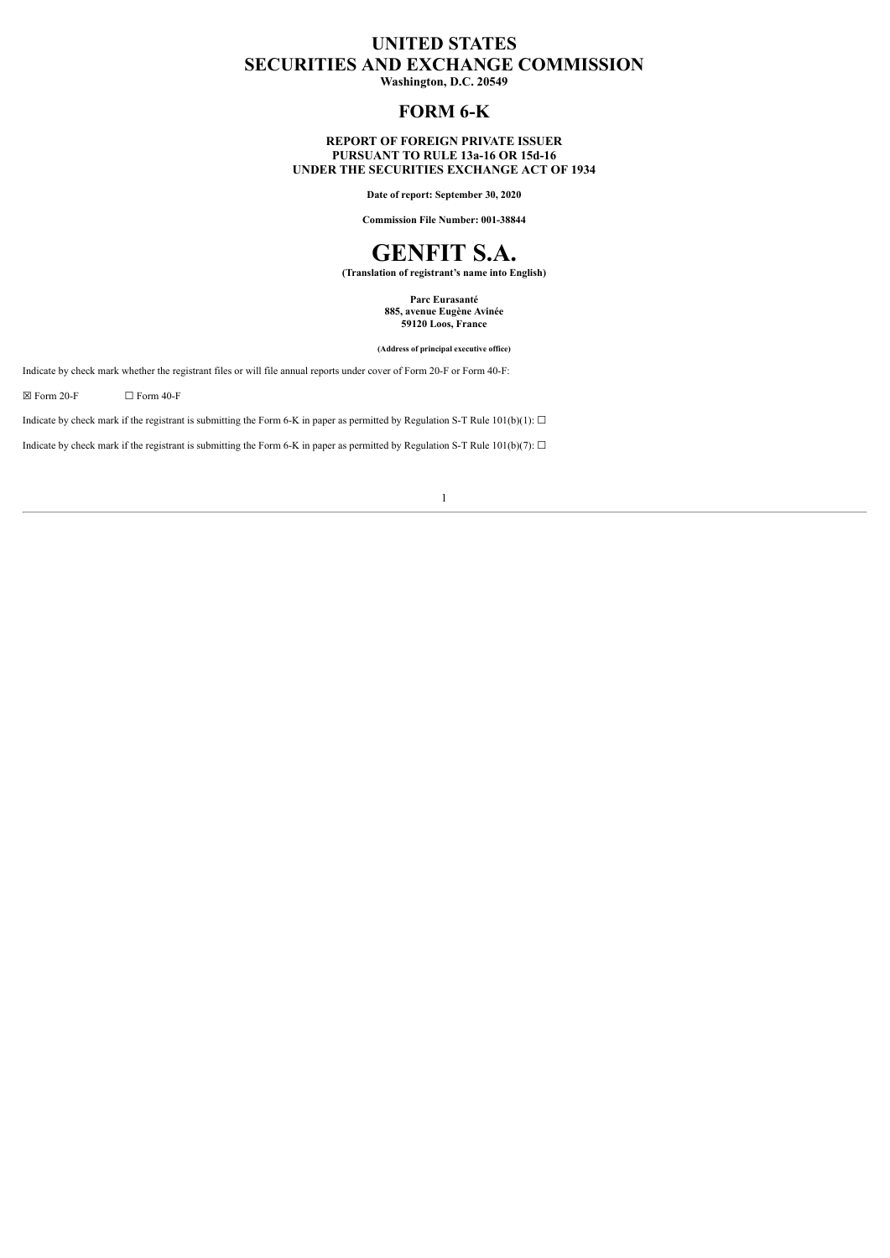# **UNITED STATES SECURITIES AND EXCHANGE COMMISSION**

**Washington, D.C. 20549**

# **FORM 6-K**

# **REPORT OF FOREIGN PRIVATE ISSUER PURSUANT TO RULE 13a-16 OR 15d-16 UNDER THE SECURITIES EXCHANGE ACT OF 1934**

**Date of report: September 30, 2020**

**Commission File Number: 001-38844**

# **GENFIT S.A.**

**(Translation of registrant's name into English)**

**Parc Eurasanté 885, avenue Eugène Avinée 59120 Loos, France**

**(Address of principal executive office)**

Indicate by check mark whether the registrant files or will file annual reports under cover of Form 20-F or Form 40-F:

 $\boxtimes$  Form 20-F  $\Box$  Form 40-F

Indicate by check mark if the registrant is submitting the Form 6-K in paper as permitted by Regulation S-T Rule  $101(b)(1)$ :  $\Box$ 

Indicate by check mark if the registrant is submitting the Form 6-K in paper as permitted by Regulation S-T Rule  $101(b)(7)$ :  $\Box$ 

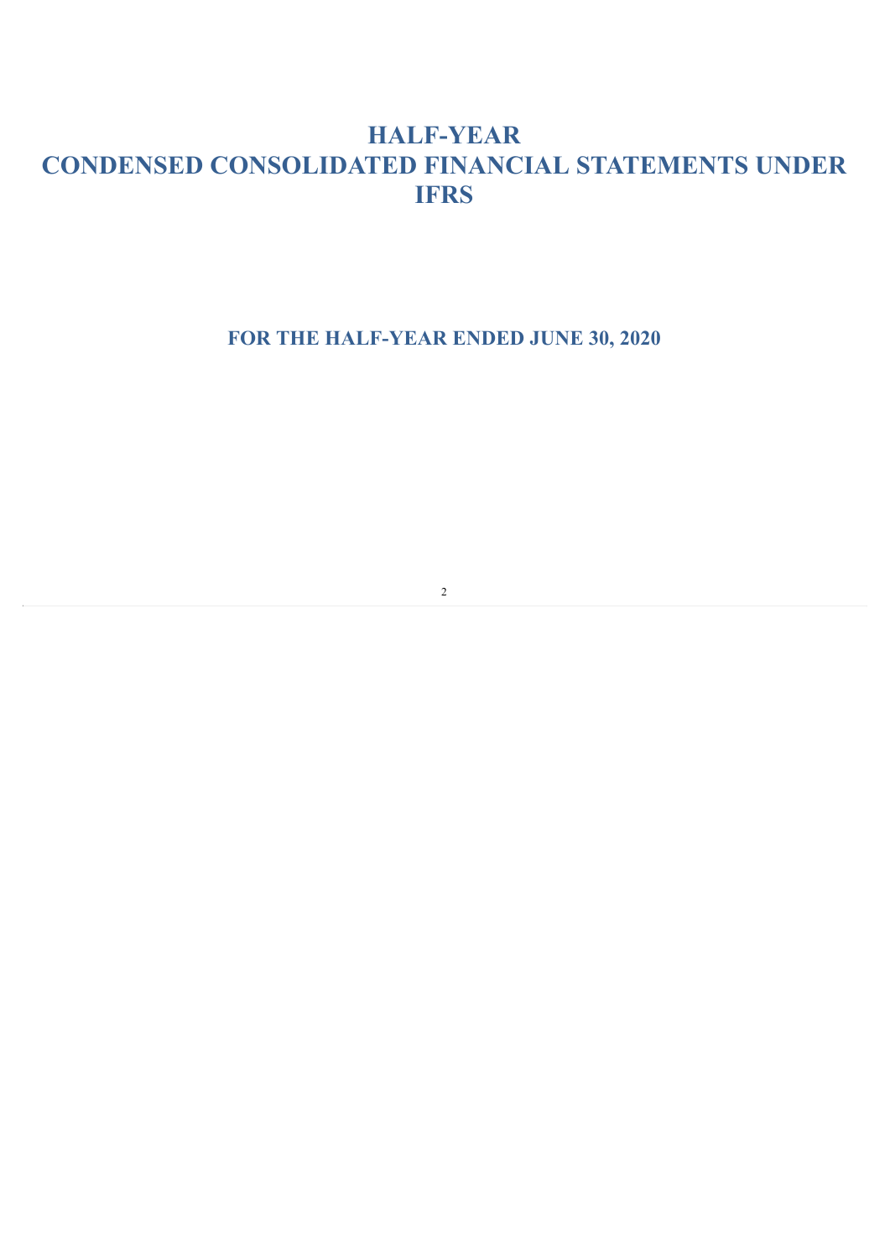# **HALF-YEAR CONDENSED CONSOLIDATED FINANCIAL STATEMENTS UNDER IFRS**

**FOR THE HALF-YEAR ENDED JUNE 30, 2020**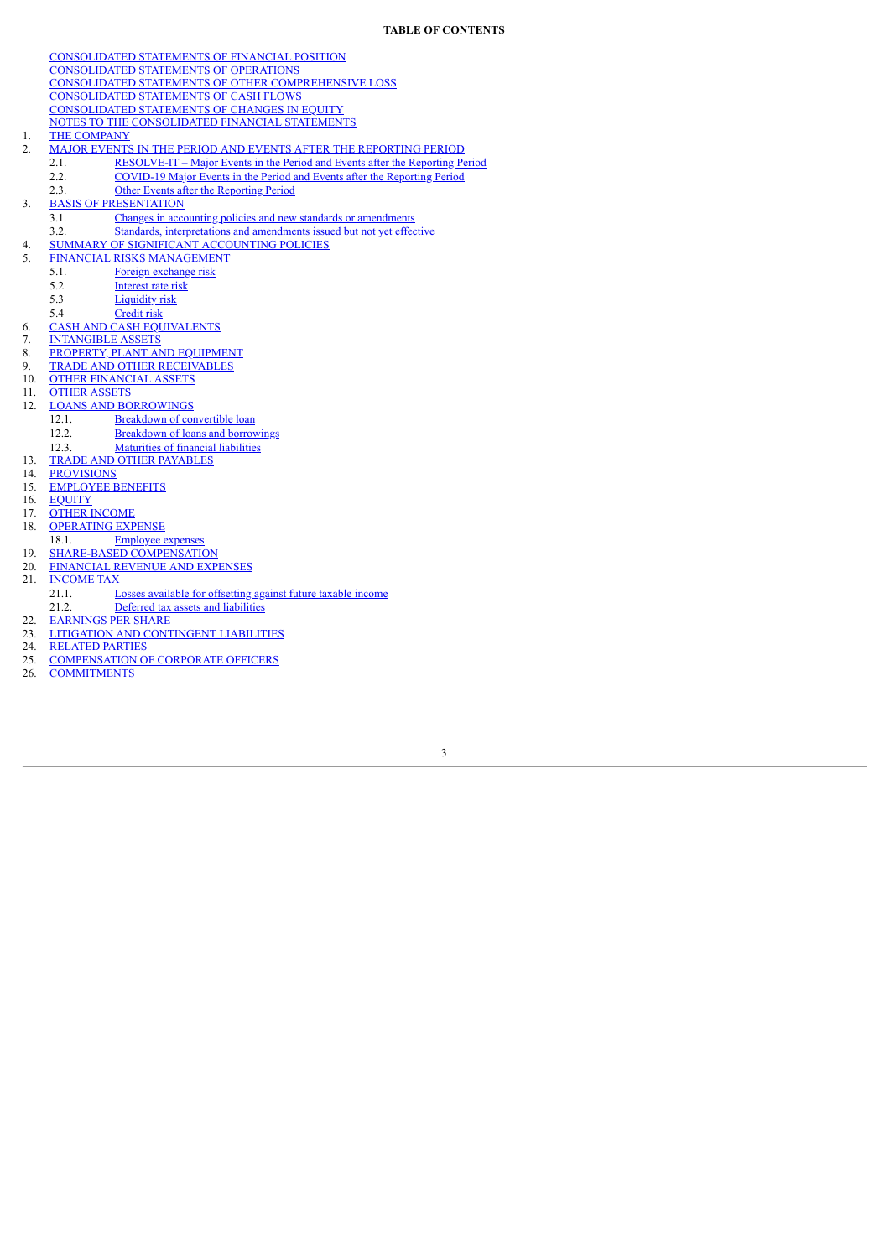[CONSOLIDATED](#page-3-0) STATEMENTS OF FINANCIAL POSITION [CONSOLIDATED](#page-4-0) STATEMENTS OF OPERATIONS CONSOLIDATED STATEMENTS OF OTHER [COMPREHENSIVE](#page-5-0) LOSS [CONSOLIDATED](#page-6-0) STATEMENTS OF CASH FLOWS [CONSOLIDATED](#page-7-0) STATEMENTS OF CHANGES IN EQUITY NOTES TO THE [CONSOLIDATED](#page-8-0) FINANCIAL STATEMENTS 1. THE [COMPANY](#page-8-1) 2. MAJOR EVENTS IN THE PERIOD AND EVENTS AFTER THE [REPORTING](#page-8-2) PERIOD 2.1. [RESOLVE-IT](#page-8-3) – Major Events in the Period and Events after the Reporting Period 2.2. [COVID-19](#page-9-0) Major Events in the Period and Events after the Reporting Period 2.3. Other Events after the [Reporting](#page-10-0) Period 3. BASIS OF [PRESENTATION](#page-10-1) 3.1. Changes in accounting policies and new standards or [amendments](#page-11-0) 3.2. Standards, [interpretations](#page-11-1) and amendments issued but not yet effective 4. SUMMARY OF SIGNIFICANT [ACCOUNTING](#page-11-2) POLICIES 5. FINANCIAL RISKS [MANAGEMENT](#page-11-3) 5.1. Foreign [exchange](#page-11-4) risk<br>5.2 Interest rate risk [Interest](#page-13-0) rate risk 5.3 [Liquidity](#page-13-1) risk 5.4 [Credit](#page-13-2) risk 6. CASH AND CASH [EQUIVALENTS](#page-13-3)<br>7. INTANGIBLE ASSETS [INTANGIBLE](#page-14-0) ASSETS 8. PROPERTY, PLANT AND [EQUIPMENT](#page-16-0) 9. TRADE AND OTHER [RECEIVABLES](#page-17-0) **OTHER [FINANCIAL](#page-19-0) ASSETS** 11. OTHER [ASSETS](#page-19-1) 12. LOANS AND [BORROWINGS](#page-20-0)<br>12.1. Breakdown of cor 12.1. [Breakdown](#page-20-1) of convertible loan<br>12.2. Breakdown of loans and borrow [Breakdown](#page-21-0) of loans and borrowings 12.3. [Maturities](#page-23-0) of financial liabilities 13. TRADE AND OTHER [PAYABLES](#page-24-0)<br>14. PROVISIONS 14. **[PROVISIONS](#page-24-1)**<br>15. **EMPLOYEE B** [EMPLOYEE](#page-24-2) BENEFITS 16. [EQUITY](#page-26-0) 17. OTHER [INCOME](#page-27-0) 18. [OPERATING](#page-27-1) EXPENSE 18.1. [Employee](#page-29-0) expense 19. SHARE-BASED [COMPENSATION](#page-29-1)<br>20. FINANCIAL REVENUE AND EXP

- 20. [FINANCIAL](#page-30-0) REVENUE AND EXPENSES<br>21. INCOME TAX
- **[INCOME](#page-30-1) TAX**
- 21.1. Losses available for [offsetting](#page-30-2) against future taxable income 21.2. Deferred tax assets and [liabilities](#page-30-3)
- 22. [EARNINGS](#page-31-0) PER SHARE
- 23. LITIGATION AND [CONTINGENT](#page-31-1) LIABILITIES<br>24. RELATED PARTIES
- **[RELATED](#page-32-0) PARTIES**
- 25. [COMPENSATION](#page-33-0) OF CORPORATE OFFICERS
- **[COMMITMENTS](#page-36-0)**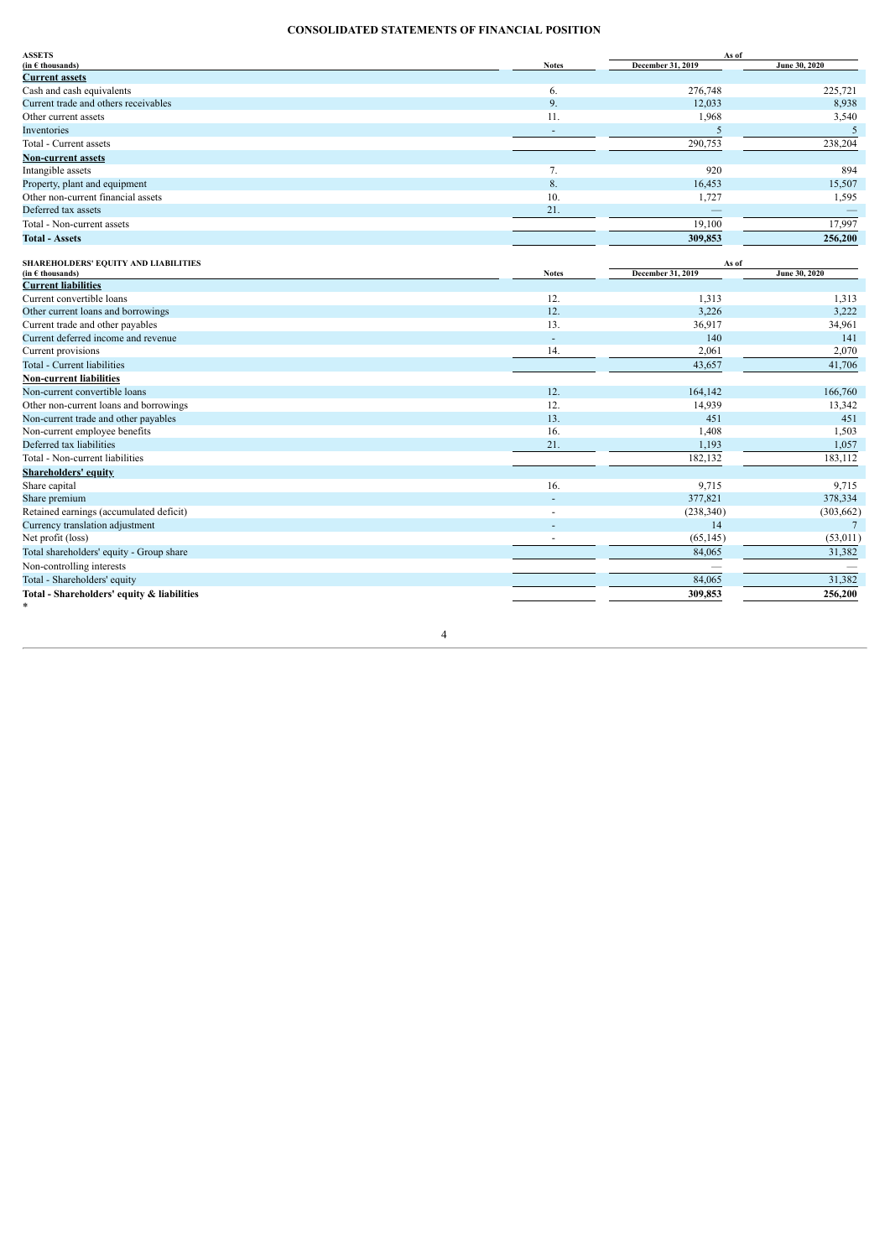# **CONSOLIDATED STATEMENTS OF FINANCIAL POSITION**

<span id="page-3-0"></span>

| <b>ASSETS</b>                          |                          | As of             |               |  |
|----------------------------------------|--------------------------|-------------------|---------------|--|
| $(in \in thousands)$                   | <b>Notes</b>             | December 31, 2019 | June 30, 2020 |  |
| <b>Current assets</b>                  |                          |                   |               |  |
| Cash and cash equivalents              | 6.                       | 276,748           | 225,721       |  |
| Current trade and others receivables   | 9.                       | 12,033            | 8,938         |  |
| Other current assets                   | 11.                      | 1,968             | 3,540         |  |
| Inventories                            | $\overline{\phantom{a}}$ | .5                |               |  |
| Total - Current assets                 |                          | 290,753           | 238,204       |  |
| <b>Non-current assets</b>              |                          |                   |               |  |
| Intangible assets                      | 7.                       | 920               | 894           |  |
| Property, plant and equipment          | 8.                       | 16,453            | 15,507        |  |
| Other non-current financial assets     | 10.                      | 1,727             | 1,595         |  |
| Deferred tax assets                    | 21.                      |                   |               |  |
| Total - Non-current assets             |                          | 19,100            | 17,997        |  |
| <b>Total - Assets</b>                  |                          | 309,853           | 256,200       |  |
|                                        |                          |                   |               |  |
| SHAREHOLDERS' EQUITY AND LIABILITIES   |                          | As of             |               |  |
| (in $\epsilon$ thousands)              | <b>Notes</b>             | December 31, 2019 | June 30, 2020 |  |
| <b>Current liabilities</b>             |                          |                   |               |  |
| Current convertible loans              | 12.                      | 1,313             | 1,313         |  |
| Other current loans and borrowings     | 12.                      | 3,226             | 3,222         |  |
| Current trade and other payables       | 13.                      | 36,917            | 34,961        |  |
| Current deferred income and revenue    | $\overline{a}$           | 140               | 141           |  |
| Current provisions                     | 14.                      | 2,061             | 2,070         |  |
| Total - Current liabilities            |                          | 43,657            | 41,706        |  |
| <b>Non-current liabilities</b>         |                          |                   |               |  |
| Non-current convertible loans          | 12.                      | 164,142           | 166,760       |  |
| Other non-current loans and borrowings | 12.                      | 14,939            | 13,342        |  |
| Non-current trade and other payables   | 13.                      | 451               | 451           |  |
| Non-current employee benefits          | 16.                      | 1,408             | 1,503         |  |
| Deferred tax liabilities               | 21.                      | 1,193             | 1,057         |  |
| Total - Non-current liabilities        |                          | 182,132           | 183,112       |  |
| <b>Shareholders' equity</b>            |                          |                   |               |  |

4

 $\ast$ 

Share capital 16. 9,715 9,715 9,715 Share premium - 377,821 378,334 Retained earnings (accumulated deficit) (303,662)<br>Currency translation adjustment (303,662) (303,662) Currency translation adjustment and the currency translation adjustment and the currency translation adjustment to the currency of the currency of the currency of the currency of the currency of the currency of the currenc Net profit (loss) (53,011) (53,011) Total shareholders' equity - Group share 84,065 31,382 Non-controlling interests — — Total - Shareholders' equity 84,065 31,382 **Total - Shareholders' equity & liabilities 309,853 256,200**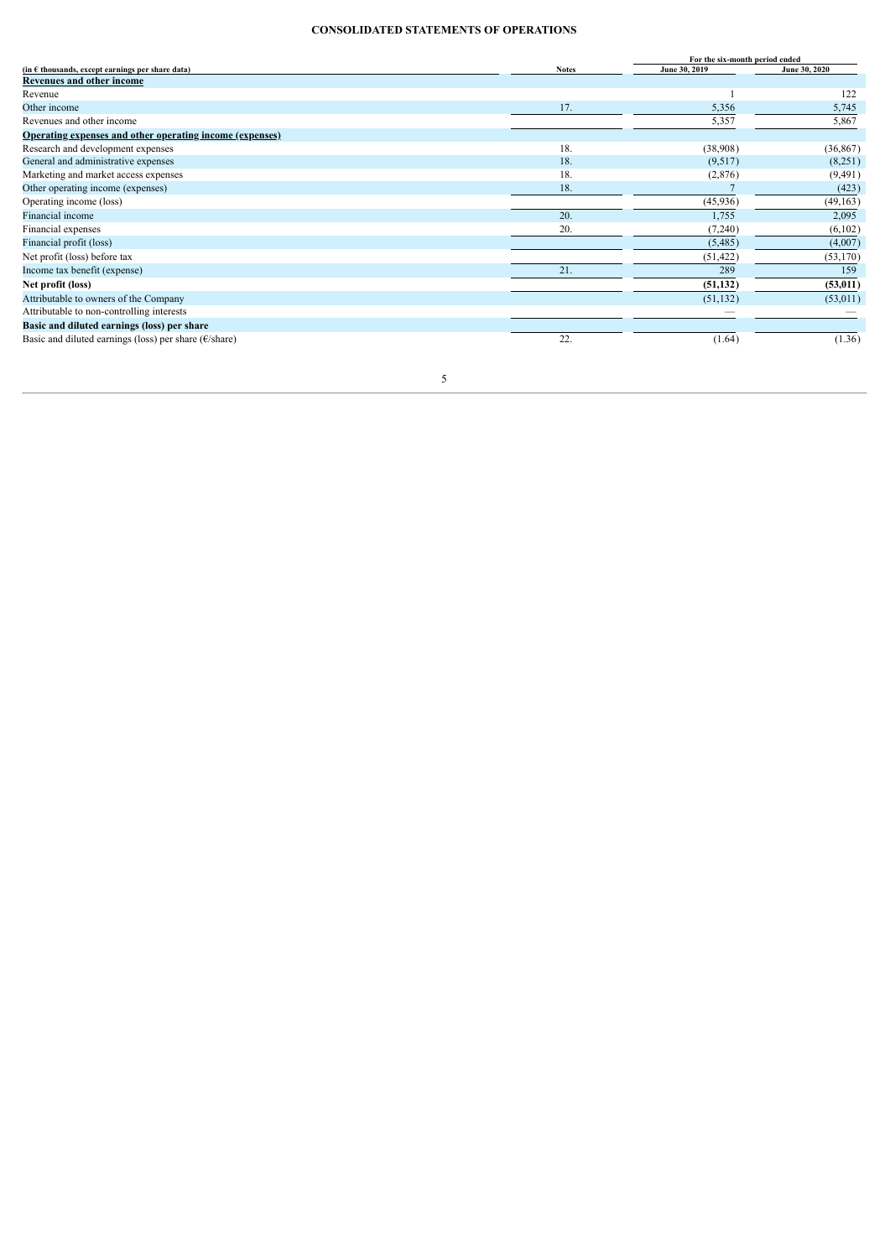# **CONSOLIDATED STATEMENTS OF OPERATIONS**

<span id="page-4-0"></span>

|                                                                  |              | For the six-month period ended |               |  |
|------------------------------------------------------------------|--------------|--------------------------------|---------------|--|
| (in $\epsilon$ thousands, except earnings per share data)        | <b>Notes</b> | June 30, 2019                  | June 30, 2020 |  |
| <b>Revenues and other income</b>                                 |              |                                |               |  |
| Revenue                                                          |              |                                | 122           |  |
| Other income                                                     | 17.          | 5,356                          | 5,745         |  |
| Revenues and other income                                        |              | 5,357                          | 5,867         |  |
| <b>Operating expenses and other operating income (expenses)</b>  |              |                                |               |  |
| Research and development expenses                                | 18.          | (38,908)                       | (36, 867)     |  |
| General and administrative expenses                              | 18.          | (9,517)                        | (8,251)       |  |
| Marketing and market access expenses                             | 18.          | (2,876)                        | (9, 491)      |  |
| Other operating income (expenses)                                | 18.          |                                | (423)         |  |
| Operating income (loss)                                          |              | (45,936)                       | (49, 163)     |  |
| Financial income                                                 | 20.          | 1,755                          | 2,095         |  |
| Financial expenses                                               | 20.          | (7,240)                        | (6,102)       |  |
| Financial profit (loss)                                          |              | (5,485)                        | (4,007)       |  |
| Net profit (loss) before tax                                     |              | (51, 422)                      | (53,170)      |  |
| Income tax benefit (expense)                                     | 21.          | 289                            | 159           |  |
| Net profit (loss)                                                |              | (51, 132)                      | (53, 011)     |  |
| Attributable to owners of the Company                            |              | (51, 132)                      | (53,011)      |  |
| Attributable to non-controlling interests                        |              |                                |               |  |
| Basic and diluted earnings (loss) per share                      |              |                                |               |  |
| Basic and diluted earnings (loss) per share ( $\epsilon$ /share) | 22.          | (1.64)                         | (1.36)        |  |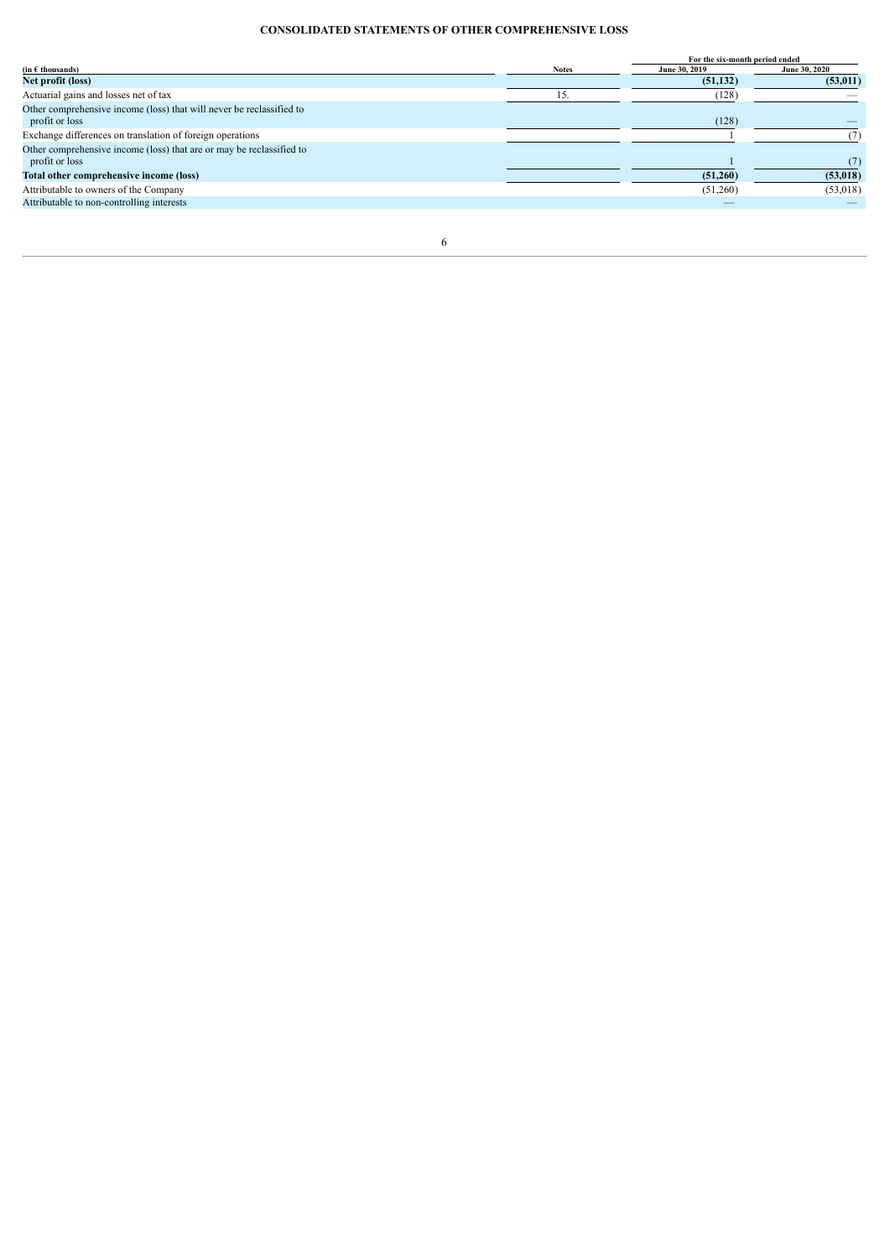# **CONSOLIDATED STATEMENTS OF OTHER COMPREHENSIVE LOSS**

<span id="page-5-0"></span>

|                                                                      |              | For the six-month period ended |               |
|----------------------------------------------------------------------|--------------|--------------------------------|---------------|
| $(in \in \mathsf{th} \mathsf{ous} \mathsf{and} \mathsf{s})$          | <b>Notes</b> | June 30, 2019                  | June 30, 2020 |
| Net profit (loss)                                                    |              | (51, 132)                      | (53, 011)     |
| Actuarial gains and losses net of tax                                |              | (128)                          |               |
| Other comprehensive income (loss) that will never be reclassified to |              |                                |               |
| profit or loss                                                       |              | (128)                          |               |
| Exchange differences on translation of foreign operations            |              |                                |               |
| Other comprehensive income (loss) that are or may be reclassified to |              |                                |               |
| profit or loss                                                       |              |                                |               |
| Total other comprehensive income (loss)                              |              | (51,260)                       | (53, 018)     |
| Attributable to owners of the Company                                |              | (51,260)                       | (53,018)      |
| Attributable to non-controlling interests                            |              |                                |               |
|                                                                      |              |                                |               |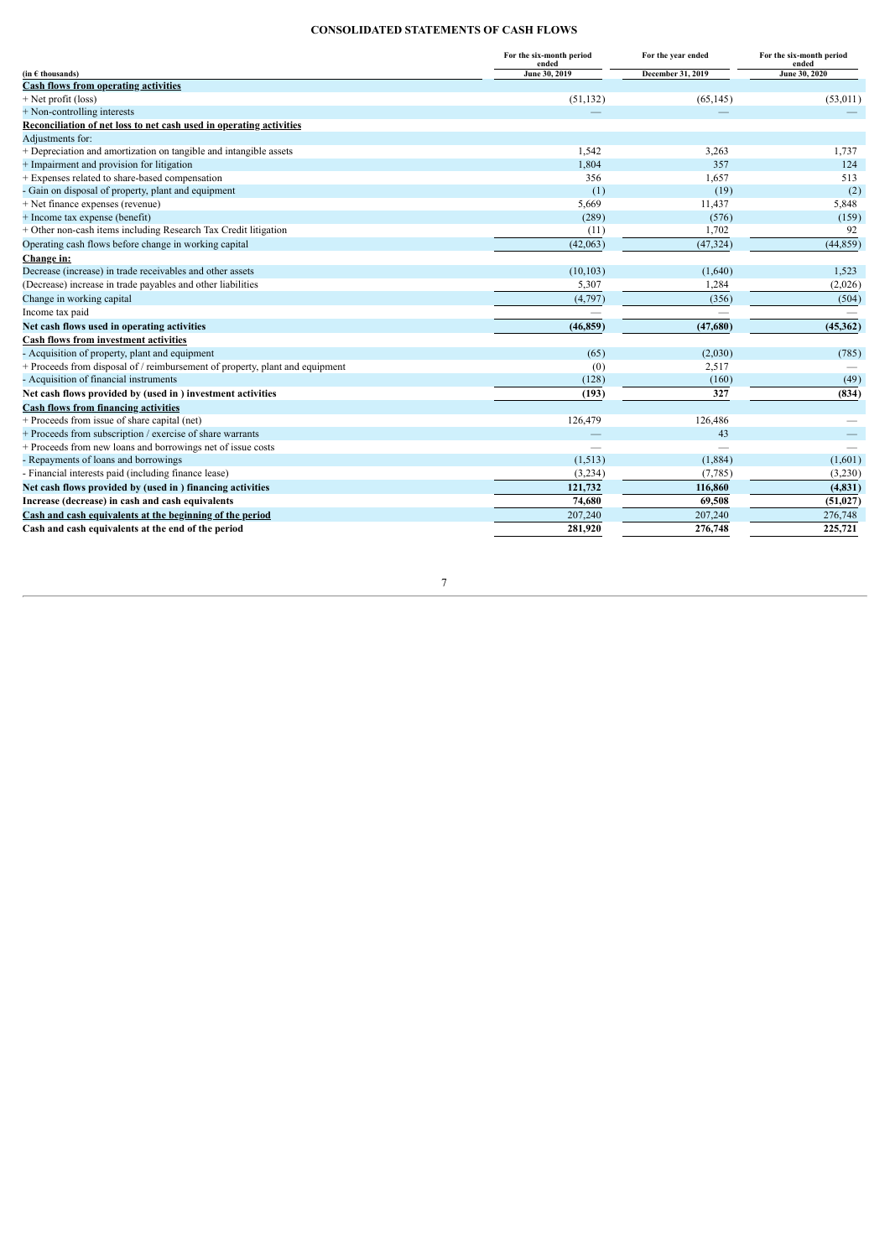# **CONSOLIDATED STATEMENTS OF CASH FLOWS**

<span id="page-6-0"></span>

|                                                                              | For the six-month period<br>ended | For the year ended | For the six-month period<br>ended |
|------------------------------------------------------------------------------|-----------------------------------|--------------------|-----------------------------------|
| $(in \in$ thousands)                                                         | June 30, 2019                     | December 31, 2019  | June 30, 2020                     |
| <b>Cash flows from operating activities</b>                                  |                                   |                    |                                   |
| + Net profit (loss)                                                          | (51, 132)                         | (65, 145)          | (53,011)                          |
| + Non-controlling interests                                                  |                                   |                    |                                   |
| Reconciliation of net loss to net cash used in operating activities          |                                   |                    |                                   |
| Adjustments for:                                                             |                                   |                    |                                   |
| + Depreciation and amortization on tangible and intangible assets            | 1,542                             | 3,263              | 1,737                             |
| + Impairment and provision for litigation                                    | 1,804                             | 357                | 124                               |
| + Expenses related to share-based compensation                               | 356                               | 1,657              | 513                               |
| - Gain on disposal of property, plant and equipment                          | (1)                               | (19)               | (2)                               |
| + Net finance expenses (revenue)                                             | 5,669                             | 11,437             | 5,848                             |
| + Income tax expense (benefit)                                               | (289)                             | (576)              | (159)                             |
| + Other non-cash items including Research Tax Credit litigation              | (11)                              | 1,702              | 92                                |
| Operating cash flows before change in working capital                        | (42,063)                          | (47, 324)          | (44, 859)                         |
| Change in:                                                                   |                                   |                    |                                   |
| Decrease (increase) in trade receivables and other assets                    | (10, 103)                         | (1,640)            | 1,523                             |
| (Decrease) increase in trade payables and other liabilities                  | 5,307                             | 1,284              | (2,026)                           |
| Change in working capital                                                    | (4,797)                           | (356)              | (504)                             |
| Income tax paid                                                              |                                   |                    |                                   |
| Net cash flows used in operating activities                                  | (46, 859)                         | (47,680)           | (45,362)                          |
| <b>Cash flows from investment activities</b>                                 |                                   |                    |                                   |
| - Acquisition of property, plant and equipment                               | (65)                              | (2,030)            | (785)                             |
| + Proceeds from disposal of / reimbursement of property, plant and equipment | (0)                               | 2,517              |                                   |
| - Acquisition of financial instruments                                       | (128)                             | (160)              | (49)                              |
| Net cash flows provided by (used in ) investment activities                  | (193)                             | 327                | (834)                             |
| <b>Cash flows from financing activities</b>                                  |                                   |                    |                                   |
| + Proceeds from issue of share capital (net)                                 | 126,479                           | 126,486            |                                   |
| + Proceeds from subscription / exercise of share warrants                    |                                   | 43                 |                                   |
| + Proceeds from new loans and borrowings net of issue costs                  |                                   |                    |                                   |
| - Repayments of loans and borrowings                                         | (1,513)                           | (1,884)            | (1,601)                           |
| - Financial interests paid (including finance lease)                         | (3,234)                           | (7,785)            | (3,230)                           |
| Net cash flows provided by (used in ) financing activities                   | 121,732                           | 116,860            | (4, 831)                          |
| Increase (decrease) in cash and cash equivalents                             | 74,680                            | 69,508             | (51, 027)                         |
| Cash and cash equivalents at the beginning of the period                     | 207,240                           | 207,240            | 276,748                           |
| Cash and cash equivalents at the end of the period                           | 281,920                           | 276,748            | 225,721                           |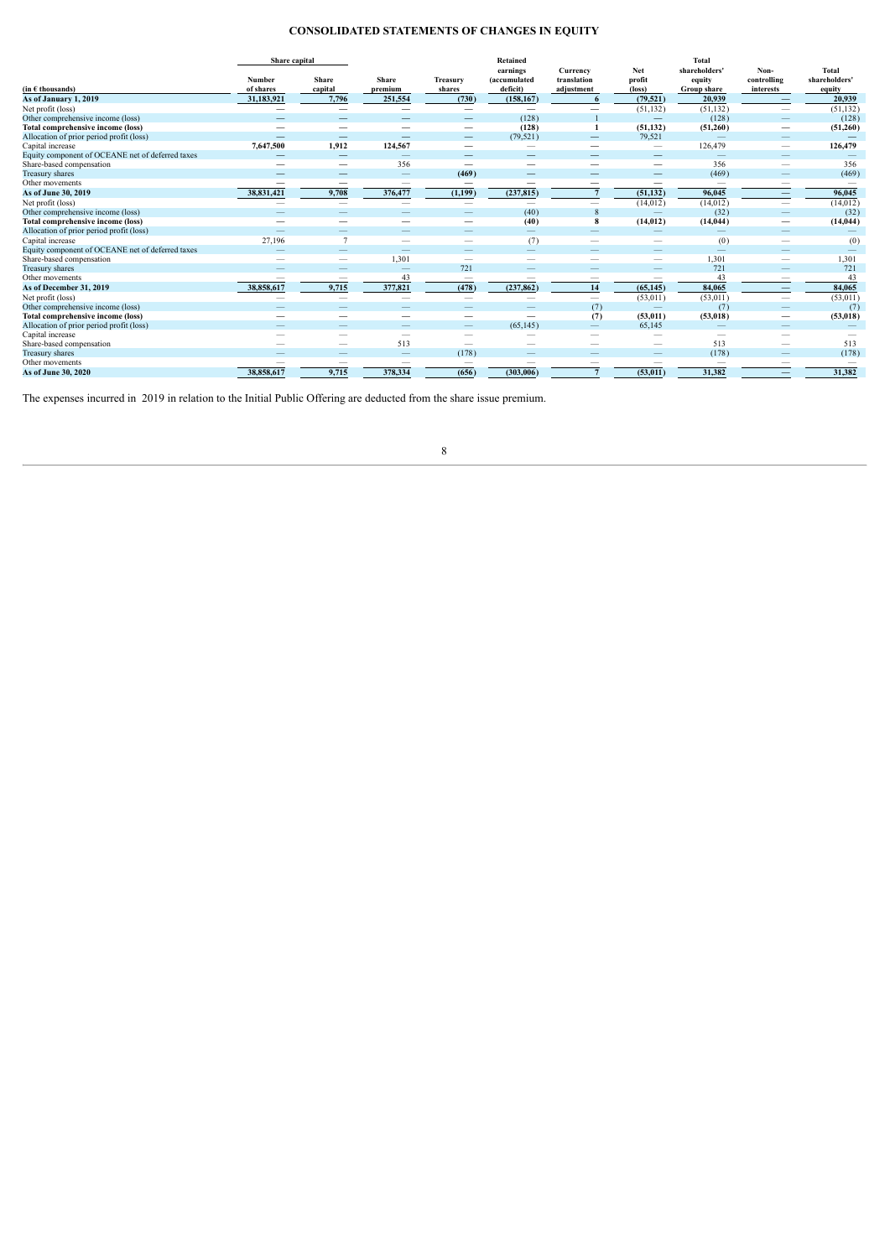# **CONSOLIDATED STATEMENTS OF CHANGES IN EQUITY**

<span id="page-7-0"></span>

|                                                  | Share capital |                          |                          |                          | <b>Retained</b>          |                          |                          | Total                    |                                |               |
|--------------------------------------------------|---------------|--------------------------|--------------------------|--------------------------|--------------------------|--------------------------|--------------------------|--------------------------|--------------------------------|---------------|
|                                                  |               |                          |                          |                          | earnings                 | Currency                 | Net                      | shareholders'            | Non-                           | <b>Total</b>  |
|                                                  | Number        | Share                    | Share                    | Treasury                 | (accumulated             | translation              | profit                   | equity                   | controlling                    | shareholders' |
| $(in \in thousands)$                             | of shares     | capital                  | premium                  | shares                   | deficit)                 | adjustment               | $(\text{loss})$          | Group share              | interests                      | equity        |
| As of January 1, 2019                            | 31,183,921    | 7.796                    | 251,554                  | (730)                    | (158, 167)               |                          | (79.521)                 | 20.939                   | $\overline{\phantom{0}}$       | 20,939        |
| Net profit (loss)                                |               |                          |                          |                          |                          |                          | (51, 132)                | (51, 132)                | $\overline{\phantom{0}}$       | (51, 132)     |
| Other comprehensive income (loss)                |               |                          | --                       |                          | (128)                    |                          | $\overline{\phantom{0}}$ | (128)                    |                                | (128)         |
| <b>Total comprehensive income (loss)</b>         |               |                          |                          | —                        | (128)                    |                          | (51, 132)                | (51,260)                 |                                | (51,260)      |
| Allocation of prior period profit (loss)         |               |                          |                          |                          | (79, 521)                | $\overline{\phantom{0}}$ | 79,521                   |                          | $\qquad \qquad -$              |               |
| Capital increase                                 | 7,647,500     | 1.912                    | 124,567                  |                          | -                        | __                       | $\hspace{0.05cm}$        | 126,479                  |                                | 126,479       |
| Equity component of OCEANE net of deferred taxes |               |                          |                          |                          | $\overline{\phantom{a}}$ |                          | $\overline{\phantom{a}}$ |                          | $-$                            |               |
| Share-based compensation                         |               |                          | 356                      |                          |                          |                          | $\overline{\phantom{m}}$ | 356                      |                                | 356           |
| Treasury shares                                  |               |                          | —                        | (469)                    |                          |                          |                          | (469)                    | -                              | (469)         |
| Other movements                                  |               | –                        | —                        | -                        |                          |                          | -                        | $\overline{\phantom{0}}$ | --                             |               |
| As of June 30, 2019                              | 38,831,421    | 9,708                    | 376,477                  | (1,199)                  | (237, 815)               |                          | (51, 132)                | 96,045                   | $\qquad \qquad \longleftarrow$ | 96,045        |
| Net profit (loss)                                |               | $\overline{\phantom{a}}$ | $\overline{\phantom{0}}$ | $\overline{\phantom{0}}$ | $\overline{\phantom{a}}$ |                          | (14, 012)                | (14, 012)                | $\overline{\phantom{0}}$       | (14, 012)     |
| Other comprehensive income (loss)                |               |                          |                          |                          | (40)                     |                          |                          | (32)                     | $\qquad \qquad \longleftarrow$ | (32)          |
| <b>Total comprehensive income (loss)</b>         |               |                          |                          |                          | (40)                     | 8                        | (14, 012)                | (14, 044)                | $\overline{\phantom{0}}$       | (14, 044)     |
| Allocation of prior period profit (loss)         |               |                          | --                       |                          | $\qquad \qquad -$        |                          |                          |                          |                                |               |
| Capital increase                                 | 27,196        | $\overline{7}$           | -                        |                          | (7)                      |                          |                          | (0)                      |                                | (0)           |
| Equity component of OCEANE net of deferred taxes |               |                          |                          |                          | $\overline{\phantom{0}}$ |                          |                          |                          |                                |               |
| Share-based compensation                         | _             |                          | 1,301                    |                          |                          | _                        | $\overline{\phantom{a}}$ | 1,301                    |                                | 1,301         |
| Treasury shares                                  |               |                          |                          | 721                      |                          |                          |                          | 721                      |                                | 721           |
| Other movements                                  |               | –                        | 43                       |                          |                          |                          |                          | 43                       | --                             | 43            |
| As of December 31, 2019                          | 38,858,617    | 9,715                    | 377,821                  | (478)                    | (237, 862)               | 14                       | (65, 145)                | 84,065                   | $\qquad \qquad \longleftarrow$ | 84,065        |
| Net profit (loss)                                |               | $\overline{\phantom{a}}$ | -                        | $\overline{\phantom{0}}$ | $\overline{\phantom{a}}$ |                          | (53, 011)                | (53, 011)                |                                | (53, 011)     |
| Other comprehensive income (loss)                |               |                          |                          |                          |                          | (7)                      |                          | (7)                      |                                | (7)           |
| Total comprehensive income (loss)                |               | $\sim$                   | --                       |                          | $\overline{\phantom{m}}$ | (7)                      | (53, 011)                | (53, 018)                |                                | (53,018)      |
| Allocation of prior period profit (loss)         |               |                          | _                        |                          | (65, 145)                | $\overline{\phantom{0}}$ | 65,145                   |                          |                                |               |
| Capital increase                                 |               |                          | -                        |                          |                          |                          |                          | -                        |                                |               |
| Share-based compensation                         |               |                          | 513                      |                          |                          |                          |                          | 513                      |                                | 513           |
| Treasury shares                                  |               |                          |                          | (178)                    |                          |                          |                          | (178)                    |                                | (178)         |
| Other movements                                  |               |                          |                          |                          |                          |                          |                          |                          |                                |               |
| As of June 30, 2020                              | 38.858.617    | 9,715                    | 378,334                  | (656)                    | (303,006)                |                          | (53, 011)                | 31.382                   | $\qquad \qquad \longleftarrow$ | 31,382        |

The expenses incurred in 2019 in relation to the Initial Public Offering are deducted from the share issue premium.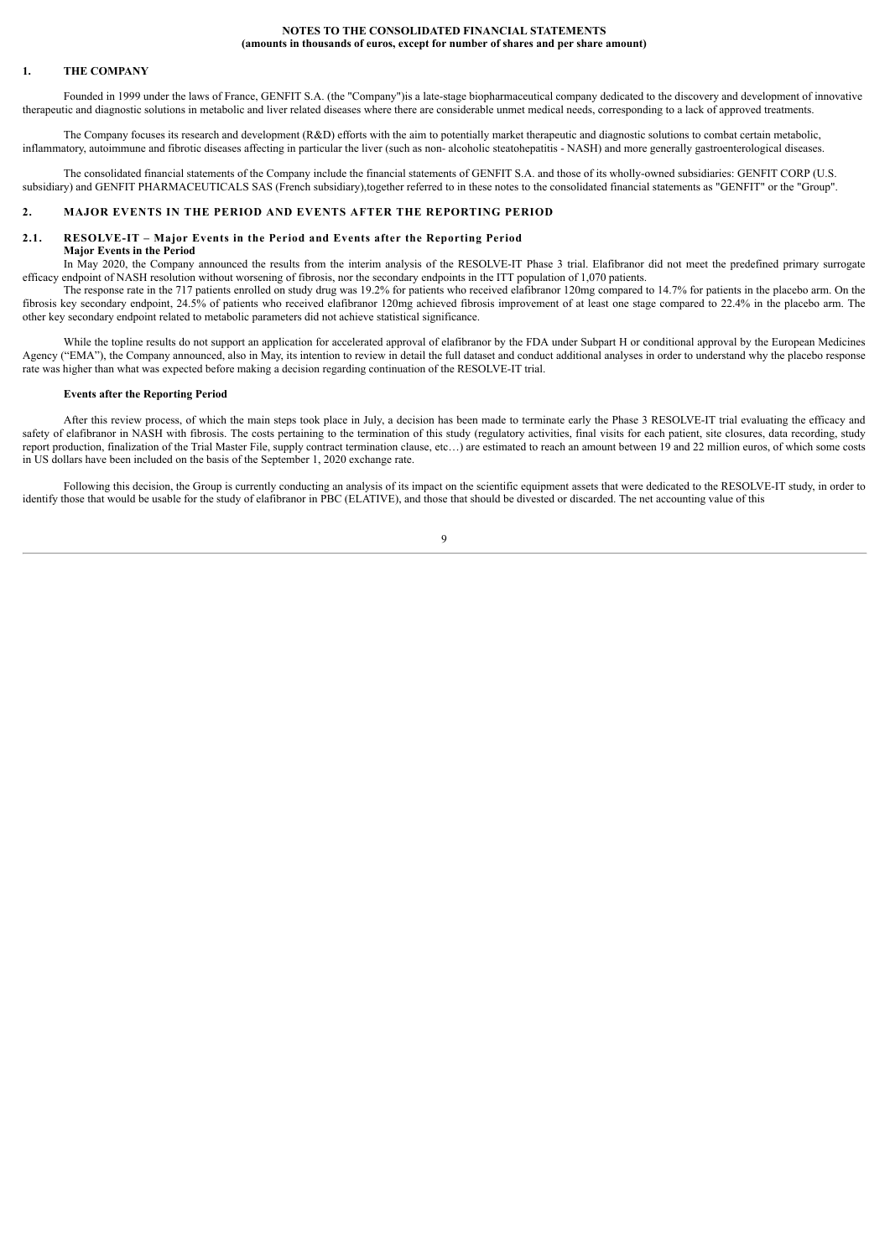#### <span id="page-8-1"></span><span id="page-8-0"></span>**1. THE COMPANY**

Founded in 1999 under the laws of France, GENFIT S.A. (the "Company")is a late-stage biopharmaceutical company dedicated to the discovery and development of innovative therapeutic and diagnostic solutions in metabolic and liver related diseases where there are considerable unmet medical needs, corresponding to a lack of approved treatments.

The Company focuses its research and development (R&D) efforts with the aim to potentially market therapeutic and diagnostic solutions to combat certain metabolic, inflammatory, autoimmune and fibrotic diseases affecting in particular the liver (such as non- alcoholic steatohepatitis - NASH) and more generally gastroenterological diseases.

The consolidated financial statements of the Company include the financial statements of GENFIT S.A. and those of its wholly-owned subsidiaries: GENFIT CORP (U.S. subsidiary) and GENFIT PHARMACEUTICALS SAS (French subsidiary),together referred to in these notes to the consolidated financial statements as "GENFIT" or the "Group".

#### <span id="page-8-2"></span>**2. MAJOR EVENTS IN THE PERIOD AND EVENTS AFTER THE REPORTING PERIOD**

#### **2.1. RESOLVE-IT – Major Events in the Period and Events after the Reporting Period**

# <span id="page-8-3"></span>**Major Events in the Period**

In May 2020, the Company announced the results from the interim analysis of the RESOLVE-IT Phase 3 trial. Elafibranor did not meet the predefined primary surrogate efficacy endpoint of NASH resolution without worsening of fibrosis, nor the secondary endpoints in the ITT population of 1,070 patients.

The response rate in the 717 patients enrolled on study drug was 19.2% for patients who received elafibranor 120mg compared to 14.7% for patients in the placebo arm. On the fibrosis key secondary endpoint, 24.5% of patients who received elafibranor 120mg achieved fibrosis improvement of at least one stage compared to 22.4% in the placebo arm. The other key secondary endpoint related to metabolic parameters did not achieve statistical significance.

While the topline results do not support an application for accelerated approval of elafibranor by the FDA under Subpart H or conditional approval by the European Medicines Agency ("EMA"), the Company announced, also in May, its intention to review in detail the full dataset and conduct additional analyses in order to understand why the placebo response rate was higher than what was expected before making a decision regarding continuation of the RESOLVE-IT trial.

#### **Events after the Reporting Period**

After this review process, of which the main steps took place in July, a decision has been made to terminate early the Phase 3 RESOLVE-IT trial evaluating the efficacy and safety of elafibranor in NASH with fibrosis. The costs pertaining to the termination of this study (regulatory activities, final visits for each patient, site closures, data recording, study report production, finalization of the Trial Master File, supply contract termination clause, etc...) are estimated to reach an amount between 19 and 22 million euros, of which some costs in US dollars have been included on the basis of the September 1, 2020 exchange rate.

Following this decision, the Group is currently conducting an analysis of its impact on the scientific equipment assets that were dedicated to the RESOLVE-IT study, in order to identify those that would be usable for the study of elafibranor in PBC (ELATIVE), and those that should be divested or discarded. The net accounting value of this

#### $\alpha$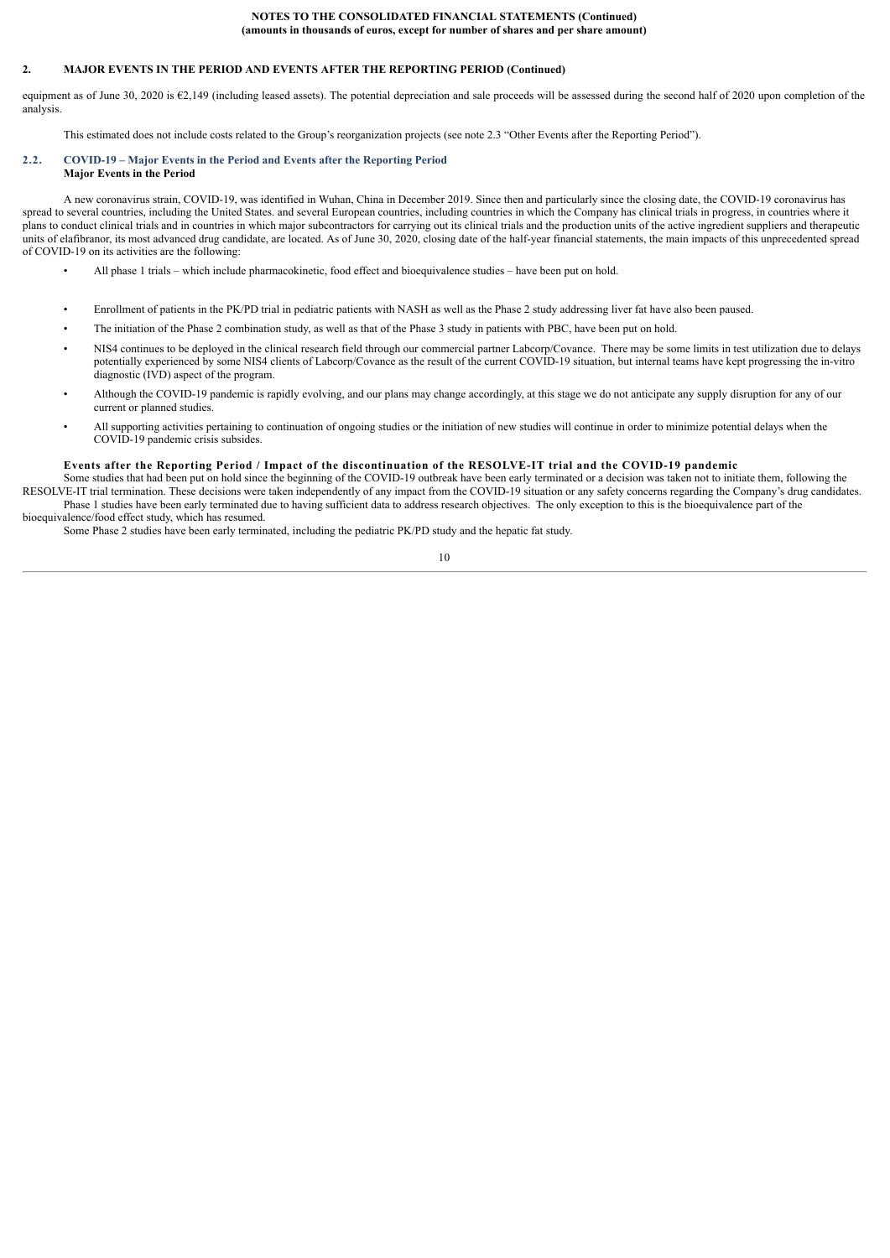### **2. MAJOR EVENTS IN THE PERIOD AND EVENTS AFTER THE REPORTING PERIOD (Continued)**

equipment as of June 30, 2020 is €2,149 (including leased assets). The potential depreciation and sale proceeds will be assessed during the second half of 2020 upon completion of the analysis.

<span id="page-9-0"></span>This estimated does not include costs related to the Group's reorganization projects (see note 2.3 "Other Events after the Reporting Period").

#### **2.2. COVID-19 – Major Events in the Period and Events after the Reporting Period Major Events in the Period**

A new coronavirus strain, COVID-19, was identified in Wuhan, China in December 2019. Since then and particularly since the closing date, the COVID-19 coronavirus has spread to several countries, including the United States. and several European countries, including countries in which the Company has clinical trials in progress, in countries where it plans to conduct clinical trials and in countries in which major subcontractors for carrying out its clinical trials and the production units of the active ingredient suppliers and therapeutic units of elafibranor, its most advanced drug candidate, are located. As of June 30, 2020, closing date of the half-year financial statements, the main impacts of this unprecedented spread of COVID-19 on its activities are the following:

- All phase 1 trials which include pharmacokinetic, food effect and bioequivalence studies have been put on hold.
- Enrollment of patients in the PK/PD trial in pediatric patients with NASH as well as the Phase 2 study addressing liver fat have also been paused.
- The initiation of the Phase 2 combination study, as well as that of the Phase 3 study in patients with PBC, have been put on hold.
- NIS4 continues to be deployed in the clinical research field through our commercial partner Labcorp/Covance. There may be some limits in test utilization due to delays potentially experienced by some NIS4 clients of Labcorp/Covance as the result of the current COVID-19 situation, but internal teams have kept progressing the in-vitro diagnostic (IVD) aspect of the program.
- Although the COVID-19 pandemic is rapidly evolving, and our plans may change accordingly, at this stage we do not anticipate any supply disruption for any of our current or planned studies.
- All supporting activities pertaining to continuation of ongoing studies or the initiation of new studies will continue in order to minimize potential delays when the COVID-19 pandemic crisis subsides.

# Events after the Reporting Period / Impact of the discontinuation of the RESOLVE-IT trial and the COVID-19 pandemic

Some studies that had been put on hold since the beginning of the COVID-19 outbreak have been early terminated or a decision was taken not to initiate them, following the RESOLVE-IT trial termination. These decisions were taken independently of any impact from the COVID-19 situation or any safety concerns regarding the Company's drug candidates. Phase 1 studies have been early terminated due to having sufficient data to address research objectives. The only exception to this is the bioequivalence part of the bioequivalence/food effect study, which has resumed.

Some Phase 2 studies have been early terminated, including the pediatric PK/PD study and the hepatic fat study.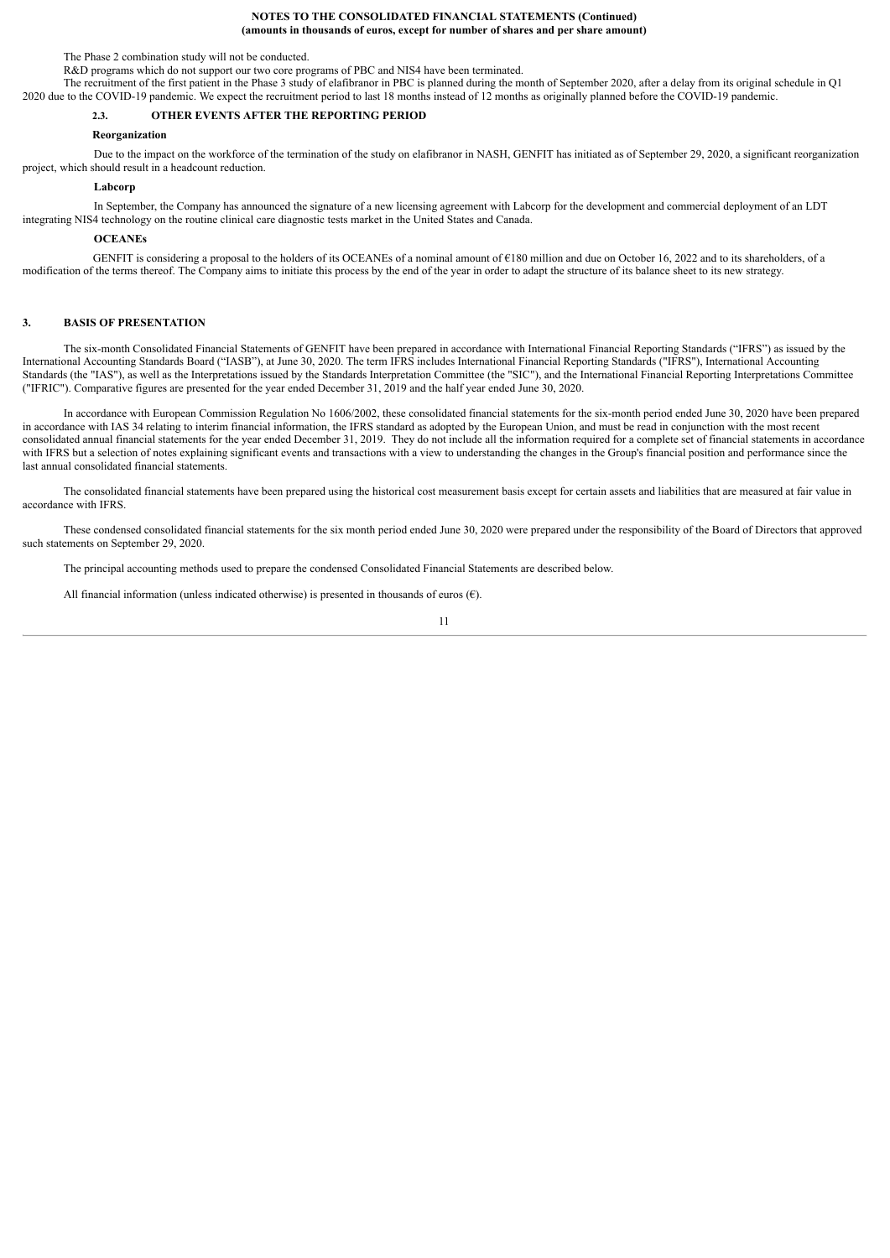The Phase 2 combination study will not be conducted.

R&D programs which do not support our two core programs of PBC and NIS4 have been terminated.

The recruitment of the first patient in the Phase 3 study of elafibranor in PBC is planned during the month of September 2020, after a delay from its original schedule in Q1 2020 due to the COVID-19 pandemic. We expect the recruitment period to last 18 months instead of 12 months as originally planned before the COVID-19 pandemic.

# <span id="page-10-0"></span>**2.3. OTHER EVENTS AFTER THE REPORTING PERIOD**

#### **Reorganization**

Due to the impact on the workforce of the termination of the study on elafibranor in NASH, GENFIT has initiated as of September 29, 2020, a significant reorganization project, which should result in a headcount reduction.

#### **Labcorp**

In September, the Company has announced the signature of a new licensing agreement with Labcorp for the development and commercial deployment of an LDT integrating NIS4 technology on the routine clinical care diagnostic tests market in the United States and Canada.

#### **OCEANEs**

GENFIT is considering a proposal to the holders of its OCEANEs of a nominal amount of €180 million and due on October 16, 2022 and to its shareholders, of a modification of the terms thereof. The Company aims to initiate this process by the end of the year in order to adapt the structure of its balance sheet to its new strategy.

# <span id="page-10-1"></span>**3. BASIS OF PRESENTATION**

The six-month Consolidated Financial Statements of GENFIT have been prepared in accordance with International Financial Reporting Standards ("IFRS") as issued by the International Accounting Standards Board ("IASB"), at June 30, 2020. The term IFRS includes International Financial Reporting Standards ("IFRS"), International Accounting Standards (the "IAS"), as well as the Interpretations issued by the Standards Interpretation Committee (the "SIC"), and the International Financial Reporting Interpretations Committee ("IFRIC"). Comparative figures are presented for the year ended December 31, 2019 and the half year ended June 30, 2020.

In accordance with European Commission Regulation No 1606/2002, these consolidated financial statements for the six-month period ended June 30, 2020 have been prepared in accordance with IAS 34 relating to interim financial information, the IFRS standard as adopted by the European Union, and must be read in conjunction with the most recent consolidated annual financial statements for the year ended December 31, 2019. They do not include all the information required for a complete set of financial statements in accordance with IFRS but a selection of notes explaining significant events and transactions with a view to understanding the changes in the Group's financial position and performance since the last annual consolidated financial statements.

The consolidated financial statements have been prepared using the historical cost measurement basis except for certain assets and liabilities that are measured at fair value in accordance with IFRS.

These condensed consolidated financial statements for the six month period ended June 30, 2020 were prepared under the responsibility of the Board of Directors that approved such statements on September 29, 2020.

The principal accounting methods used to prepare the condensed Consolidated Financial Statements are described below.

All financial information (unless indicated otherwise) is presented in thousands of euros  $(\epsilon)$ .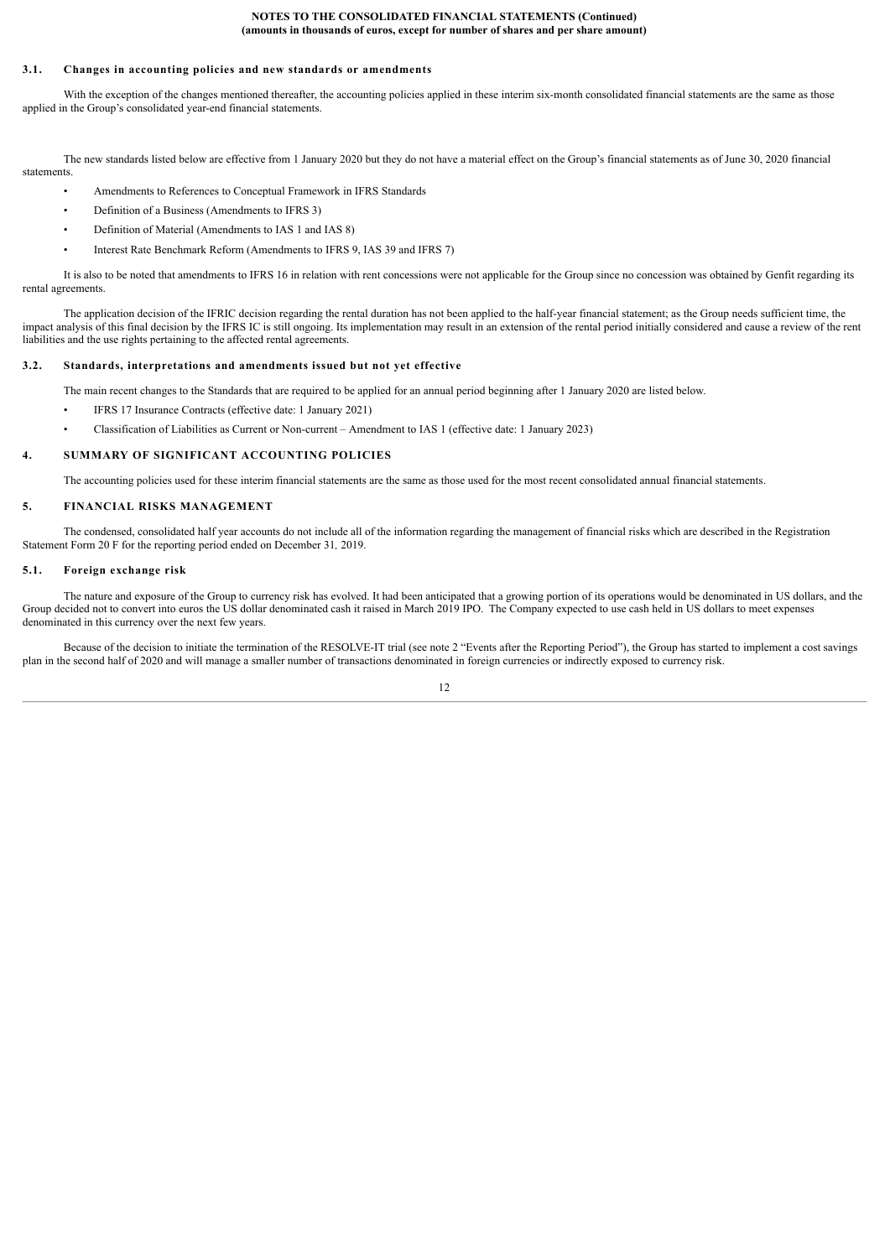#### <span id="page-11-0"></span>**3.1. Changes in accounting policies and new standards or amendments**

With the exception of the changes mentioned thereafter, the accounting policies applied in these interim six-month consolidated financial statements are the same as those applied in the Group's consolidated year-end financial statements.

The new standards listed below are effective from 1 January 2020 but they do not have a material effect on the Group's financial statements as of June 30, 2020 financial statements.

- Amendments to References to Conceptual Framework in IFRS Standards
- Definition of a Business (Amendments to IFRS 3)
- Definition of Material (Amendments to IAS 1 and IAS 8)
- Interest Rate Benchmark Reform (Amendments to IFRS 9, IAS 39 and IFRS 7)

It is also to be noted that amendments to IFRS 16 in relation with rent concessions were not applicable for the Group since no concession was obtained by Genfit regarding its rental agreements.

The application decision of the IFRIC decision regarding the rental duration has not been applied to the half-year financial statement; as the Group needs sufficient time, the impact analysis of this final decision by the IFRS IC is still ongoing. Its implementation may result in an extension of the rental period initially considered and cause a review of the rent liabilities and the use rights pertaining to the affected rental agreements.

#### **3.2. Standards, interpretations and amendments issued but not yet effective**

- <span id="page-11-1"></span>The main recent changes to the Standards that are required to be applied for an annual period beginning after 1 January 2020 are listed below.
- IFRS 17 Insurance Contracts (effective date: 1 January 2021)
	- Classification of Liabilities as Current or Non-current Amendment to IAS 1 (effective date: 1 January 2023)

#### **4. SUMMARY OF SIGNIFICANT ACCOUNTING POLICIES**

<span id="page-11-3"></span><span id="page-11-2"></span>The accounting policies used for these interim financial statements are the same as those used for the most recent consolidated annual financial statements.

#### **5. FINANCIAL RISKS MANAGEMENT**

The condensed, consolidated half year accounts do not include all of the information regarding the management of financial risks which are described in the Registration Statement Form 20 F for the reporting period ended on December 31*,* 2019.

### <span id="page-11-4"></span>**5.1. Foreign exchange risk**

The nature and exposure of the Group to currency risk has evolved. It had been anticipated that a growing portion of its operations would be denominated in US dollars, and the Group decided not to convert into euros the US dollar denominated cash it raised in March 2019 IPO. The Company expected to use cash held in US dollars to meet expenses denominated in this currency over the next few years.

Because of the decision to initiate the termination of the RESOLVE-IT trial (see note 2 "Events after the Reporting Period"), the Group has started to implement a cost savings plan in the second half of 2020 and will manage a smaller number of transactions denominated in foreign currencies or indirectly exposed to currency risk.

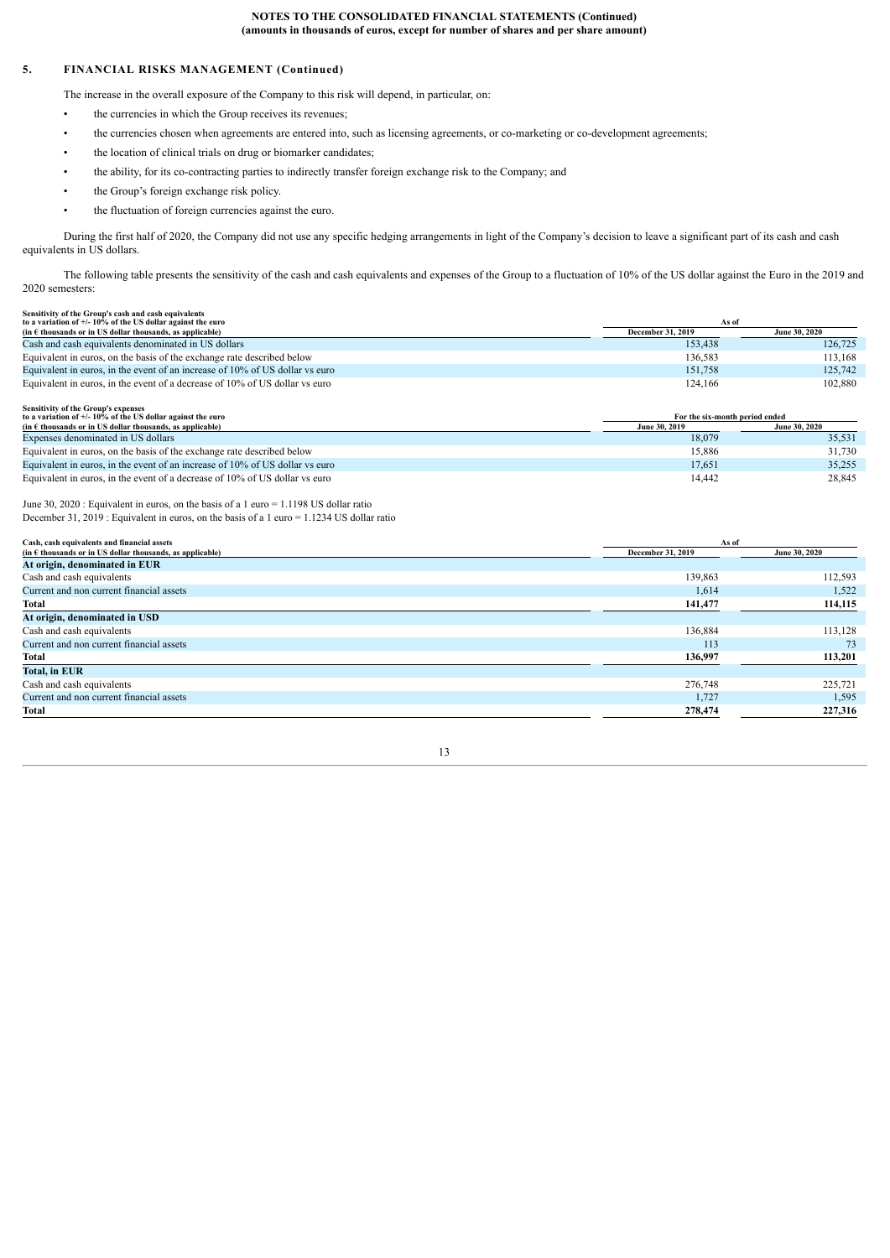# **5. FINANCIAL RISKS MANAGEMENT (Continued)**

The increase in the overall exposure of the Company to this risk will depend, in particular, on:

- the currencies in which the Group receives its revenues:
- the currencies chosen when agreements are entered into, such as licensing agreements, or co-marketing or co-development agreements;
- the location of clinical trials on drug or biomarker candidates;
- the ability, for its co-contracting parties to indirectly transfer foreign exchange risk to the Company; and
- the Group's foreign exchange risk policy.
- the fluctuation of foreign currencies against the euro.

During the first half of 2020, the Company did not use any specific hedging arrangements in light of the Company's decision to leave a significant part of its cash and cash equivalents in US dollars.

The following table presents the sensitivity of the cash and cash equivalents and expenses of the Group to a fluctuation of 10% of the US dollar against the Euro in the 2019 and 2020 semesters:

| Sensitivity of the Group's cash and cash equivalents                         |                          |               |
|------------------------------------------------------------------------------|--------------------------|---------------|
| to a variation of $+/- 10\%$ of the US dollar against the euro               | As of                    |               |
| (in $\epsilon$ thousands or in US dollar thousands, as applicable)           | <b>December 31, 2019</b> | June 30, 2020 |
| Cash and cash equivalents denominated in US dollars                          | 153.438                  | 126,725       |
| Equivalent in euros, on the basis of the exchange rate described below       | 136.583                  | 113,168       |
| Equivalent in euros, in the event of an increase of 10% of US dollar vs euro | 151.758                  | 125,742       |
| Equivalent in euros, in the event of a decrease of 10% of US dollar vs euro  | 124.166                  | 102.880       |
|                                                                              |                          |               |
| Sensitivity of the Group's expenses                                          |                          |               |

| to a variation of $+/- 10\%$ of the US dollar against the euro               | For the six-month period ended |                      |  |
|------------------------------------------------------------------------------|--------------------------------|----------------------|--|
| (in $\epsilon$ thousands or in US dollar thousands, as applicable)           | June 30, 2019                  | <b>June 30, 2020</b> |  |
| Expenses denominated in US dollars                                           | 18,079                         | 35.531               |  |
| Equivalent in euros, on the basis of the exchange rate described below       | 15.886                         | 31.730               |  |
| Equivalent in euros, in the event of an increase of 10% of US dollar vs euro | 17.651                         | 35.255               |  |
| Equivalent in euros, in the event of a decrease of 10% of US dollar vs euro  | 14.442                         | 28,845               |  |

June 30, 2020 : Equivalent in euros, on the basis of a 1 euro = 1.1198 US dollar ratio December 31, 2019 : Equivalent in euros, on the basis of a 1 euro = 1.1234 US dollar ratio

| Cash, cash equivalents and financial assets                        |                   | As of         |
|--------------------------------------------------------------------|-------------------|---------------|
| (in $\epsilon$ thousands or in US dollar thousands, as applicable) | December 31, 2019 | June 30, 2020 |
| At origin, denominated in EUR                                      |                   |               |
| Cash and cash equivalents                                          | 139,863           | 112,593       |
| Current and non current financial assets                           | 1,614             | 1,522         |
| Total                                                              | 141,477           | 114,115       |
| At origin, denominated in USD                                      |                   |               |
| Cash and cash equivalents                                          | 136,884           | 113,128       |
| Current and non current financial assets                           | 113               | 73            |
| Total                                                              | 136,997           | 113,201       |
| <b>Total, in EUR</b>                                               |                   |               |
| Cash and cash equivalents                                          | 276,748           | 225,721       |
| Current and non current financial assets                           | 1,727             | 1,595         |
| Total                                                              | 278,474           | 227,316       |
|                                                                    |                   |               |

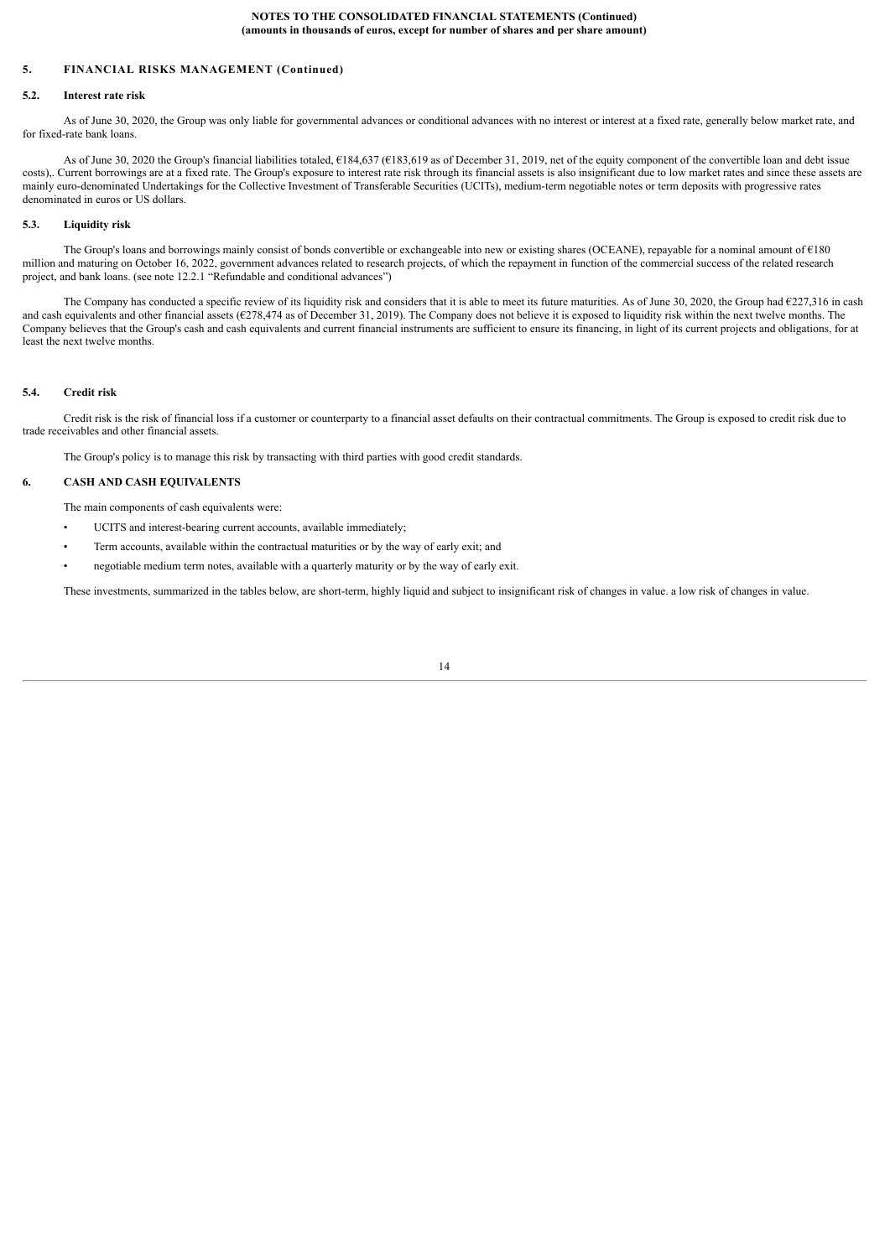### **5. FINANCIAL RISKS MANAGEMENT (Continued)**

# <span id="page-13-0"></span>**5.2. Interest rate risk**

As of June 30, 2020, the Group was only liable for governmental advances or conditional advances with no interest or interest at a fixed rate, generally below market rate, and for fixed-rate bank loans.

As of June 30, 2020 the Group's financial liabilities totaled,  $6184,637$  ( $6183,619$  as of December 31, 2019, net of the equity component of the convertible loan and debt issue costs),. Current borrowings are at a fixed rate. The Group's exposure to interest rate risk through its financial assets is also insignificant due to low market rates and since these assets are mainly euro-denominated Undertakings for the Collective Investment of Transferable Securities (UCITs), medium-term negotiable notes or term deposits with progressive rates denominated in euros or US dollars.

# <span id="page-13-1"></span>**5.3. Liquidity risk**

The Group's loans and borrowings mainly consist of bonds convertible or exchangeable into new or existing shares (OCEANE), repayable for a nominal amount of €180 million and maturing on October 16, 2022, government advances related to research projects, of which the repayment in function of the commercial success of the related research project, and bank loans. (see note 12.2.1 "Refundable and conditional advances")

The Company has conducted a specific review of its liquidity risk and considers that it is able to meet its future maturities. As of June 30, 2020, the Group had €227,316 in cash and cash equivalents and other financial assets (€278,474 as of December 31, 2019). The Company does not believe it is exposed to liquidity risk within the next twelve months. The Company believes that the Group's cash and cash equivalents and current financial instruments are sufficient to ensure its financing, in light of its current projects and obligations, for at least the next twelve months.

#### <span id="page-13-2"></span>**5.4. Credit risk**

Credit risk is the risk of financial loss if a customer or counterparty to a financial asset defaults on their contractual commitments. The Group is exposed to credit risk due to trade receivables and other financial assets.

<span id="page-13-3"></span>The Group's policy is to manage this risk by transacting with third parties with good credit standards.

# **6. CASH AND CASH EQUIVALENTS**

The main components of cash equivalents were:

- UCITS and interest-bearing current accounts, available immediately;
- Term accounts, available within the contractual maturities or by the way of early exit; and
- negotiable medium term notes, available with a quarterly maturity or by the way of early exit.

These investments, summarized in the tables below, are short-term, highly liquid and subject to insignificant risk of changes in value. a low risk of changes in value.

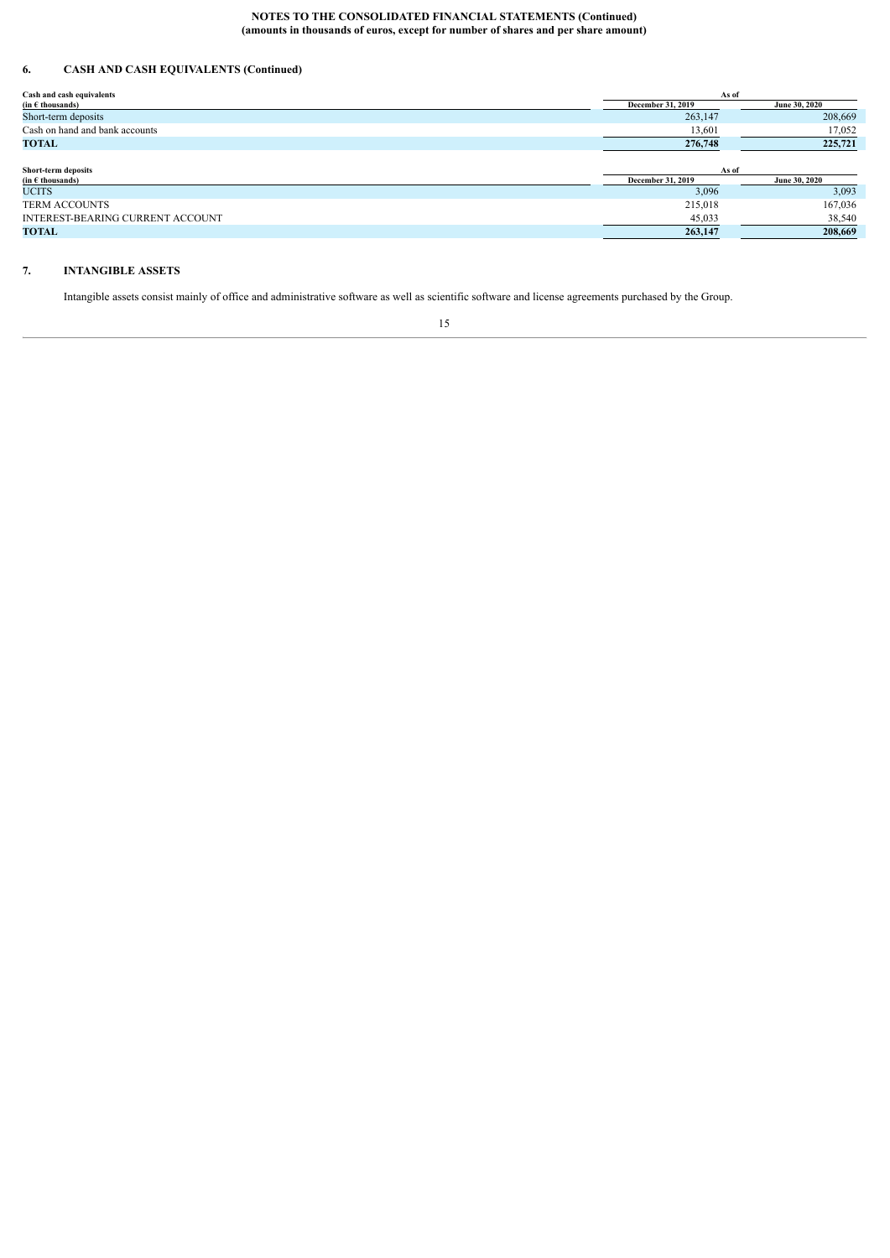# **6. CASH AND CASH EQUIVALENTS (Continued)**

| Cash and cash equivalents                                   | As of                    |               |
|-------------------------------------------------------------|--------------------------|---------------|
| $(in \in \mathsf{th} \mathsf{ous} \mathsf{and} \mathsf{s})$ | <b>December 31, 2019</b> | June 30, 2020 |
| Short-term deposits                                         | 263,147                  | 208,669       |
| Cash on hand and bank accounts                              | 13,601                   | 17,052        |
| <b>TOTAL</b>                                                | 276,748                  | 225,721       |
|                                                             |                          |               |
| Short-term deposits                                         | As of                    |               |
| (in $E$ thousands)                                          | December 31, 2019        | June 30, 2020 |
| <b>UCITS</b>                                                | 3,096                    | 3,093         |
| <b>TERM ACCOUNTS</b>                                        | 215,018                  | 167,036       |
| INTEREST-BEARING CURRENT ACCOUNT                            | 45,033                   | 38,540        |
| <b>TOTAL</b>                                                | 263,147                  | 208,669       |

# **7. INTANGIBLE ASSETS**

<span id="page-14-0"></span>Intangible assets consist mainly of office and administrative software as well as scientific software and license agreements purchased by the Group.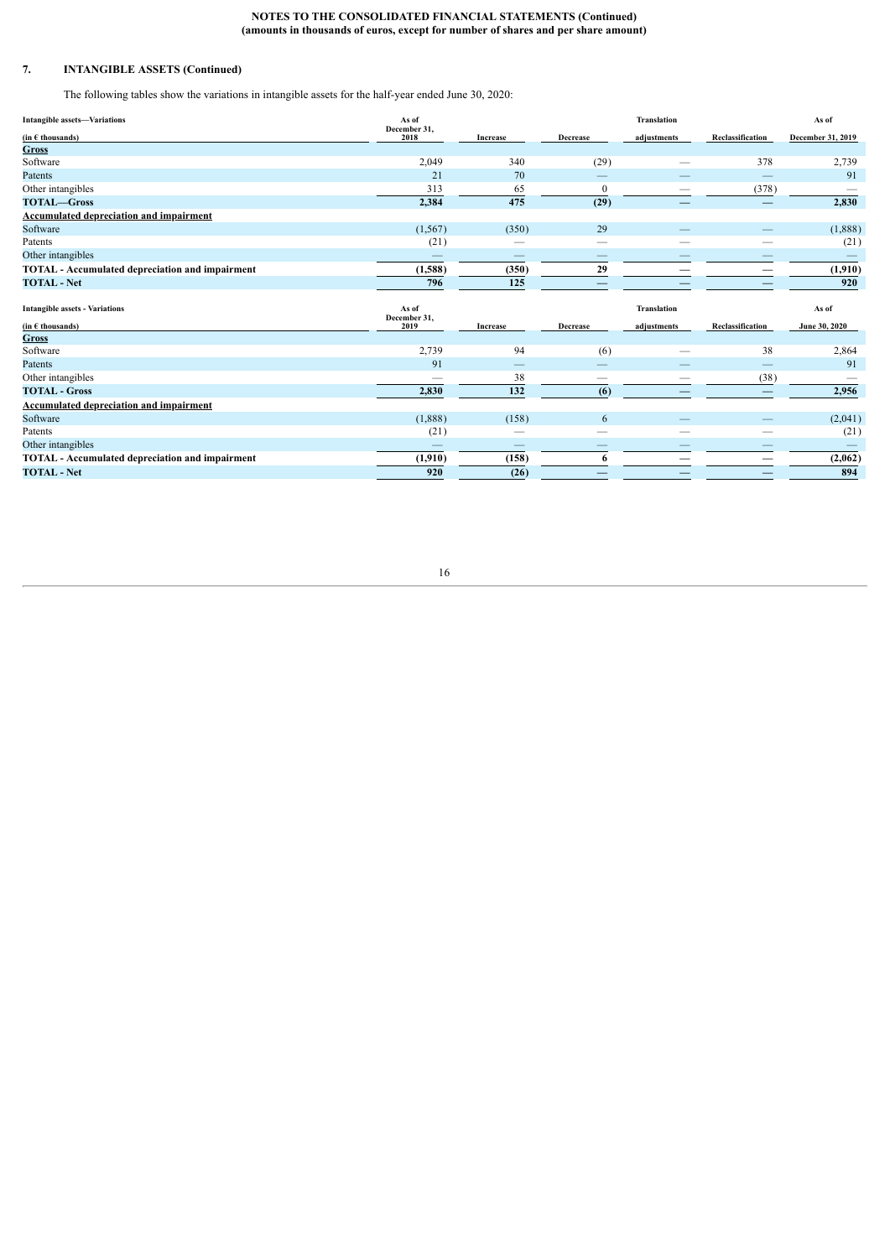# **7. INTANGIBLE ASSETS (Continued)**

The following tables show the variations in intangible assets for the half-year ended June 30, 2020:

| <b>Intangible assets-Variations</b>                    | As of<br>December 31,         |                 |                 | Translation        |                                | As of             |
|--------------------------------------------------------|-------------------------------|-----------------|-----------------|--------------------|--------------------------------|-------------------|
| $(in \in thousands)$                                   | 2018                          | Increase        | Decrease        | adjustments        | Reclassification               | December 31, 2019 |
| <b>Gross</b>                                           |                               |                 |                 |                    |                                |                   |
| Software                                               | 2,049                         | 340             | (29)            | --                 | 378                            | 2,739             |
| Patents                                                | 21                            | 70              |                 |                    |                                | 91                |
| Other intangibles                                      | 313                           | 65              | $\theta$        |                    | (378)                          |                   |
| <b>TOTAL-Gross</b>                                     | 2,384                         | 475             | (29)            |                    |                                | 2,830             |
| <b>Accumulated depreciation and impairment</b>         |                               |                 |                 |                    |                                |                   |
| Software                                               | (1, 567)                      | (350)           | 29              |                    |                                | (1,888)           |
| Patents                                                | (21)                          |                 |                 | --                 |                                | (21)              |
| Other intangibles                                      |                               |                 |                 |                    |                                |                   |
| <b>TOTAL</b> - Accumulated depreciation and impairment | (1,588)                       | (350)           | 29              |                    |                                | (1,910)           |
| <b>TOTAL - Net</b>                                     | 796                           | 125             |                 |                    |                                | 920               |
|                                                        |                               |                 |                 |                    |                                |                   |
| <b>Intangible assets - Variations</b>                  | As of<br>December 31,<br>2019 |                 |                 | <b>Translation</b> |                                | As of             |
| $(in \in thousands)$<br><b>Gross</b>                   |                               | <b>Increase</b> | <b>Decrease</b> | adjustments        | Reclassification               | June 30, 2020     |
| Software                                               | 2,739                         | 94              | (6)             | --                 | 38                             | 2,864             |
| Patents                                                | 91                            |                 |                 |                    | $\qquad \qquad \longleftarrow$ | 91                |
| Other intangibles                                      |                               | 38              |                 |                    | (38)                           |                   |
| <b>TOTAL - Gross</b>                                   | 2,830                         | 132             | (6)             |                    |                                | 2,956             |
| <b>Accumulated depreciation and impairment</b>         |                               |                 |                 |                    |                                |                   |
| Software                                               | (1,888)                       | (158)           | 6               |                    |                                | (2,041)           |
| Patents                                                | (21)                          | --              |                 |                    |                                | (21)              |
| Other intangibles                                      |                               | --              |                 |                    |                                |                   |
| <b>TOTAL</b> - Accumulated depreciation and impairment | (1,910)                       | (158)           | 6               |                    | –                              | (2,062)           |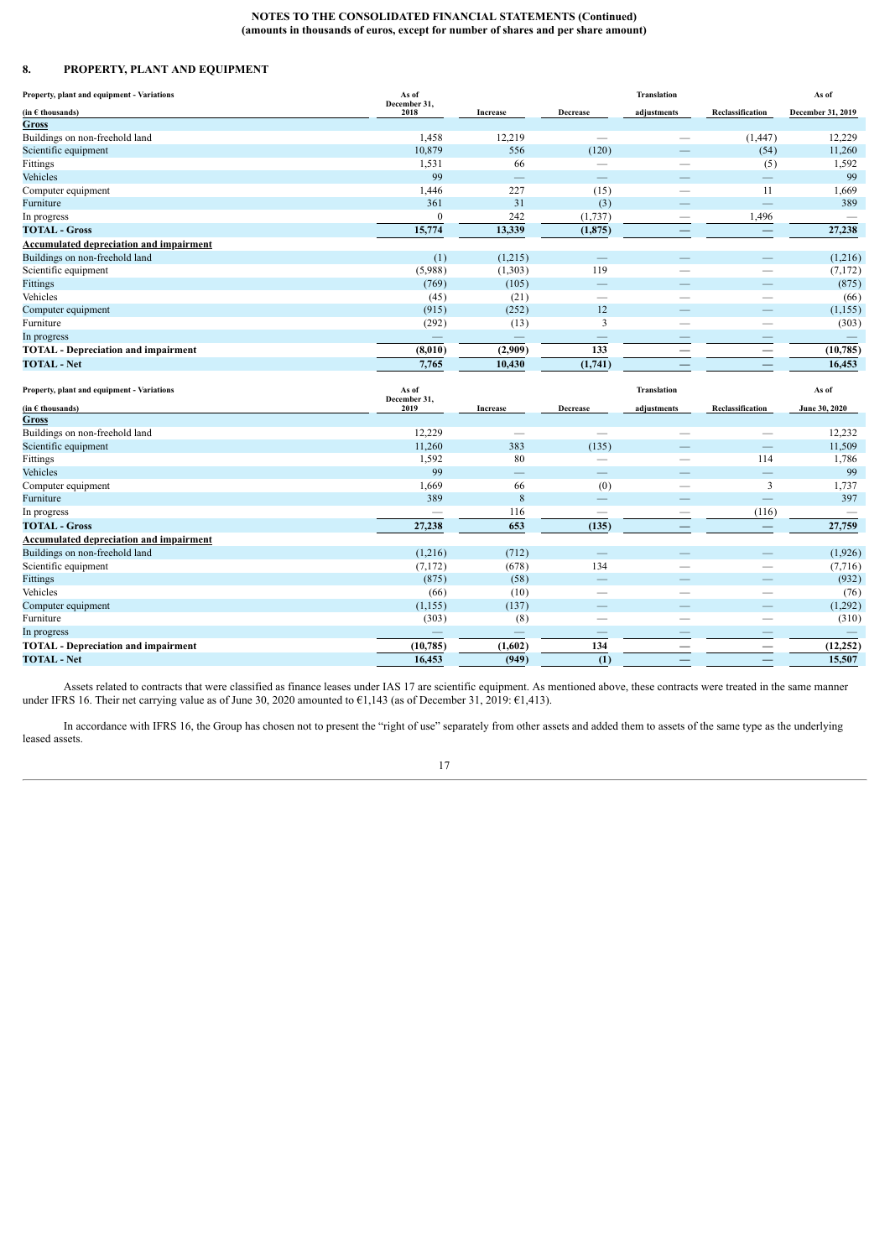# <span id="page-16-0"></span>**8. PROPERTY, PLANT AND EQUIPMENT**

| Property, plant and equipment - Variations                | As of<br>December 31, |                          |                          | Translation                   |                                                      | As of                           |
|-----------------------------------------------------------|-----------------------|--------------------------|--------------------------|-------------------------------|------------------------------------------------------|---------------------------------|
| $(in \in$ thousands)                                      | 2018                  | Increase                 | Decrease                 | adjustments                   | Reclassification                                     | December 31, 2019               |
| Gross                                                     |                       |                          |                          |                               |                                                      |                                 |
| Buildings on non-freehold land                            | 1,458                 | 12,219                   | $\equiv$                 |                               | (1, 447)                                             | 12,229                          |
| Scientific equipment                                      | 10,879                | 556                      | (120)                    |                               | (54)                                                 | 11,260                          |
| Fittings                                                  | 1,531                 | 66                       |                          |                               | (5)                                                  | 1,592                           |
| Vehicles                                                  | 99                    | $\qquad \qquad -$        | $\frac{1}{2}$            |                               | $\overline{\phantom{m}}$                             | 99                              |
| Computer equipment                                        | 1,446                 | 227                      | (15)                     | $\overline{\phantom{0}}$      | 11                                                   | 1,669                           |
| Furniture                                                 | 361                   | 31                       | (3)                      |                               | -                                                    | 389                             |
| In progress                                               | $\boldsymbol{0}$      | 242                      | (1,737)                  | $\overline{\phantom{0}}$      | 1,496                                                |                                 |
| <b>TOTAL - Gross</b>                                      | 15,774                | 13,339                   | (1, 875)                 | -                             | $\overline{\phantom{0}}$                             | 27,238                          |
| <b>Accumulated depreciation and impairment</b>            |                       |                          |                          |                               |                                                      |                                 |
| Buildings on non-freehold land                            | (1)                   | (1,215)                  | -                        |                               | $\qquad \qquad \longleftarrow$                       | (1,216)                         |
| Scientific equipment                                      | (5,988)               | (1,303)                  | 119                      | $\overline{\phantom{0}}$      | $\qquad \qquad$                                      | (7,172)                         |
| Fittings                                                  | (769)                 | (105)                    | ÷,                       |                               |                                                      | (875)                           |
| Vehicles                                                  | (45)                  | (21)                     | $\equiv$                 | $\overline{\phantom{0}}$      |                                                      | (66)                            |
| Computer equipment                                        | (915)                 | (252)                    | 12                       |                               | $\overline{\phantom{0}}$                             | (1, 155)                        |
| Furniture                                                 | (292)                 | (13)                     | 3                        |                               | $\overline{\phantom{0}}$                             | (303)                           |
| In progress                                               | $\longrightarrow$     | $\qquad \qquad -$        |                          | $\overline{\phantom{0}}$      | $\overline{\phantom{0}}$                             | $\hspace{0.1mm}-\hspace{0.1mm}$ |
| <b>TOTAL</b> - Depreciation and impairment                | (8,010)               | (2,909)                  | 133                      | $\overline{\phantom{0}}$      |                                                      | (10, 785)                       |
| <b>TOTAL - Net</b>                                        | 7,765                 | 10,430                   | (1,741)                  |                               | $\overline{\phantom{0}}$                             | 16,453                          |
|                                                           |                       |                          |                          |                               |                                                      |                                 |
| Property, plant and equipment - Variations                | As of<br>December 31, |                          |                          | <b>Translation</b>            |                                                      | As of                           |
| $(in \in$ thousands)                                      | 2019                  | Increase                 | Decrease                 | adjustments                   | Reclassification                                     | <b>June 30, 2020</b>            |
| Gross                                                     |                       |                          |                          |                               |                                                      |                                 |
| Buildings on non-freehold land                            | 12,229                |                          | $\frac{1}{2}$            |                               | $\overline{\phantom{0}}$                             | 12,232                          |
| Scientific equipment                                      | 11,260                | 383                      | (135)                    |                               | $\equiv$                                             | 11,509                          |
| Fittings                                                  | 1,592                 | 80                       | $\equiv$                 |                               | 114                                                  | 1,786                           |
| Vehicles                                                  | 99                    | $\overline{\phantom{0}}$ | –                        | $\overline{\phantom{a}}$      | $\equiv$                                             | 99                              |
| Computer equipment                                        | 1,669                 | 66                       | (0)<br>$\equiv$          | $\overline{\phantom{a}}$      | 3                                                    | 1,737                           |
| Furniture                                                 | 389                   | 8                        |                          |                               | $\equiv$                                             | 397                             |
| In progress                                               |                       | 116                      | $\overline{\phantom{0}}$ | —<br>$\overline{\phantom{0}}$ | (116)                                                |                                 |
| <b>TOTAL - Gross</b>                                      | 27,238                | 653                      | (135)                    |                               |                                                      | 27,759                          |
| <b>Accumulated depreciation and impairment</b>            |                       |                          |                          | $\overline{\phantom{0}}$      |                                                      |                                 |
| Buildings on non-freehold land                            | (1,216)               | (712)                    | ÷                        |                               | $\overline{\phantom{m}}$                             | (1,926)                         |
| Scientific equipment                                      | (7, 172)              | (678)                    | 134                      |                               | $\overline{\phantom{0}}$                             | (7,716)                         |
| Fittings                                                  | (875)                 | (58)                     |                          |                               | $\overline{\phantom{0}}$<br>$\overline{\phantom{0}}$ | (932)                           |
| Vehicles                                                  | (66)                  | (10)                     | $\qquad \qquad -$        | -                             | $\overline{\phantom{0}}$                             | (76)                            |
| Computer equipment                                        | (1, 155)              | (137)                    | $\overline{\phantom{a}}$ | $\overline{\phantom{a}}$      |                                                      | (1,292)                         |
| Furniture                                                 | (303)                 | (8)                      |                          |                               |                                                      | (310)                           |
| In progress<br><b>TOTAL</b> - Depreciation and impairment | (10, 785)             | (1,602)                  | 134                      | $\qquad \qquad -$             | $\overline{\phantom{0}}$                             | (12, 252)                       |

Assets related to contracts that were classified as finance leases under IAS 17 are scientific equipment. As mentioned above, these contracts were treated in the same manner under IFRS 16. Their net carrying value as of June 30, 2020 amounted to €1,143 (as of December 31, 2019: €1,413).

In accordance with IFRS 16, the Group has chosen not to present the "right of use" separately from other assets and added them to assets of the same type as the underlying leased assets.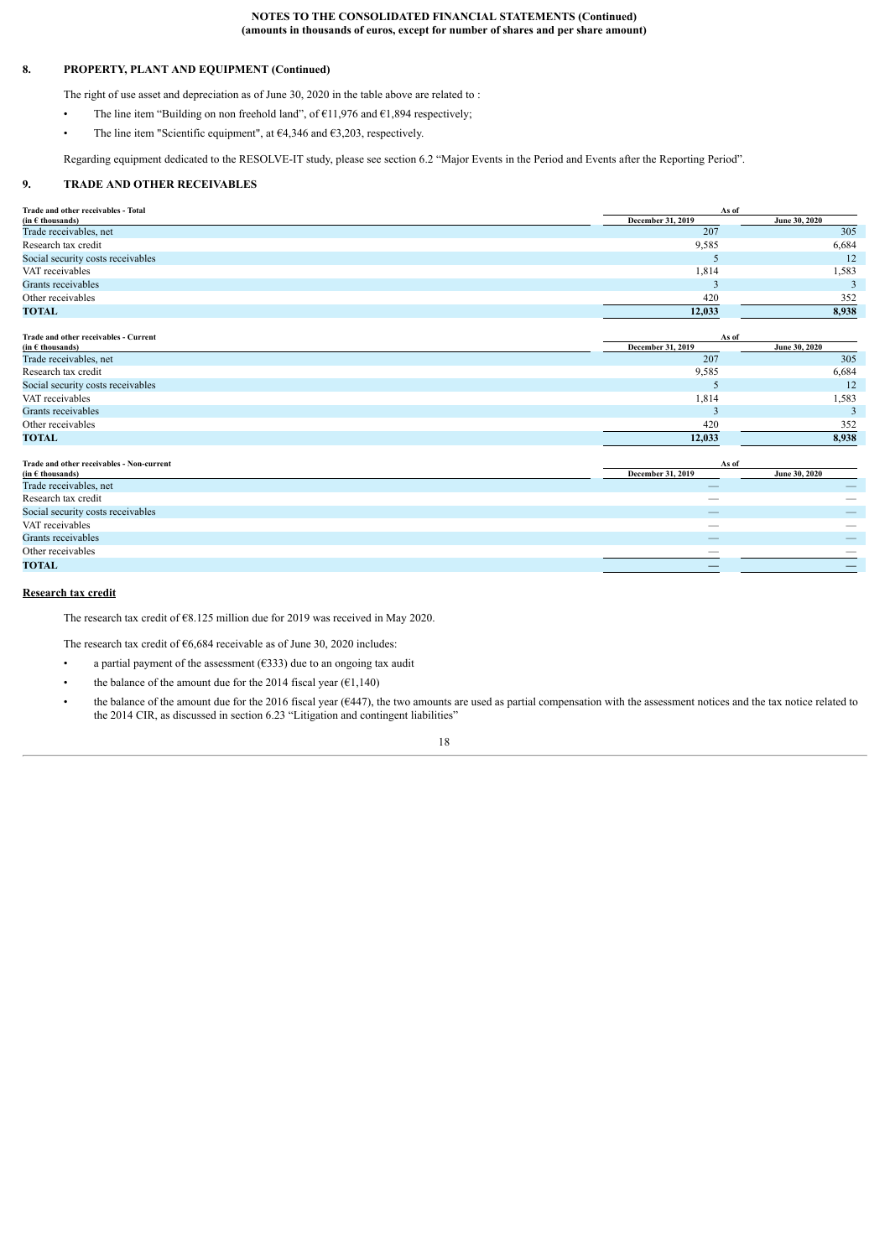# **8. PROPERTY, PLANT AND EQUIPMENT (Continued)**

The right of use asset and depreciation as of June 30, 2020 in the table above are related to :

- The line item "Building on non freehold land", of  $\epsilon$ 11,976 and  $\epsilon$ 1,894 respectively;
- The line item "Scientific equipment", at  $64,346$  and  $63,203$ , respectively.

<span id="page-17-0"></span>Regarding equipment dedicated to the RESOLVE-IT study, please see section 6.2 "Major Events in the Period and Events after the Reporting Period".

# **9. TRADE AND OTHER RECEIVABLES**

| Trade and other receivables - Total                         | As of             |               |  |
|-------------------------------------------------------------|-------------------|---------------|--|
| $(in \in \mathsf{th} \mathsf{ous} \mathsf{and} \mathsf{s})$ | December 31, 2019 | June 30, 2020 |  |
| Trade receivables, net                                      | 207               | 305           |  |
| Research tax credit                                         | 9,585             | 6,684         |  |
| Social security costs receivables                           |                   | $12^{\circ}$  |  |
| VAT receivables                                             | 1,814             | 1,583         |  |
| Grants receivables                                          |                   |               |  |
| Other receivables                                           | 420               | 352           |  |
| <b>TOTAL</b>                                                | 12,033            | 8,938         |  |

| Trade and other receivables - Current                       | As of             |               |  |  |
|-------------------------------------------------------------|-------------------|---------------|--|--|
| $(in \in \mathsf{th} \mathsf{ous} \mathsf{and} \mathsf{s})$ | December 31, 2019 | June 30, 2020 |  |  |
| Trade receivables, net                                      | 207               | 305           |  |  |
| Research tax credit                                         | 9,585             | 6,684         |  |  |
| Social security costs receivables                           |                   | 12            |  |  |
| VAT receivables                                             | 1,814             | 1,583         |  |  |
| Grants receivables                                          |                   |               |  |  |
| Other receivables                                           | 420               | 352           |  |  |
| <b>TOTAL</b>                                                | 12,033            | 8.938         |  |  |

| Trade and other receivables - Non-current                   | As of                    |                                           |
|-------------------------------------------------------------|--------------------------|-------------------------------------------|
| $(in \in \mathsf{th} \mathsf{ous} \mathsf{and} \mathsf{s})$ | December 31, 2019        | June 30, 2020                             |
| Trade receivables, net                                      |                          |                                           |
| Research tax credit                                         | __                       | __                                        |
| Social security costs receivables                           | $\overline{\phantom{m}}$ | $\qquad \qquad \overline{\qquad \qquad }$ |
| VAT receivables                                             | $-$                      |                                           |
| Grants receivables                                          | --                       | __                                        |
| Other receivables                                           |                          | __                                        |
| <b>TOTAL</b>                                                |                          |                                           |
|                                                             |                          |                                           |

### **Research tax credit**

The research tax credit of €8.125 million due for 2019 was received in May 2020.

The research tax credit of €6,684 receivable as of June 30, 2020 includes:

- a partial payment of the assessment  $(6333)$  due to an ongoing tax audit
- the balance of the amount due for the 2014 fiscal year  $(61,140)$
- the balance of the amount due for the 2016 fiscal year (€447), the two amounts are used as partial compensation with the assessment notices and the tax notice related to the 2014 CIR, as discussed in section 6.23 "Litigation and contingent liabilities"

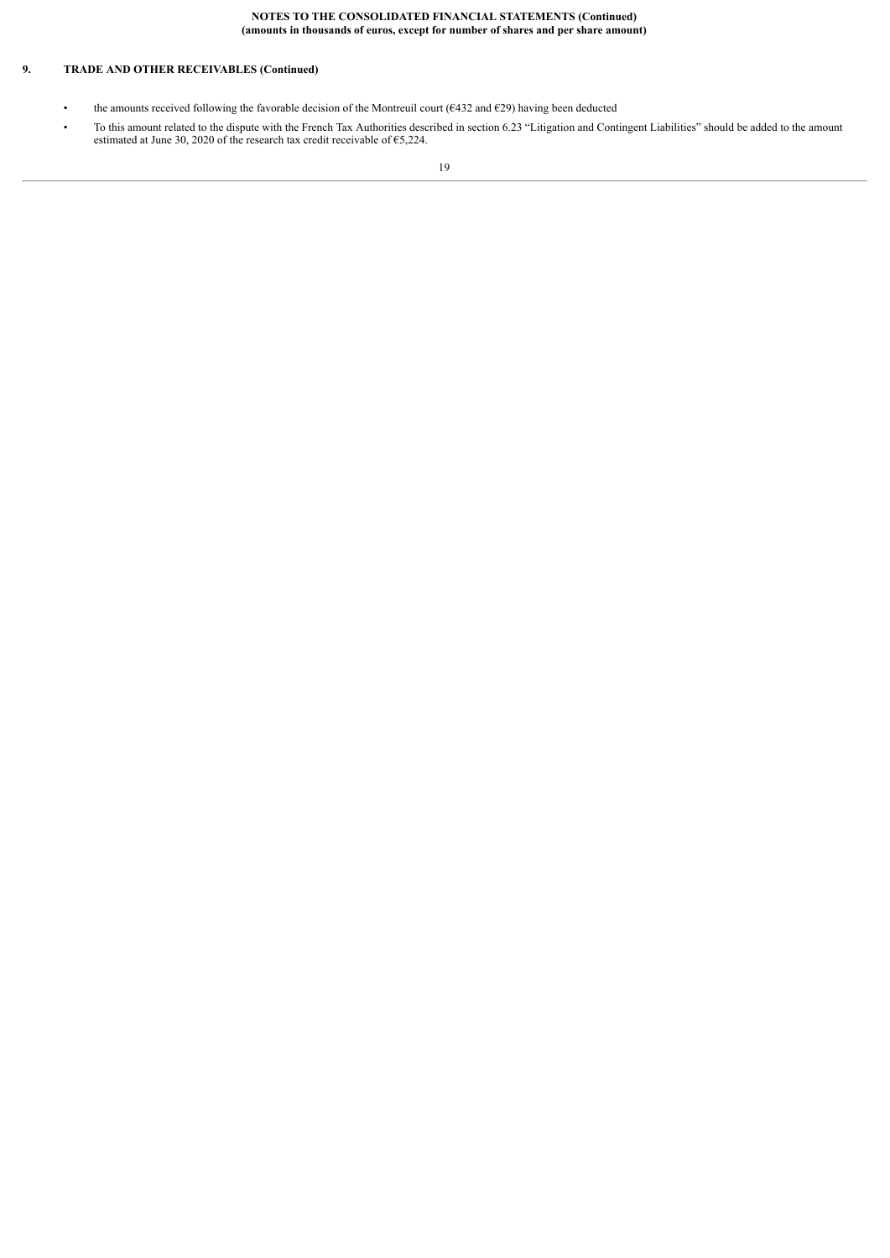# **9. TRADE AND OTHER RECEIVABLES (Continued)**

- the amounts received following the favorable decision of the Montreuil court ( $\epsilon$ 432 and  $\epsilon$ 29) having been deducted
- To this amount related to the dispute with the French Tax Authorities described in section 6.23 "Litigation and Contingent Liabilities" should be added to the amount estimated at June 30, 2020 of the research tax credit receivable of €5,224.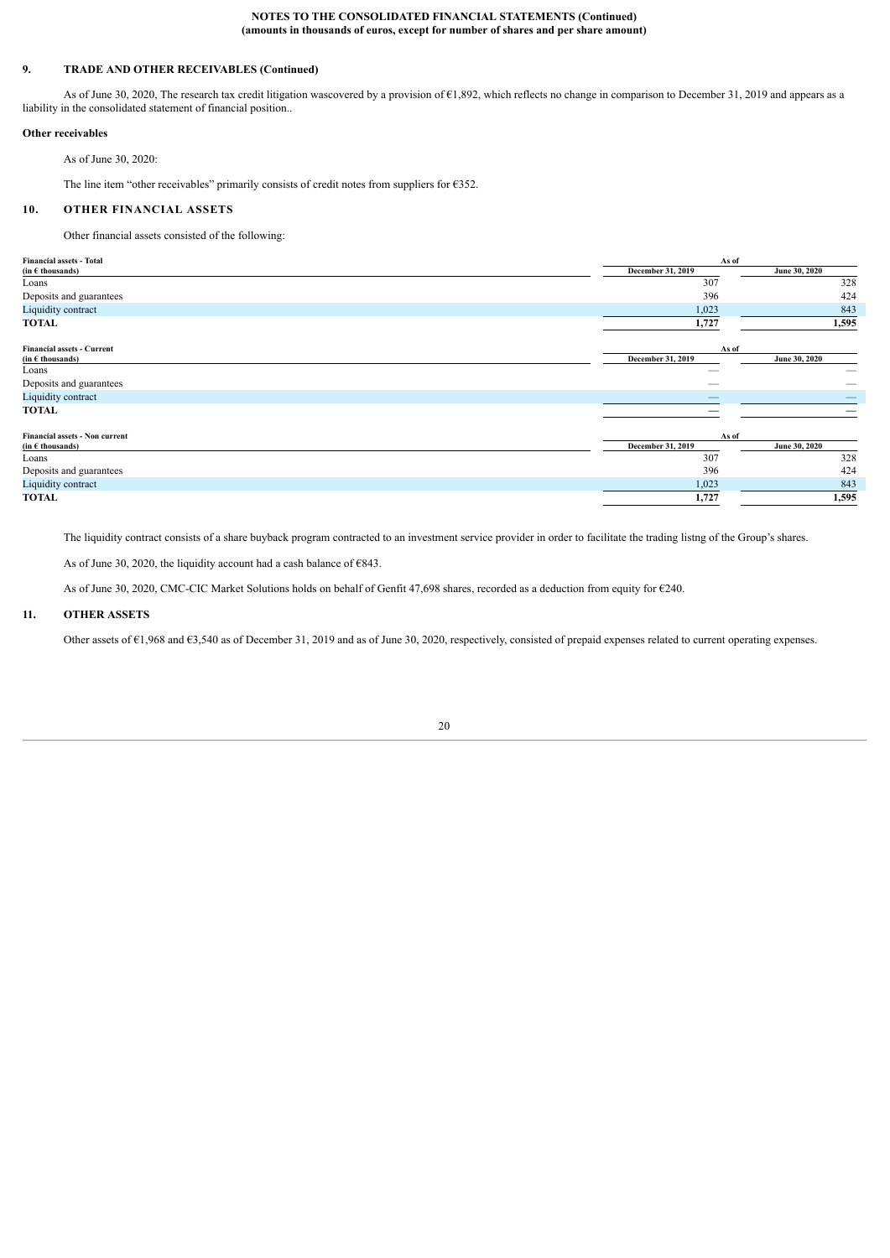# **9. TRADE AND OTHER RECEIVABLES (Continued)**

As of June 30, 2020, The research tax credit litigation wascovered by a provision of €1,892, which reflects no change in comparison to December 31, 2019 and appears as a liability in the consolidated statement of financial position..

#### **Other receivables**

As of June 30, 2020:

<span id="page-19-0"></span>The line item "other receivables" primarily consists of credit notes from suppliers for €352.

# **10. OTHER FINANCIAL ASSETS**

Other financial assets consisted of the following:

| <b>Financial assets - Total</b>                                | As of                      |               |  |
|----------------------------------------------------------------|----------------------------|---------------|--|
| (in $\epsilon$ thousands)                                      | December 31, 2019          | June 30, 2020 |  |
| Loans                                                          | 307                        | 328           |  |
| Deposits and guarantees                                        | 396                        | 424           |  |
| Liquidity contract                                             | 1,023                      | 843           |  |
| TOTAL                                                          | 1,727                      | 1,595         |  |
| <b>Financial assets - Current</b><br>(in $\epsilon$ thousands) | As of<br>December 31, 2019 | June 30, 2020 |  |
| Loans                                                          |                            |               |  |
| Deposits and guarantees                                        |                            |               |  |
| Liquidity contract                                             |                            |               |  |
| TOTAL                                                          |                            |               |  |
| <b>Financial assets - Non current</b>                          | As of                      |               |  |
| (in $\epsilon$ thousands)                                      | December 31, 2019          | June 30, 2020 |  |
| Loans                                                          | 307                        | 328           |  |
| Deposits and guarantees                                        | 396                        | 424           |  |
| Liquidity contract                                             | 1,023                      | 843           |  |
| TOTAL                                                          | 1,727                      | 1,595         |  |

The liquidity contract consists of a share buyback program contracted to an investment service provider in order to facilitate the trading listng of the Group's shares.

As of June 30, 2020, the liquidity account had a cash balance of  $\epsilon$ 843.

<span id="page-19-1"></span>As of June 30, 2020, CMC-CIC Market Solutions holds on behalf of Genfit 47,698 shares, recorded as a deduction from equity for €240.

# **11. OTHER ASSETS**

Other assets of €1,968 and €3,540 as of December 31, 2019 and as of June 30, 2020, respectively, consisted of prepaid expenses related to current operating expenses.

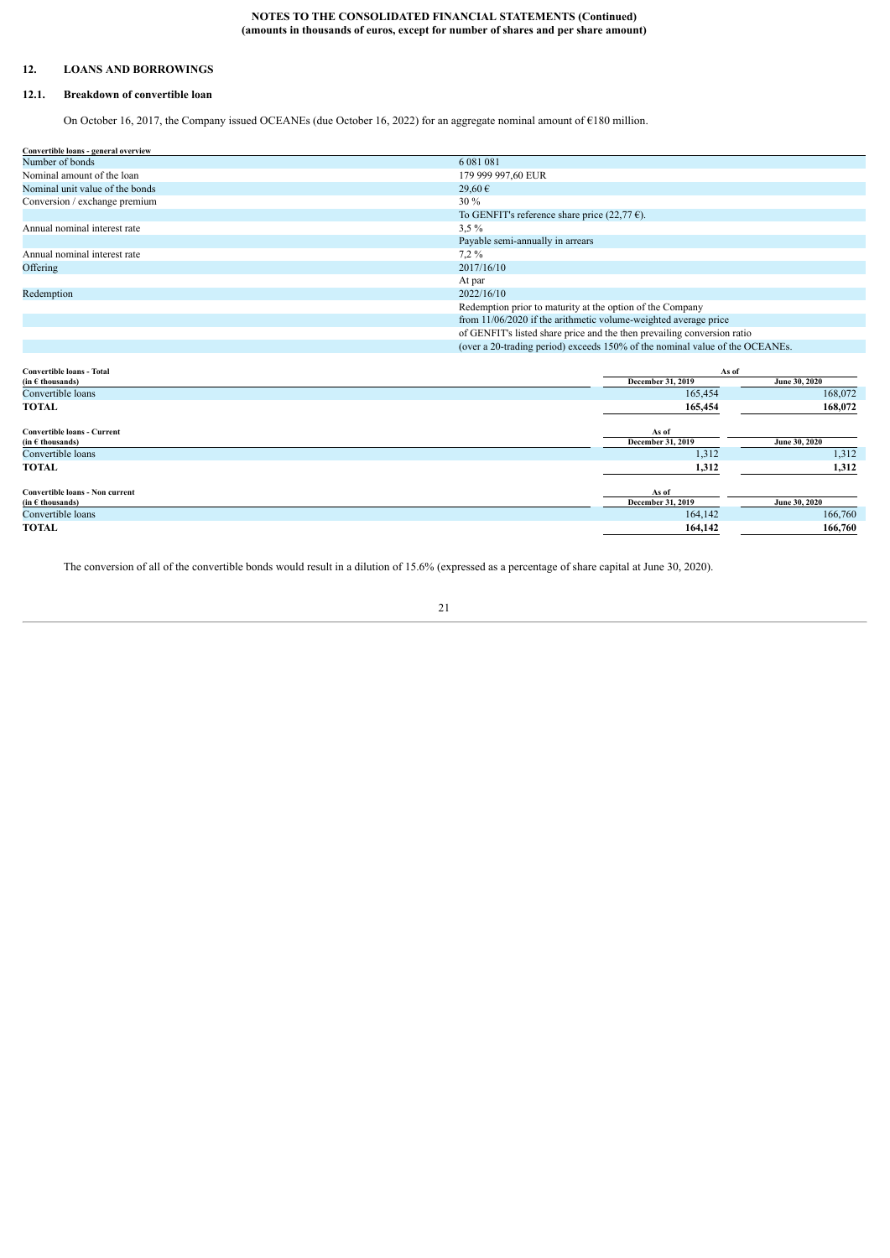# <span id="page-20-0"></span>**12. LOANS AND BORROWINGS**

# **12.1. Breakdown of convertible loan**

<span id="page-20-1"></span>On October 16, 2017, the Company issued OCEANEs (due October 16, 2022) for an aggregate nominal amount of €180 million.

| Convertible loans - general overview |                                                                              |               |  |  |
|--------------------------------------|------------------------------------------------------------------------------|---------------|--|--|
| Number of bonds                      | 6 081 081                                                                    |               |  |  |
| Nominal amount of the loan           | 179 999 997,60 EUR                                                           |               |  |  |
| Nominal unit value of the bonds      | 29,60€                                                                       |               |  |  |
| Conversion / exchange premium        | 30 %                                                                         |               |  |  |
|                                      | To GENFIT's reference share price $(22, 77 \epsilon)$ .                      |               |  |  |
| Annual nominal interest rate         | 3,5%                                                                         |               |  |  |
|                                      | Payable semi-annually in arrears                                             |               |  |  |
| Annual nominal interest rate         | 7,2%                                                                         |               |  |  |
| Offering                             | 2017/16/10                                                                   |               |  |  |
|                                      | At par                                                                       |               |  |  |
| Redemption                           | 2022/16/10                                                                   |               |  |  |
|                                      | Redemption prior to maturity at the option of the Company                    |               |  |  |
|                                      | from 11/06/2020 if the arithmetic volume-weighted average price              |               |  |  |
|                                      | of GENFIT's listed share price and the then prevailing conversion ratio      |               |  |  |
|                                      | (over a 20-trading period) exceeds 150% of the nominal value of the OCEANEs. |               |  |  |
|                                      |                                                                              |               |  |  |
| <b>Convertible loans - Total</b>     | As of                                                                        |               |  |  |
| $(in \in \mathsf{th}ousands)$        | December 31, 2019                                                            | June 30, 2020 |  |  |
| Convertible loans                    | 165,454                                                                      | 168,072       |  |  |
| TOTAL                                | 165,454                                                                      | 168,072       |  |  |
| <b>Convertible loans - Current</b>   | As of                                                                        |               |  |  |
| $(in \in \mathsf{th}ousands)$        | December 31, 2019                                                            | June 30, 2020 |  |  |
| Convertible loans                    | 1,312                                                                        | 1,312         |  |  |
| <b>TOTAL</b>                         | 1,312                                                                        | 1,312         |  |  |

| Convertible loans - Non current               | As of                    |               |
|-----------------------------------------------|--------------------------|---------------|
| $(in \in \mathbf{th} \text{ous} \text{ands})$ | <b>December 31, 2019</b> | June 30, 2020 |
| Convertible loans                             | 164,142                  | 166,760       |
| <b>TOTAL</b>                                  | 164,142                  | 166,760       |
|                                               |                          |               |

The conversion of all of the convertible bonds would result in a dilution of 15.6% (expressed as a percentage of share capital at June 30, 2020).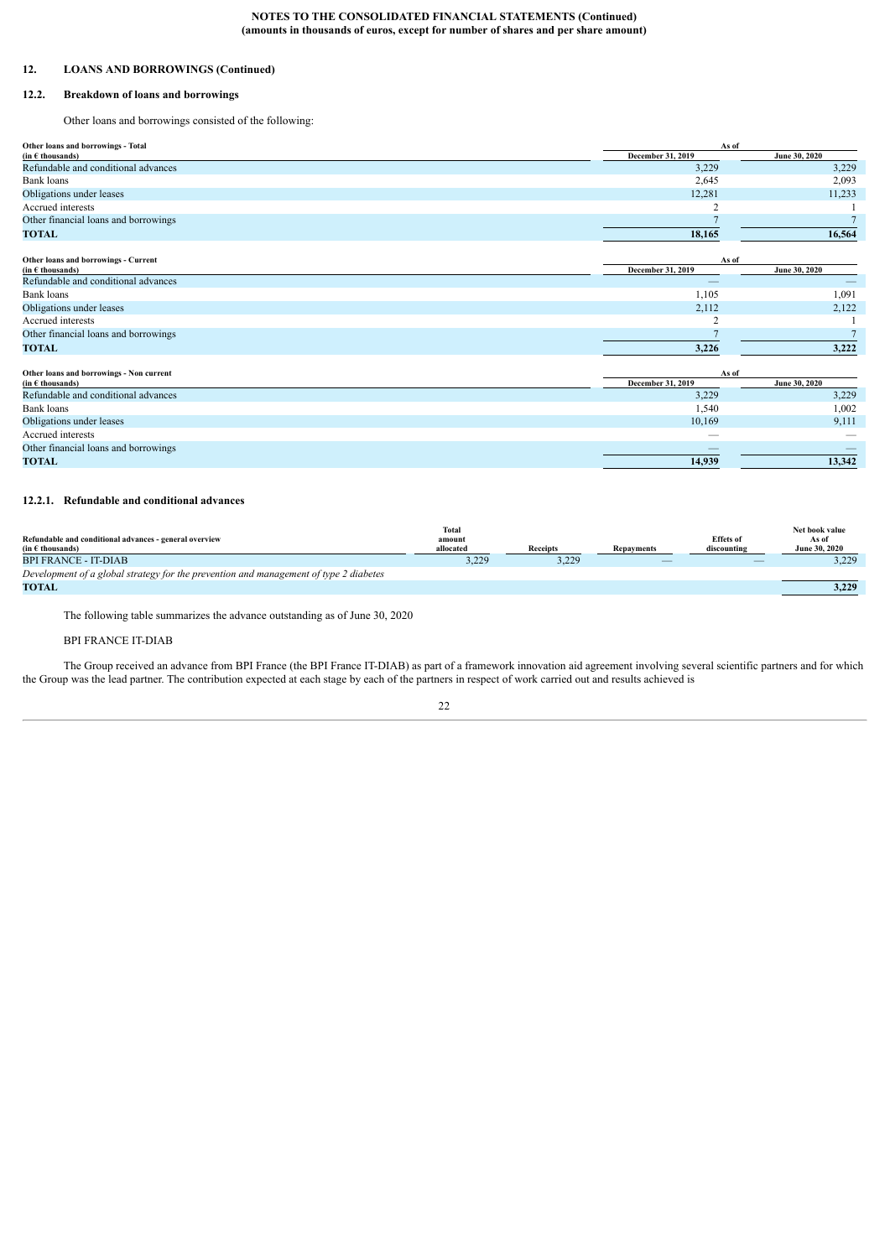# **12. LOANS AND BORROWINGS (Continued)**

# **12.2. Breakdown of loans and borrowings**

<span id="page-21-0"></span>Other loans and borrowings consisted of the following:

| Other loans and borrowings - Total            | As of             |               |
|-----------------------------------------------|-------------------|---------------|
| $(in \in \mathbf{th} \text{ousands})$         | December 31, 2019 | June 30, 2020 |
| Refundable and conditional advances           | 3,229             | 3,229         |
| Bank loans                                    | 2,645             | 2,093         |
| Obligations under leases                      | 12,281            | 11,233        |
| Accrued interests                             |                   |               |
| Other financial loans and borrowings          |                   |               |
| <b>TOTAL</b>                                  | 18,165            | 16,564        |
| Other loans and borrowings - Current          | As of             |               |
| $(in \in \mathbf{th} \text{ousands})$         | December 31, 2019 | June 30, 2020 |
| Refundable and conditional advances           | __                |               |
| Bank loans                                    | 1,105             | 1,091         |
| Obligations under leases                      | 2,112             | 2,122         |
| Accrued interests                             |                   |               |
| Other financial loans and borrowings          |                   |               |
| <b>TOTAL</b>                                  | 3,226             | 3,222         |
| Other loans and borrowings - Non current      | As of             |               |
| $(in \in \mathsf{th} \text{ous} \text{ands})$ | December 31, 2019 | June 30, 2020 |
| Refundable and conditional advances           | 3,229             | 3,229         |
| .                                             | $- - -$           | .             |

| Bank loans                           | 1,540                    | 1.002  |
|--------------------------------------|--------------------------|--------|
| Obligations under leases             | 10,169                   | 9.111  |
| Accrued interests                    | __                       | __     |
| Other financial loans and borrowings | $\overline{\phantom{a}}$ | __     |
| <b>TOTAL</b>                         | 14.939                   | 13.342 |
|                                      |                          |        |

# **12.2.1. Refundable and conditional advances**

|                                                                                       | Total     |                 |                   |                  | Net book value       |
|---------------------------------------------------------------------------------------|-----------|-----------------|-------------------|------------------|----------------------|
| Refundable and conditional advances - general overview                                | amount    |                 |                   | <b>Effets</b> of | As of                |
| $(in \in \mathsf{th}ousands)$                                                         | allocated | <b>Receipts</b> | <b>Repayments</b> | discounting      | <b>June 30, 2020</b> |
| <b>BPI FRANCE - IT-DIAB</b>                                                           | 3,229     | 3,229           |                   | --               | 3,229                |
| Development of a global strategy for the prevention and management of type 2 diabetes |           |                 |                   |                  |                      |
| <b>TOTAL</b>                                                                          |           |                 |                   |                  | 3,229                |

The following table summarizes the advance outstanding as of June 30, 2020

# BPI FRANCE IT-DIAB

The Group received an advance from BPI France (the BPI France IT-DIAB) as part of a framework innovation aid agreement involving several scientific partners and for which the Group was the lead partner. The contribution expected at each stage by each of the partners in respect of work carried out and results achieved is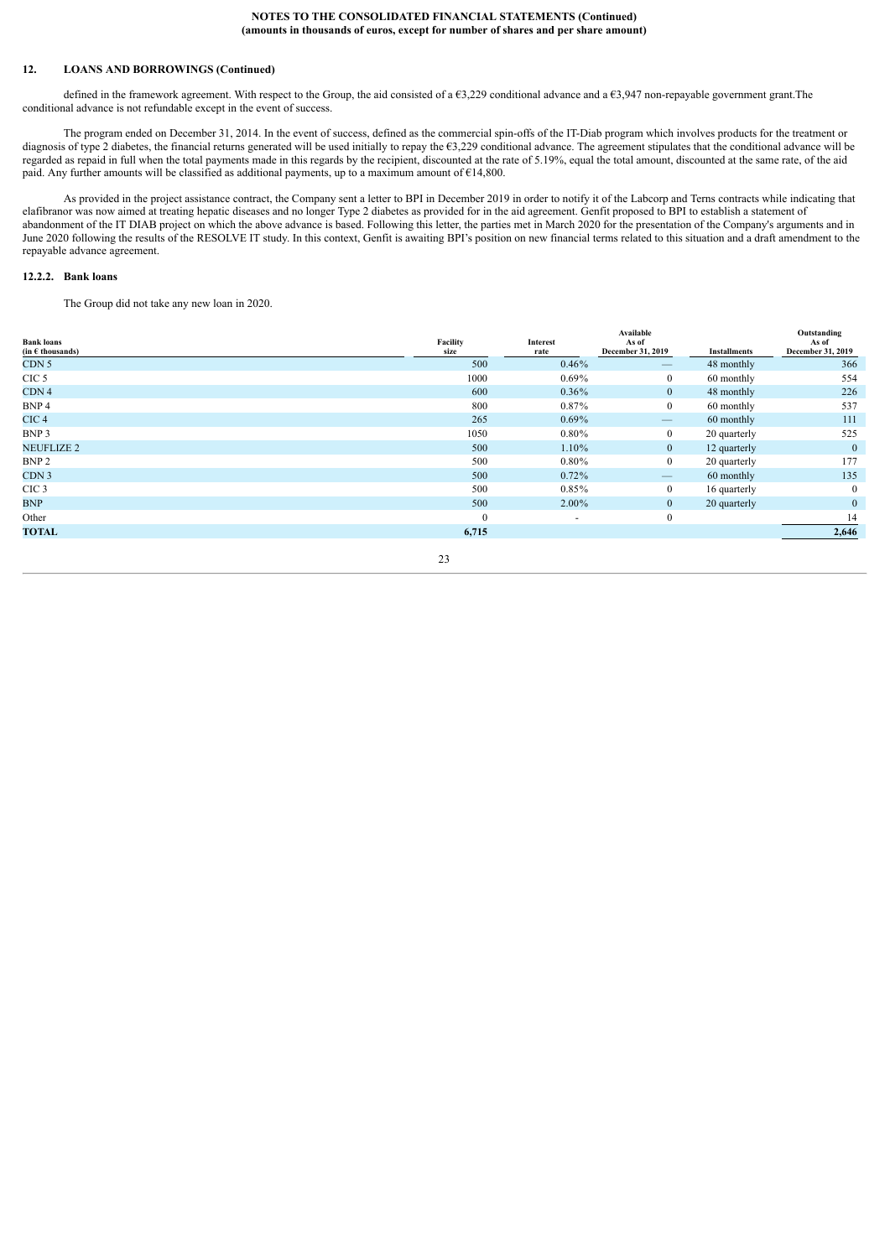# **12. LOANS AND BORROWINGS (Continued)**

defined in the framework agreement. With respect to the Group, the aid consisted of a  $63,229$  conditional advance and a  $63,947$  non-repayable government grant. The conditional advance is not refundable except in the event of success.

The program ended on December 31, 2014. In the event of success, defined as the commercial spin-offs of the IT-Diab program which involves products for the treatment or diagnosis of type 2 diabetes, the financial returns generated will be used initially to repay the €3,229 conditional advance. The agreement stipulates that the conditional advance will be regarded as repaid in full when the total payments made in this regards by the recipient, discounted at the rate of 5.19%, equal the total amount, discounted at the same rate, of the aid paid. Any further amounts will be classified as additional payments, up to a maximum amount of €14,800.

As provided in the project assistance contract, the Company sent a letter to BPI in December 2019 in order to notify it of the Labcorp and Terns contracts while indicating that elafibranor was now aimed at treating hepatic diseases and no longer Type 2 diabetes as provided for in the aid agreement. Genfit proposed to BPI to establish a statement of abandonment of the IT DIAB project on which the above advance is based. Following this letter, the parties met in March 2020 for the presentation of the Company's arguments and in June 2020 following the results of the RESOLVE IT study. In this context, Genfit is awaiting BPI's position on new financial terms related to this situation and a draft amendment to the repayable advance agreement.

#### **12.2.2. Bank loans**

The Group did not take any new loan in 2020.

| <b>Bank loans</b><br>(in $\epsilon$ thousands) | Facility<br>size | Interest<br>rate | Available<br>As of<br>December 31, 2019 | <b>Installments</b> | Outstanding<br>As of<br>December 31, 2019 |
|------------------------------------------------|------------------|------------------|-----------------------------------------|---------------------|-------------------------------------------|
| CDN <sub>5</sub>                               | 500              | 0.46%            | $\qquad \qquad -$                       | 48 monthly          | 366                                       |
| CIC <sub>5</sub>                               | 1000             | $0.69\%$         | $\mathbf{0}$                            | 60 monthly          | 554                                       |
| CDN <sub>4</sub>                               | 600              | $0.36\%$         | $\overline{0}$                          | 48 monthly          | 226                                       |
| BNP 4                                          | 800              | 0.87%            | $\overline{0}$                          | 60 monthly          | 537                                       |
| CIC <sub>4</sub>                               | 265              | $0.69\%$         | $\qquad \qquad \longleftarrow$          | 60 monthly          | 111                                       |
| BNP 3                                          | 1050             | $0.80\%$         | $\overline{0}$                          | 20 quarterly        | 525                                       |
| <b>NEUFLIZE 2</b>                              | 500              | $1.10\%$         | $\overline{0}$                          | 12 quarterly        | $\mathbf{0}$                              |
| BNP <sub>2</sub>                               | 500              | $0.80\%$         | $\overline{0}$                          | 20 quarterly        | 177                                       |
| CDN <sub>3</sub>                               | 500              | $0.72\%$         | $\overline{\phantom{m}}$                | 60 monthly          | 135                                       |
| CIC <sub>3</sub>                               | 500              | $0.85\%$         | $\overline{0}$                          | 16 quarterly        | $\mathbf{0}$                              |
| <b>BNP</b>                                     | 500              | 2.00%            | $\overline{0}$                          | 20 quarterly        | $\overline{0}$                            |
| Other                                          | $\mathbf{0}$     | ٠                | $\mathbf{0}$                            |                     | 14                                        |
| <b>TOTAL</b>                                   | 6,715            |                  |                                         |                     | 2,646                                     |
|                                                | $\sim$           |                  |                                         |                     |                                           |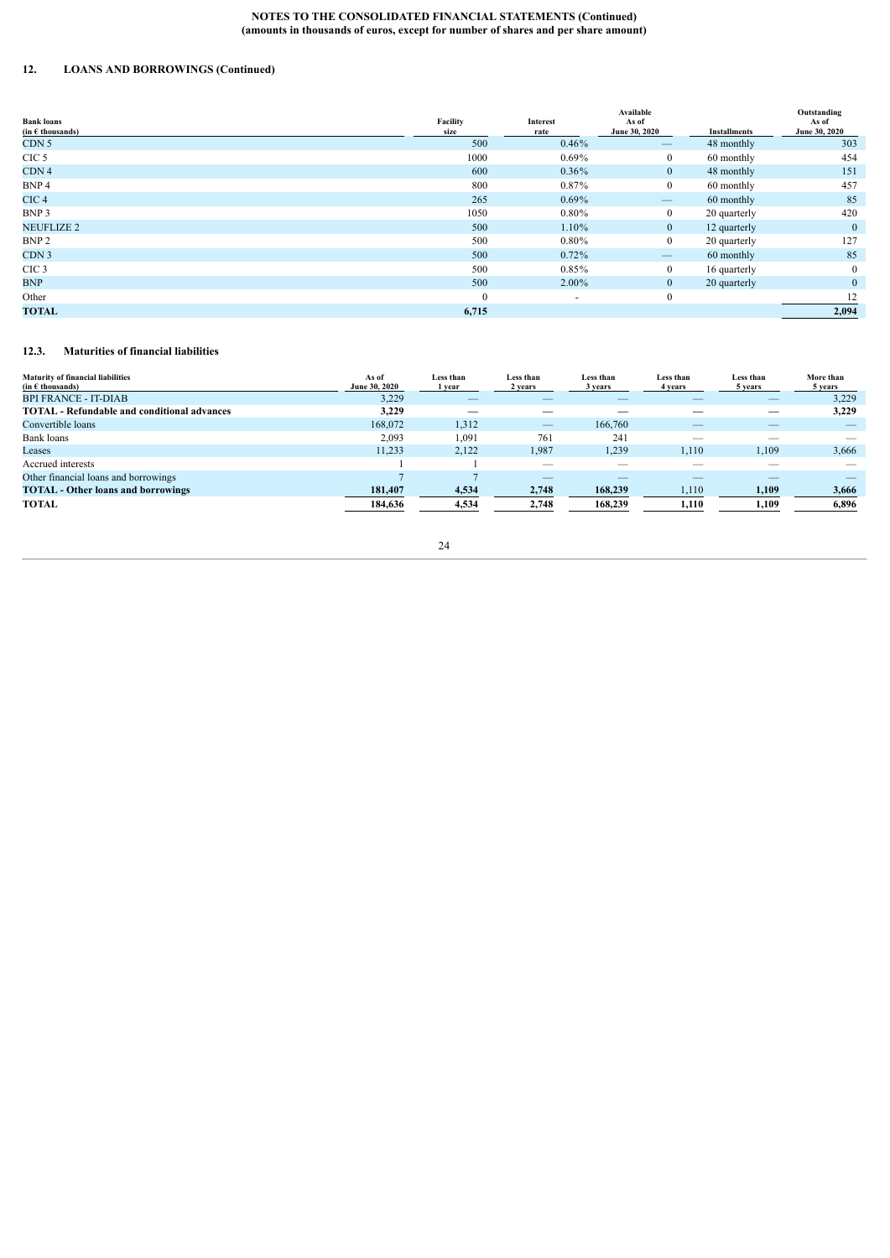# **12. LOANS AND BORROWINGS (Continued)**

| <b>Bank loans</b>         | Facility | Interest | Available<br>As of              |                     | Outstanding<br>As of |
|---------------------------|----------|----------|---------------------------------|---------------------|----------------------|
| (in $\epsilon$ thousands) | size     | rate     | June 30, 2020                   | <b>Installments</b> | June 30, 2020        |
| CDN <sub>5</sub>          | 500      | 0.46%    | $\qquad \qquad \longleftarrow$  | 48 monthly          | 303                  |
| CIC <sub>5</sub>          | 1000     | $0.69\%$ | $\overline{0}$                  | 60 monthly          | 454                  |
| CDN <sub>4</sub>          | 600      | $0.36\%$ | $\overline{0}$                  | 48 monthly          | 151                  |
| BNP 4                     | 800      | 0.87%    | $\overline{0}$                  | 60 monthly          | 457                  |
| CIC <sub>4</sub>          | 265      | $0.69\%$ | $\qquad \qquad \longleftarrow$  | 60 monthly          | 85                   |
| BNP 3                     | 1050     | $0.80\%$ | $\overline{0}$                  | 20 quarterly        | 420                  |
| <b>NEUFLIZE 2</b>         | 500      | 1.10%    | $\mathbf{0}$                    | 12 quarterly        | $\mathbf{0}$         |
| BNP <sub>2</sub>          | 500      | $0.80\%$ | $\overline{0}$                  | 20 quarterly        | 127                  |
| CDN <sub>3</sub>          | 500      | 0.72%    | $\hspace{0.1mm}-\hspace{0.1mm}$ | 60 monthly          | 85                   |
| CIC <sub>3</sub>          | 500      | $0.85\%$ | $\overline{0}$                  | 16 quarterly        | $\overline{0}$       |
| <b>BNP</b>                | 500      | $2.00\%$ | $\overline{0}$                  | 20 quarterly        | $\mathbf{0}$         |
| Other                     | $\theta$ | ٠        | $\overline{0}$                  |                     | 12                   |
| <b>TOTAL</b>              | 6,715    |          |                                 |                     | 2,094                |

# <span id="page-23-0"></span>**12.3. Maturities of financial liabilities**

| <b>Maturity of financial liabilities</b><br>(in $\epsilon$ thousands) | As of<br><b>June 30, 2020</b> | Less than<br>vear | Less than<br>2 years     | Less than<br>3 years | Less than<br>4 years     | Less than<br>5 years | More than<br>5 years |
|-----------------------------------------------------------------------|-------------------------------|-------------------|--------------------------|----------------------|--------------------------|----------------------|----------------------|
| <b>BPI FRANCE - IT-DIAB</b>                                           | 3,229                         |                   |                          |                      |                          |                      | 3,229                |
| <b>TOTAL</b> - Refundable and conditional advances                    | 3.229                         |                   |                          |                      |                          |                      | 3.229                |
| Convertible loans                                                     | 168,072                       | 1,312             | $\overline{\phantom{a}}$ | 166,760              |                          |                      |                      |
| Bank loans                                                            | 2,093                         | .091              | 761                      | 24                   | $\overline{\phantom{a}}$ | $\sim$               |                      |
| Leases                                                                | 11,233                        | 2,122             | 1,987                    | 1,239                | 1,110                    | 1,109                | 3,666                |
| Accrued interests                                                     |                               |                   |                          |                      |                          |                      |                      |
| Other financial loans and borrowings                                  |                               |                   |                          |                      |                          |                      |                      |
| <b>TOTAL</b> - Other loans and borrowings                             | 181.407                       | 4,534             | 2,748                    | 168,239              | 1,110                    | 1,109                | 3,666                |
| TOTAL                                                                 | 184.636                       | 4,534             | 2.748                    | 168,239              | 1.110                    | 1,109                | 6,896                |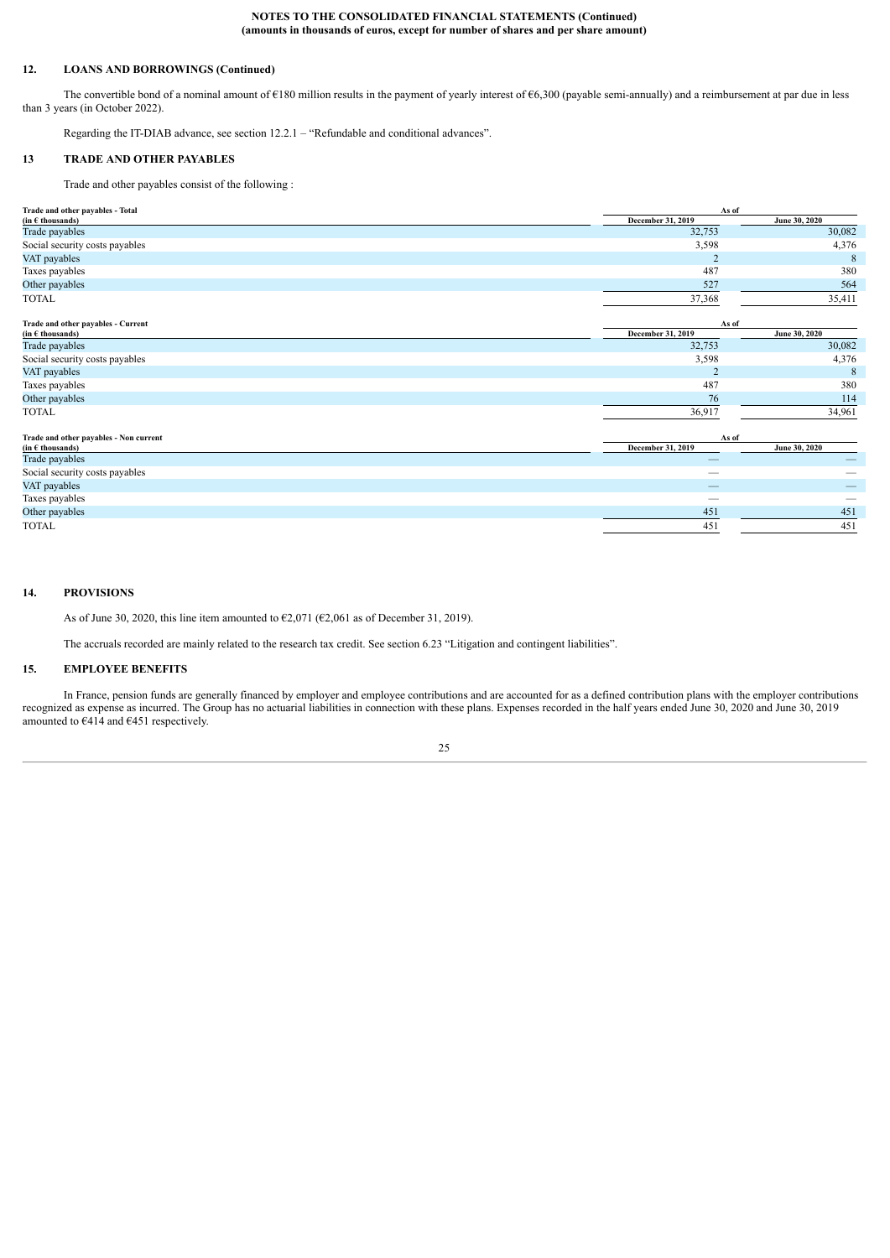## **12. LOANS AND BORROWINGS (Continued)**

The convertible bond of a nominal amount of  $E180$  million results in the payment of yearly interest of  $E6,300$  (payable semi-annually) and a reimbursement at par due in less than 3 years (in October 2022).

<span id="page-24-0"></span>Regarding the IT-DIAB advance, see section 12.2.1 – "Refundable and conditional advances".

# **13 TRADE AND OTHER PAYABLES**

Trade and other payables consist of the following :

| Trade and other payables - Total                            | As of                    |               |  |  |
|-------------------------------------------------------------|--------------------------|---------------|--|--|
| (in $\epsilon$ thousands)                                   | December 31, 2019        | June 30, 2020 |  |  |
| Trade payables                                              | 32,753                   | 30,082        |  |  |
| Social security costs payables                              | 3,598                    | 4,376         |  |  |
| VAT payables                                                | 2                        | 8             |  |  |
| Taxes payables                                              | 487                      | 380           |  |  |
| Other payables                                              | 527                      | 564           |  |  |
| <b>TOTAL</b>                                                | 37,368                   | 35,411        |  |  |
| Trade and other payables - Current                          | As of                    |               |  |  |
| (in $\epsilon$ thousands)                                   | December 31, 2019        | June 30, 2020 |  |  |
| Trade payables                                              | 32,753                   | 30,082        |  |  |
| Social security costs payables                              | 3,598                    | 4,376         |  |  |
| VAT payables                                                | $\overline{2}$           | 8             |  |  |
| Taxes payables                                              | 487                      | 380           |  |  |
| Other payables                                              | 76                       | 114           |  |  |
| <b>TOTAL</b>                                                | 36,917                   | 34,961        |  |  |
| Trade and other payables - Non current                      | As of                    |               |  |  |
| $(in \in \mathsf{th} \mathsf{ous} \mathsf{and} \mathsf{s})$ | December 31, 2019        | June 30, 2020 |  |  |
| Trade payables                                              | $\overline{\phantom{a}}$ |               |  |  |
| Social security costs payables                              | $\overline{\phantom{0}}$ |               |  |  |
| VAT payables                                                | $\overline{\phantom{a}}$ |               |  |  |
| Taxes payables                                              |                          |               |  |  |
| Other payables                                              | 451                      | 451           |  |  |
| <b>TOTAL</b>                                                | 451                      | 451           |  |  |

# **14. PROVISIONS**

<span id="page-24-1"></span>As of June 30, 2020, this line item amounted to  $\epsilon$ 2,071 ( $\epsilon$ 2,061 as of December 31, 2019).

<span id="page-24-2"></span>The accruals recorded are mainly related to the research tax credit. See section 6.23 "Litigation and contingent liabilities".

# **15. EMPLOYEE BENEFITS**

In France, pension funds are generally financed by employer and employee contributions and are accounted for as a defined contribution plans with the employer contributions recognized as expense as incurred. The Group has no actuarial liabilities in connection with these plans. Expenses recorded in the half years ended June 30, 2020 and June 30, 2019 amounted to  $6414$  and  $6451$  respectively.

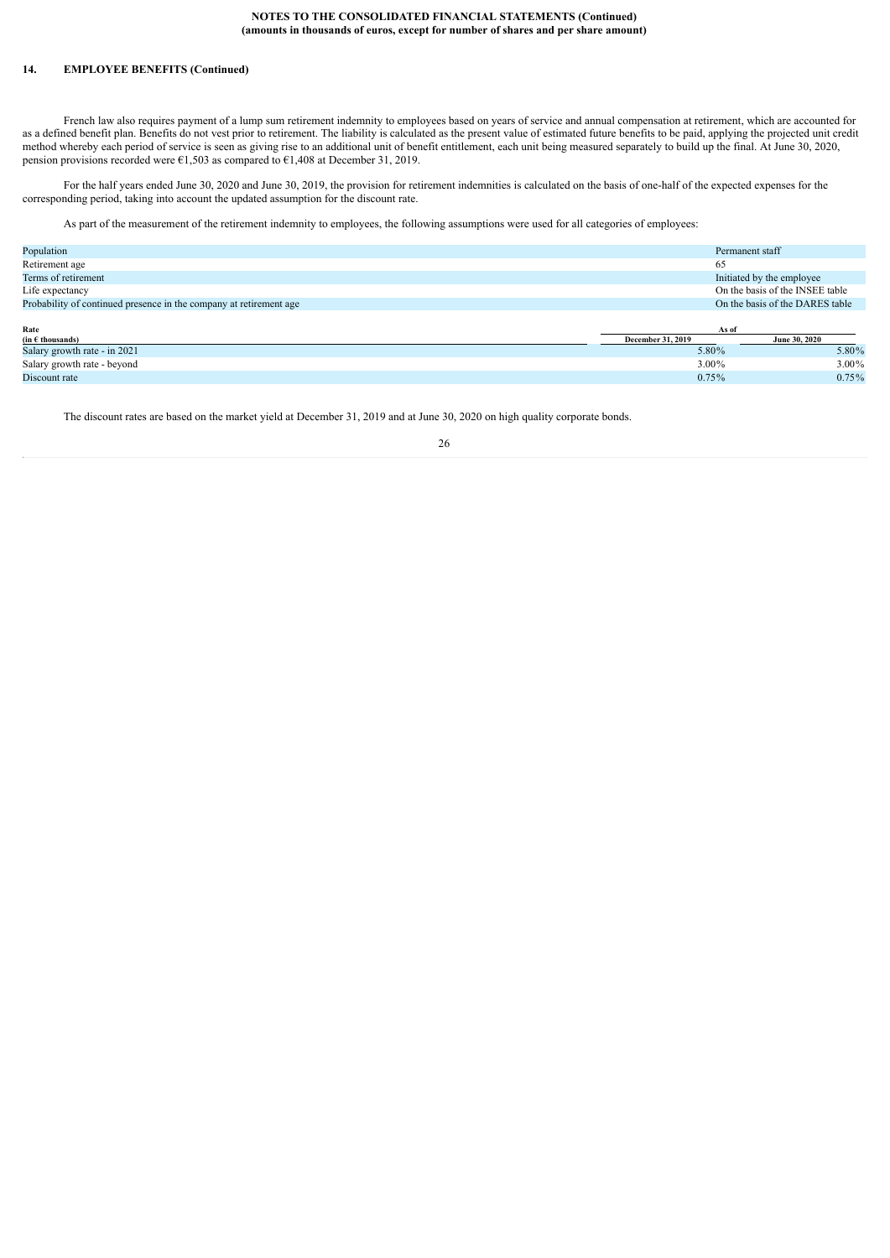# **14. EMPLOYEE BENEFITS (Continued)**

French law also requires payment of a lump sum retirement indemnity to employees based on years of service and annual compensation at retirement, which are accounted for as a defined benefit plan. Benefits do not vest prior to retirement. The liability is calculated as the present value of estimated future benefits to be paid, applying the projected unit credit method whereby each period of service is seen as giving rise to an additional unit of benefit entitlement, each unit being measured separately to build up the final. At June 30, 2020, pension provisions recorded were  $\epsilon$ 1,503 as compared to  $\epsilon$ 1,408 at December 31, 2019.

For the half years ended June 30, 2020 and June 30, 2019, the provision for retirement indemnities is calculated on the basis of one-half of the expected expenses for the corresponding period, taking into account the updated assumption for the discount rate.

As part of the measurement of the retirement indemnity to employees, the following assumptions were used for all categories of employees:

| Population                                                         | Permanent staff           |                                 |  |
|--------------------------------------------------------------------|---------------------------|---------------------------------|--|
| Retirement age                                                     | 65                        |                                 |  |
| Terms of retirement                                                | Initiated by the employee |                                 |  |
| Life expectancy                                                    |                           | On the basis of the INSEE table |  |
| Probability of continued presence in the company at retirement age |                           | On the basis of the DARES table |  |
|                                                                    |                           |                                 |  |
| Rate                                                               | As of                     |                                 |  |
| $(in \in \mathbf{th} \text{ousands})$                              | December 31, 2019         | June 30, 2020                   |  |
| Salary growth rate - in 2021                                       | 5.80%                     | 5.80%                           |  |
| Salary growth rate - beyond                                        | 3.00%                     | 3.00%                           |  |
| Discount rate                                                      | 0.75%                     | 0.75%                           |  |

The discount rates are based on the market yield at December 31, 2019 and at June 30, 2020 on high quality corporate bonds.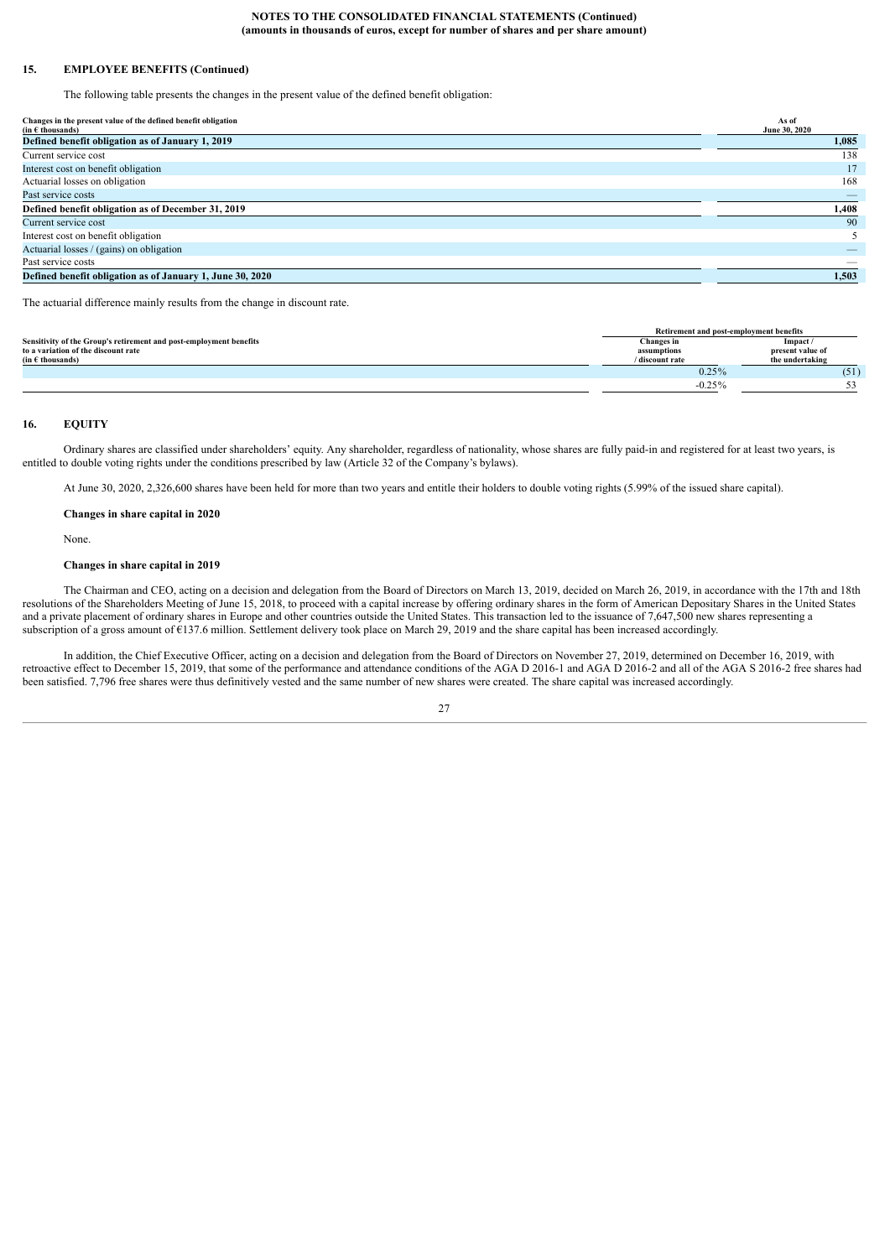### **15. EMPLOYEE BENEFITS (Continued)**

The following table presents the changes in the present value of the defined benefit obligation:

| Changes in the present value of the defined benefit obligation<br>$(in \in \mathsf{th} \mathsf{ous} \mathsf{and} \mathsf{s})$ | As of<br>June 30, 2020 |
|-------------------------------------------------------------------------------------------------------------------------------|------------------------|
| Defined benefit obligation as of January 1, 2019                                                                              | 1,085                  |
| Current service cost                                                                                                          | 138                    |
| Interest cost on benefit obligation                                                                                           | 17                     |
| Actuarial losses on obligation                                                                                                | 168                    |
| Past service costs                                                                                                            |                        |
| Defined benefit obligation as of December 31, 2019                                                                            | 1,408                  |
| Current service cost                                                                                                          | 90                     |
| Interest cost on benefit obligation                                                                                           |                        |
| Actuarial losses / (gains) on obligation                                                                                      |                        |
| Past service costs                                                                                                            |                        |
| Defined benefit obligation as of January 1, June 30, 2020                                                                     | 1,503                  |

The actuarial difference mainly results from the change in discount rate.

|                                                                    | Retirement and post-employment benefits |                  |  |
|--------------------------------------------------------------------|-----------------------------------------|------------------|--|
| Sensitivity of the Group's retirement and post-employment benefits | Changes in                              | Impact/          |  |
| to a variation of the discount rate                                | assumptions                             | present value of |  |
| (in $\epsilon$ thousands)                                          | / discount rate                         | the undertaking  |  |
|                                                                    | 0.25%                                   | (51)             |  |
|                                                                    | $-0.25%$                                |                  |  |

# <span id="page-26-0"></span>**16. EQUITY**

Ordinary shares are classified under shareholders' equity. Any shareholder, regardless of nationality, whose shares are fully paid-in and registered for at least two years, is entitled to double voting rights under the conditions prescribed by law (Article 32 of the Company's bylaws).

At June 30, 2020, 2,326,600 shares have been held for more than two years and entitle their holders to double voting rights (5.99% of the issued share capital).

**Changes in share capital in 2020**

None.

#### **Changes in share capital in 2019**

The Chairman and CEO, acting on a decision and delegation from the Board of Directors on March 13, 2019, decided on March 26, 2019, in accordance with the 17th and 18th resolutions of the Shareholders Meeting of June 15, 2018, to proceed with a capital increase by offering ordinary shares in the form of American Depositary Shares in the United States and a private placement of ordinary shares in Europe and other countries outside the United States. This transaction led to the issuance of 7,647,500 new shares representing a subscription of a gross amount of  $\epsilon$ 137.6 million. Settlement delivery took place on March 29, 2019 and the share capital has been increased accordingly.

In addition, the Chief Executive Officer, acting on a decision and delegation from the Board of Directors on November 27, 2019, determined on December 16, 2019, with retroactive effect to December 15, 2019, that some of the performance and attendance conditions of the AGA D 2016-1 and AGA D 2016-2 and all of the AGA S 2016-2 free shares had been satisfied. 7,796 free shares were thus definitively vested and the same number of new shares were created. The share capital was increased accordingly.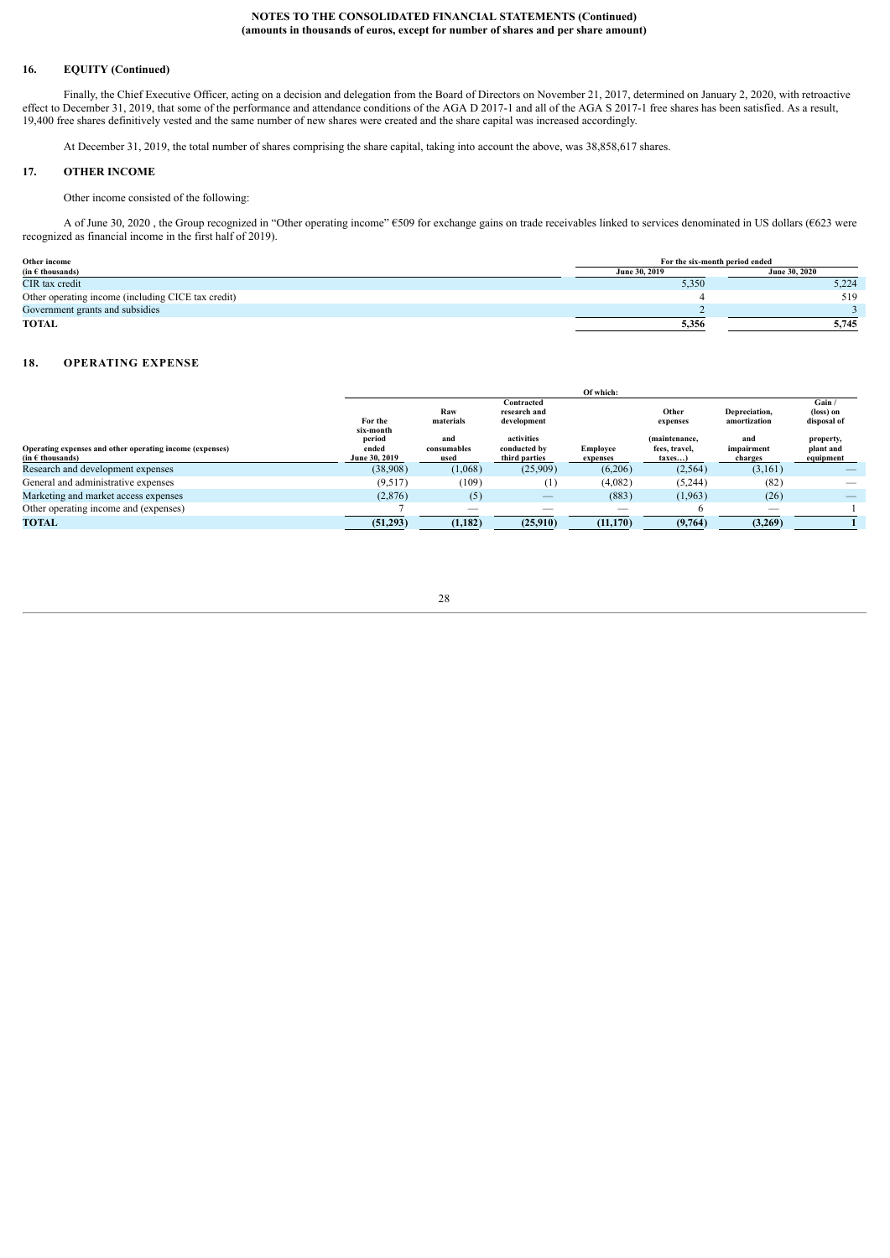### **16. EQUITY (Continued)**

Finally, the Chief Executive Officer, acting on a decision and delegation from the Board of Directors on November 21, 2017, determined on January 2, 2020, with retroactive effect to December 31, 2019, that some of the performance and attendance conditions of the AGA D 2017-1 and all of the AGA S 2017-1 free shares has been satisfied. As a result, 19,400 free shares definitively vested and the same number of new shares were created and the share capital was increased accordingly.

<span id="page-27-0"></span>At December 31, 2019, the total number of shares comprising the share capital, taking into account the above, was 38,858,617 shares.

### **17. OTHER INCOME**

Other income consisted of the following:

A of June 30, 2020 , the Group recognized in "Other operating income" €509 for exchange gains on trade receivables linked to services denominated in US dollars (€623 were recognized as financial income in the first half of 2019).

| Other income                                       | For the six-month period ended               |       |  |
|----------------------------------------------------|----------------------------------------------|-------|--|
| (in $\epsilon$ thousands)                          | <b>June 30, 2020</b><br><b>June 30, 2019</b> |       |  |
| CIR tax credit                                     | 5,350                                        | 5,224 |  |
| Other operating income (including CICE tax credit) |                                              | 519   |  |
| Government grants and subsidies                    |                                              |       |  |
| TOTAL                                              | 5,356                                        | 5.745 |  |

#### <span id="page-27-1"></span>**18. OPERATING EXPENSE**

|                                                                                  |                                  |                            |                                             | Of which:            |                                          |                               |                                     |
|----------------------------------------------------------------------------------|----------------------------------|----------------------------|---------------------------------------------|----------------------|------------------------------------------|-------------------------------|-------------------------------------|
|                                                                                  | For the<br>six-month             | Raw<br>materials           | Contracted<br>research and<br>development   |                      | Other<br>expenses                        | Depreciation,<br>amortization | Gain /<br>(loss) on<br>disposal of  |
| Operating expenses and other operating income (expenses)<br>$(in \in$ thousands) | period<br>ended<br>June 30, 2019 | and<br>consumables<br>used | activities<br>conducted by<br>third parties | Employee<br>expenses | (maintenance,<br>fees, travel,<br>taxes) | and<br>impairment<br>charges  | property,<br>plant and<br>equipment |
| Research and development expenses                                                | (38,908)                         | (1,068)                    | (25,909)                                    | (6,206)              | (2, 564)                                 | (3,161)                       |                                     |
| General and administrative expenses                                              | (9.517)                          | (109)                      | $\pm$                                       | (4,082)              | (5,244)                                  | (82)                          | __                                  |
| Marketing and market access expenses                                             | (2,876)                          | (5)                        | $\overline{\phantom{a}}$                    | (883)                | (1,963)                                  | (26)                          |                                     |
| Other operating income and (expenses)                                            |                                  |                            |                                             |                      | 'n                                       |                               |                                     |
| <b>TOTAL</b>                                                                     | (51,293)                         | (1, 182)                   | (25,910)                                    | (11, 170)            | (9,764)                                  | (3,269)                       |                                     |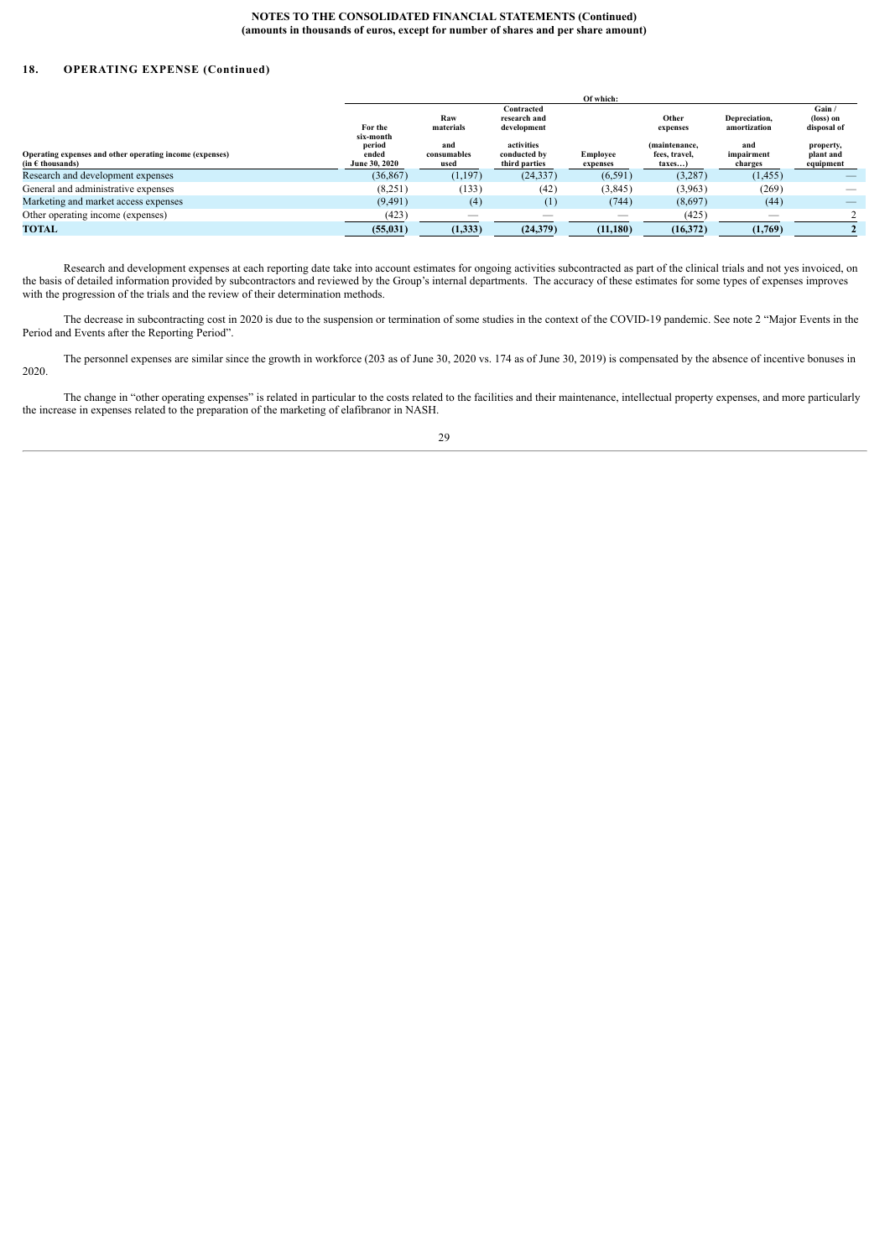# **18. OPERATING EXPENSE (Continued)**

|                                                                                                                         |                                  |                            |                                             | Of which:                   |                                          |                               |                                     |
|-------------------------------------------------------------------------------------------------------------------------|----------------------------------|----------------------------|---------------------------------------------|-----------------------------|------------------------------------------|-------------------------------|-------------------------------------|
|                                                                                                                         | For the<br>six-month             | Raw<br>materials           | Contracted<br>research and<br>development   |                             | Other<br>expenses                        | Depreciation,<br>amortization | Gain /<br>(loss) on<br>disposal of  |
| Operating expenses and other operating income (expenses)<br>$(in \in \mathsf{th} \mathsf{ous} \mathsf{and} \mathsf{s})$ | period<br>ended<br>June 30, 2020 | and<br>consumables<br>used | activities<br>conducted by<br>third parties | <b>Employee</b><br>expenses | (maintenance,<br>fees, travel.<br>taxes) | and<br>impairment<br>charges  | property,<br>plant and<br>equipment |
| Research and development expenses                                                                                       | (36, 867)                        | (1,197)                    | (24, 337)                                   | (6, 591)                    | (3, 287)                                 | (1, 455)                      |                                     |
| General and administrative expenses                                                                                     | (8,251)                          | (133)                      | (42)                                        | (3,845)                     | (3,963)                                  | (269)                         |                                     |
| Marketing and market access expenses                                                                                    | (9, 491)                         | (4)                        |                                             | (744)                       | (8,697)                                  | (44)                          |                                     |
| Other operating income (expenses)                                                                                       | (423)                            |                            |                                             | $-$                         | (425)                                    | $\sim$                        |                                     |
| TOTAL                                                                                                                   | (55, 031)                        | (1,333)                    | (24,379)                                    | (11,180)                    | (16,372)                                 | (1,769)                       |                                     |

Research and development expenses at each reporting date take into account estimates for ongoing activities subcontracted as part of the clinical trials and not yes invoiced, on the basis of detailed information provided by subcontractors and reviewed by the Group's internal departments. The accuracy of these estimates for some types of expenses improves with the progression of the trials and the review of their determination methods.

The decrease in subcontracting cost in 2020 is due to the suspension or termination of some studies in the context of the COVID-19 pandemic. See note 2 "Major Events in the Period and Events after the Reporting Period".

The personnel expenses are similar since the growth in workforce (203 as of June 30, 2020 vs. 174 as of June 30, 2019) is compensated by the absence of incentive bonuses in 2020.

The change in "other operating expenses" is related in particular to the costs related to the facilities and their maintenance, intellectual property expenses, and more particularly the increase in expenses related to the preparation of the marketing of elafibranor in NASH.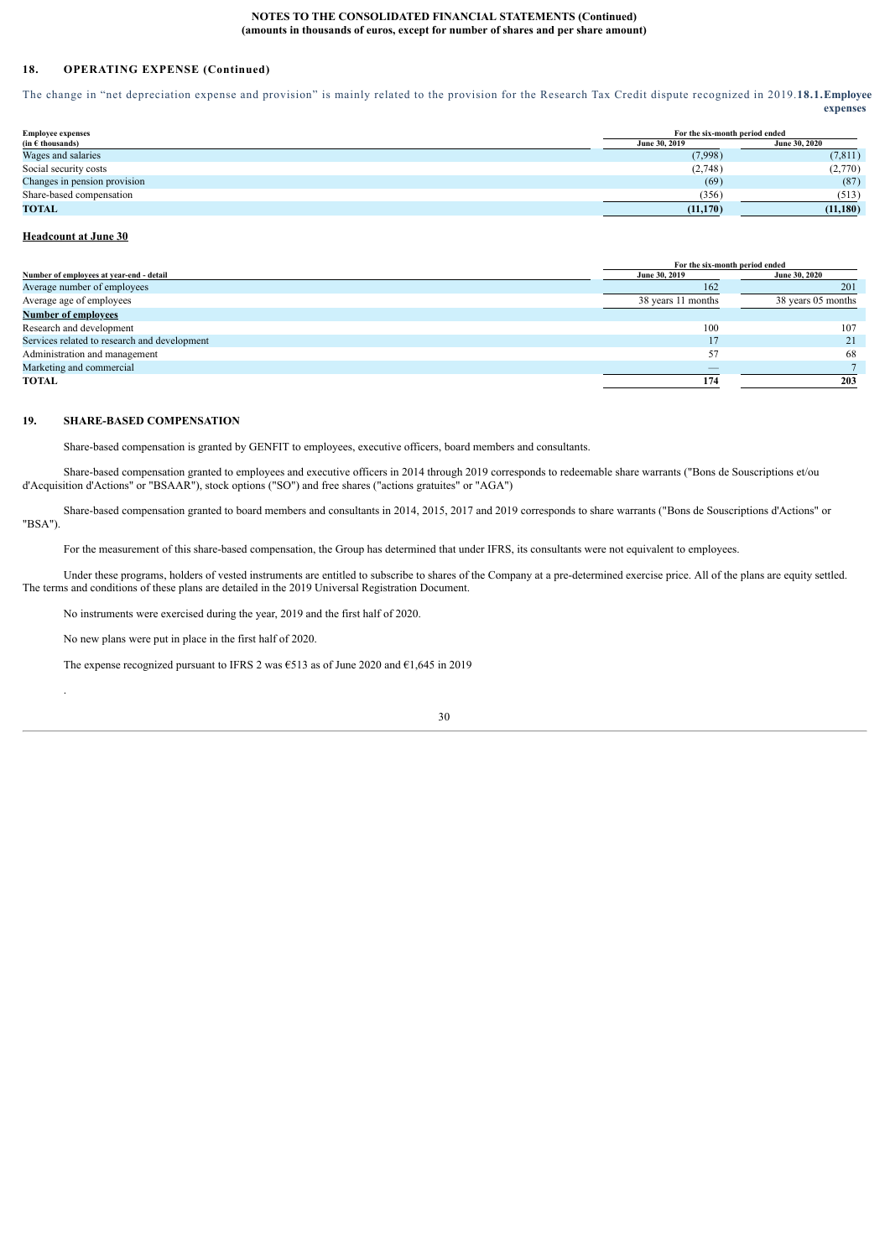# **18. OPERATING EXPENSE (Continued)**

The change in "net depreciation expense and provision" is mainly related to the provision for the Research Tax Credit dispute recognized in 2019.**18.1.Employee expenses**

<span id="page-29-0"></span>

| <b>Employee expenses</b>     | For the six-month period ended        |          |
|------------------------------|---------------------------------------|----------|
| $(in \in thousands)$         | <b>June 30, 2020</b><br>June 30, 2019 |          |
| Wages and salaries           | (7,998)                               | (7, 811) |
| Social security costs        | (2,748)                               | (2,770)  |
| Changes in pension provision | (69)                                  | (87)     |
| Share-based compensation     | (356)                                 | (513)    |
| <b>TOTAL</b>                 | (11, 170)                             | (11,180) |

# **Headcount at June 30**

.

|                                              | For the six-month period ended |                    |
|----------------------------------------------|--------------------------------|--------------------|
| Number of employees at year-end - detail     | June 30, 2019                  | June 30, 2020      |
| Average number of employees                  | 162                            | 201                |
| Average age of employees                     | 38 years 11 months             | 38 years 05 months |
| <b>Number of employees</b>                   |                                |                    |
| Research and development                     | 100                            | 107                |
| Services related to research and development |                                | 21                 |
| Administration and management                | 57                             | 68                 |
| Marketing and commercial                     |                                |                    |
| <b>TOTAL</b>                                 | 174                            | 203                |

# **19. SHARE-BASED COMPENSATION**

<span id="page-29-1"></span>Share-based compensation is granted by GENFIT to employees, executive officers, board members and consultants.

Share-based compensation granted to employees and executive officers in 2014 through 2019 corresponds to redeemable share warrants ("Bons de Souscriptions et/ou d'Acquisition d'Actions" or "BSAAR"), stock options ("SO") and free shares ("actions gratuites" or "AGA")

Share-based compensation granted to board members and consultants in 2014, 2015, 2017 and 2019 corresponds to share warrants ("Bons de Souscriptions d'Actions" or "BSA").

For the measurement of this share-based compensation, the Group has determined that under IFRS, its consultants were not equivalent to employees.

Under these programs, holders of vested instruments are entitled to subscribe to shares of the Company at a pre-determined exercise price. All of the plans are equity settled. The terms and conditions of these plans are detailed in the 2019 Universal Registration Document.

No instruments were exercised during the year, 2019 and the first half of 2020.

No new plans were put in place in the first half of 2020.

The expense recognized pursuant to IFRS 2 was  $\epsilon$ 513 as of June 2020 and  $\epsilon$ 1,645 in 2019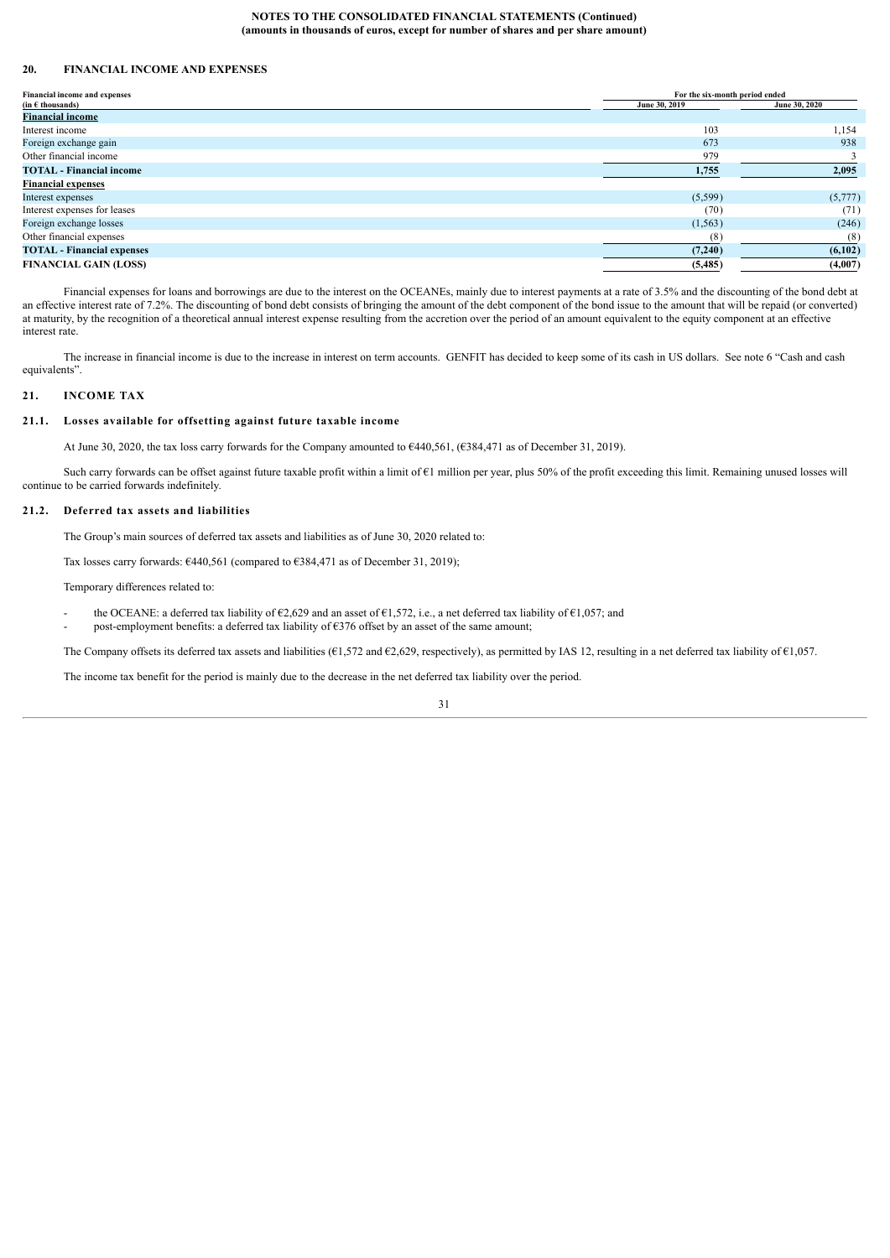# <span id="page-30-0"></span>**20. FINANCIAL INCOME AND EXPENSES**

| Financial income and expenses                               | For the six-month period ended |               |
|-------------------------------------------------------------|--------------------------------|---------------|
| $(in \in \mathsf{th} \mathsf{ous} \mathsf{and} \mathsf{s})$ | June 30, 2019                  | June 30, 2020 |
| <b>Financial income</b>                                     |                                |               |
| Interest income                                             | 103                            | 1,154         |
| Foreign exchange gain                                       | 673                            | 938           |
| Other financial income                                      | 979                            |               |
| <b>TOTAL</b> - Financial income                             | 1,755                          | 2,095         |
| <b>Financial expenses</b>                                   |                                |               |
| Interest expenses                                           | (5,599)                        | (5,777)       |
| Interest expenses for leases                                | (70)                           | (71)          |
| Foreign exchange losses                                     | (1, 563)                       | (246)         |
| Other financial expenses                                    | (8)                            | (8)           |
| <b>TOTAL</b> - Financial expenses                           | (7,240)                        | (6,102)       |
| <b>FINANCIAL GAIN (LOSS)</b>                                | (5,485)                        | (4,007)       |

Financial expenses for loans and borrowings are due to the interest on the OCEANEs, mainly due to interest payments at a rate of 3.5% and the discounting of the bond debt at an effective interest rate of 7.2%. The discounting of bond debt consists of bringing the amount of the debt component of the bond issue to the amount that will be repaid (or converted) at maturity, by the recognition of a theoretical annual interest expense resulting from the accretion over the period of an amount equivalent to the equity component at an effective interest rate.

The increase in financial income is due to the increase in interest on term accounts. GENFIT has decided to keep some of its cash in US dollars. See note 6 "Cash and cash equivalents".

### <span id="page-30-1"></span>**21. INCOME TAX**

# **21.1. Losses available for offsetting against future taxable income**

<span id="page-30-2"></span>At June 30, 2020, the tax loss carry forwards for the Company amounted to €440,561, (€384,471 as of December 31, 2019).

Such carry forwards can be offset against future taxable profit within a limit of €1 million per year, plus 50% of the profit exceeding this limit. Remaining unused losses will continue to be carried forwards indefinitely.

#### **21.2. Deferred tax assets and liabilities**

<span id="page-30-3"></span>The Group's main sources of deferred tax assets and liabilities as of June 30, 2020 related to:

Tax losses carry forwards:  $6440,561$  (compared to  $6384,471$  as of December 31, 2019);

Temporary differences related to:

- the OCEANE: a deferred tax liability of  $\epsilon$ 2,629 and an asset of  $\epsilon$ 1,572, i.e., a net deferred tax liability of  $\epsilon$ 1,057; and post-employment benefits: a deferred tax liability of  $\epsilon$ 376 offset by an asset of the same amount;
- 

The Company offsets its deferred tax assets and liabilities ( $E1,572$  and  $E2,629$ , respectively), as permitted by IAS 12, resulting in a net deferred tax liability of  $E1,057$ .

The income tax benefit for the period is mainly due to the decrease in the net deferred tax liability over the period.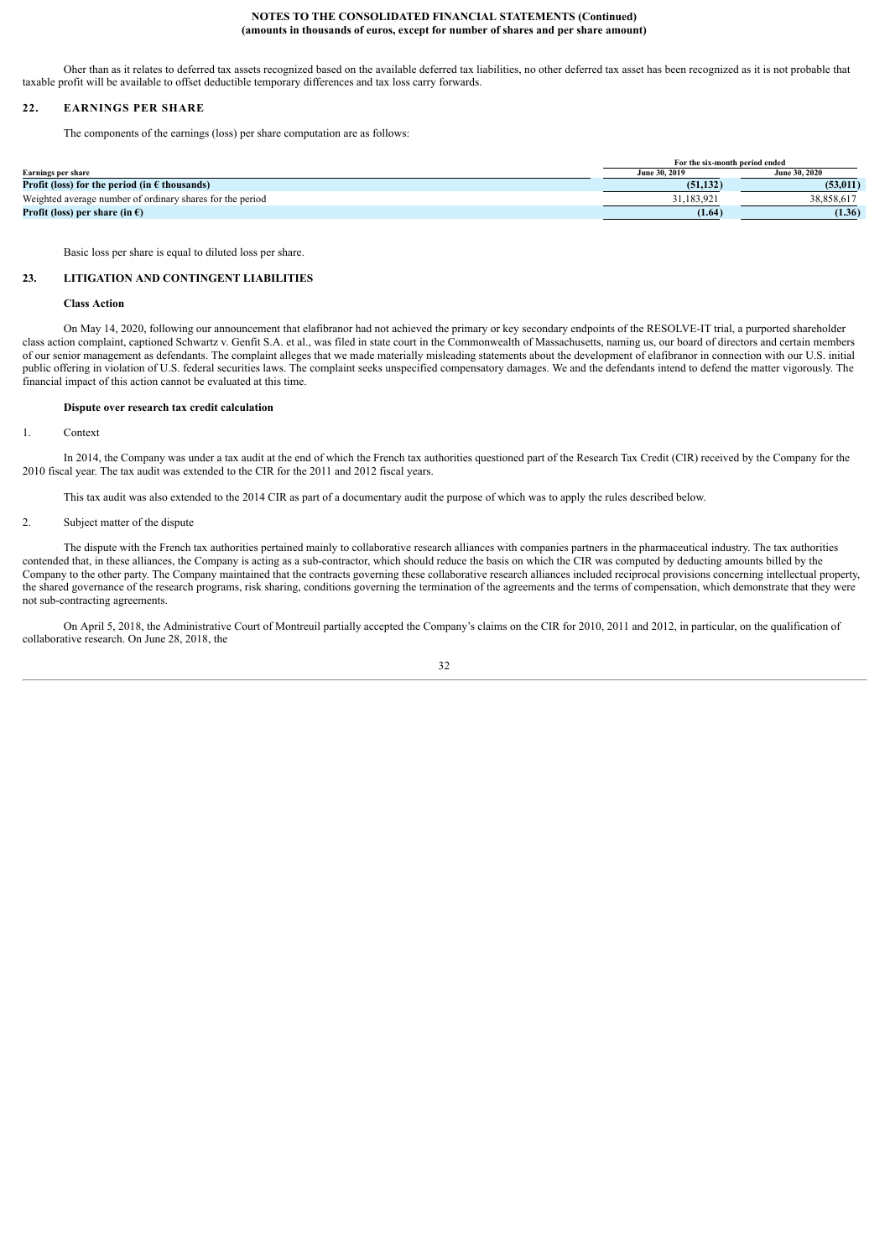Oher than as it relates to deferred tax assets recognized based on the available deferred tax liabilities, no other deferred tax asset has been recognized as it is not probable that taxable profit will be available to offset deductible temporary differences and tax loss carry forwards.

### **22. EARNINGS PER SHARE**

<span id="page-31-0"></span>The components of the earnings (loss) per share computation are as follows:

|                                                                          | For the six-month period ended |               |
|--------------------------------------------------------------------------|--------------------------------|---------------|
| Earnings per share                                                       | June 30, 2019                  | June 30, 2020 |
| <b>Profit (loss) for the period (in <math>\epsilon</math> thousands)</b> | (51.132)                       | (53.011)      |
| Weighted average number of ordinary shares for the period                | 31.183.921                     | 38.858.617    |
| <b>Profit (loss) per share (in <math>\epsilon</math>)</b>                | (1.64)                         | (1.36)        |

<span id="page-31-1"></span>Basic loss per share is equal to diluted loss per share.

### **23. LITIGATION AND CONTINGENT LIABILITIES**

**Class Action**

On May 14, 2020, following our announcement that elafibranor had not achieved the primary or key secondary endpoints of the RESOLVE-IT trial, a purported shareholder class action complaint, captioned Schwartz v. Genfit S.A. et al., was filed in state court in the Commonwealth of Massachusetts, naming us, our board of directors and certain members of our senior management as defendants. The complaint alleges that we made materially misleading statements about the development of elafibranor in connection with our U.S. initial public offering in violation of U.S. federal securities laws. The complaint seeks unspecified compensatory damages. We and the defendants intend to defend the matter vigorously. The financial impact of this action cannot be evaluated at this time.

#### **Dispute over research tax credit calculation**

1. Context

In 2014, the Company was under a tax audit at the end of which the French tax authorities questioned part of the Research Tax Credit (CIR) received by the Company for the 2010 fiscal year. The tax audit was extended to the CIR for the 2011 and 2012 fiscal years.

This tax audit was also extended to the 2014 CIR as part of a documentary audit the purpose of which was to apply the rules described below.

### 2. Subject matter of the dispute

The dispute with the French tax authorities pertained mainly to collaborative research alliances with companies partners in the pharmaceutical industry. The tax authorities contended that, in these alliances, the Company is acting as a sub-contractor, which should reduce the basis on which the CIR was computed by deducting amounts billed by the Company to the other party. The Company maintained that the contracts governing these collaborative research alliances included reciprocal provisions concerning intellectual property, the shared governance of the research programs, risk sharing, conditions governing the termination of the agreements and the terms of compensation, which demonstrate that they were not sub-contracting agreements.

On April 5, 2018, the Administrative Court of Montreuil partially accepted the Company's claims on the CIR for 2010, 2011 and 2012, in particular, on the qualification of collaborative research. On June 28, 2018, the

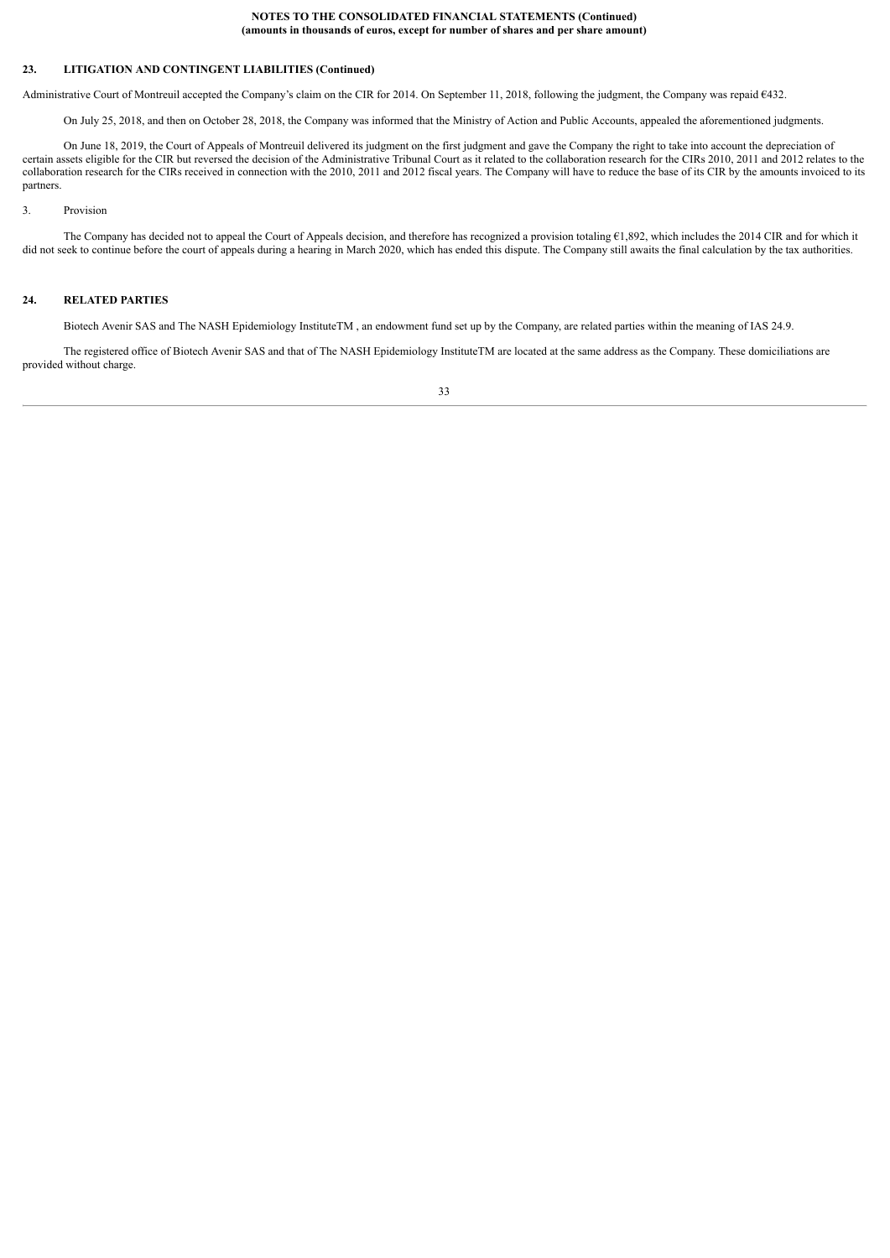# **23. LITIGATION AND CONTINGENT LIABILITIES (Continued)**

Administrative Court of Montreuil accepted the Company's claim on the CIR for 2014. On September 11, 2018, following the judgment, the Company was repaid €432.

On July 25, 2018, and then on October 28, 2018, the Company was informed that the Ministry of Action and Public Accounts, appealed the aforementioned judgments.

On June 18, 2019, the Court of Appeals of Montreuil delivered its judgment on the first judgment and gave the Company the right to take into account the depreciation of certain assets eligible for the CIR but reversed the decision of the Administrative Tribunal Court as it related to the collaboration research for the CIRs 2010, 2011 and 2012 relates to the collaboration research for the CIRs received in connection with the 2010, 2011 and 2012 fiscal years. The Company will have to reduce the base of its CIR by the amounts invoiced to its partners.

#### 3. Provision

The Company has decided not to appeal the Court of Appeals decision, and therefore has recognized a provision totaling €1,892, which includes the 2014 CIR and for which it did not seek to continue before the court of appeals during a hearing in March 2020, which has ended this dispute. The Company still awaits the final calculation by the tax authorities.

# **24. RELATED PARTIES**

<span id="page-32-0"></span>Biotech Avenir SAS and The NASH Epidemiology InstituteTM , an endowment fund set up by the Company, are related parties within the meaning of IAS 24.9.

The registered office of Biotech Avenir SAS and that of The NASH Epidemiology InstituteTM are located at the same address as the Company. These domiciliations are provided without charge.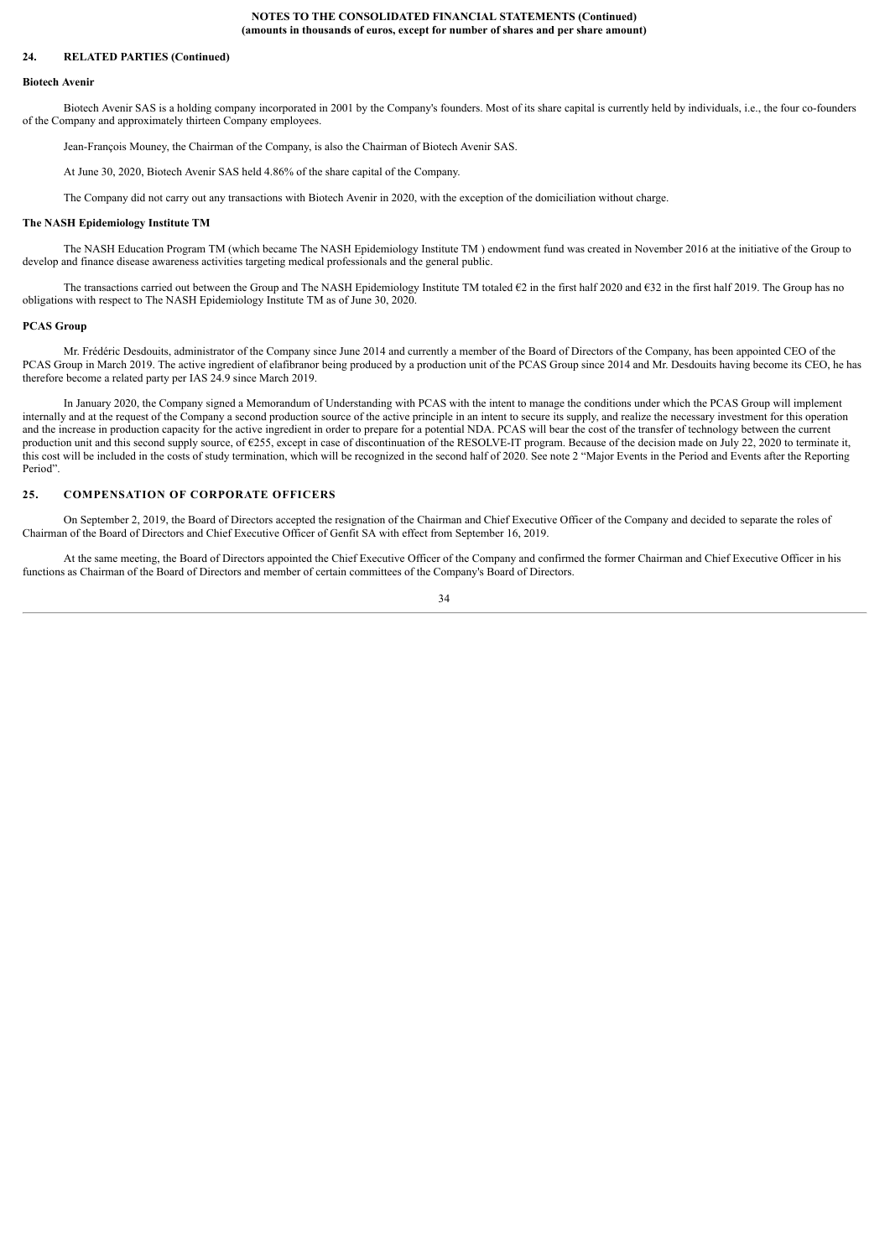#### **24. RELATED PARTIES (Continued)**

#### **Biotech Avenir**

Biotech Avenir SAS is a holding company incorporated in 2001 by the Company's founders. Most of its share capital is currently held by individuals, i.e., the four co-founders of the Company and approximately thirteen Company employees.

Jean-François Mouney, the Chairman of the Company, is also the Chairman of Biotech Avenir SAS.

At June 30, 2020, Biotech Avenir SAS held 4.86% of the share capital of the Company.

The Company did not carry out any transactions with Biotech Avenir in 2020, with the exception of the domiciliation without charge.

#### **The NASH Epidemiology Institute TM**

The NASH Education Program TM (which became The NASH Epidemiology Institute TM ) endowment fund was created in November 2016 at the initiative of the Group to develop and finance disease awareness activities targeting medical professionals and the general public.

The transactions carried out between the Group and The NASH Epidemiology Institute TM totaled €2 in the first half 2020 and €32 in the first half 2019. The Group has no obligations with respect to The NASH Epidemiology Institute TM as of June 30, 2020.

#### **PCAS Group**

Mr. Frédéric Desdouits, administrator of the Company since June 2014 and currently a member of the Board of Directors of the Company, has been appointed CEO of the PCAS Group in March 2019. The active ingredient of elafibranor being produced by a production unit of the PCAS Group since 2014 and Mr. Desdouits having become its CEO, he has therefore become a related party per IAS 24.9 since March 2019.

In January 2020, the Company signed a Memorandum of Understanding with PCAS with the intent to manage the conditions under which the PCAS Group will implement internally and at the request of the Company a second production source of the active principle in an intent to secure its supply, and realize the necessary investment for this operation and the increase in production capacity for the active ingredient in order to prepare for a potential NDA. PCAS will bear the cost of the transfer of technology between the current production unit and this second supply source, of €255, except in case of discontinuation of the RESOLVE-IT program. Because of the decision made on July 22, 2020 to terminate it, this cost will be included in the costs of study termination, which will be recognized in the second half of 2020. See note 2 "Major Events in the Period and Events after the Reporting Period"

#### <span id="page-33-0"></span>**25. COMPENSATION OF CORPORATE OFFICERS**

On September 2, 2019, the Board of Directors accepted the resignation of the Chairman and Chief Executive Officer of the Company and decided to separate the roles of Chairman of the Board of Directors and Chief Executive Officer of Genfit SA with effect from September 16, 2019.

At the same meeting, the Board of Directors appointed the Chief Executive Officer of the Company and confirmed the former Chairman and Chief Executive Officer in his functions as Chairman of the Board of Directors and member of certain committees of the Company's Board of Directors.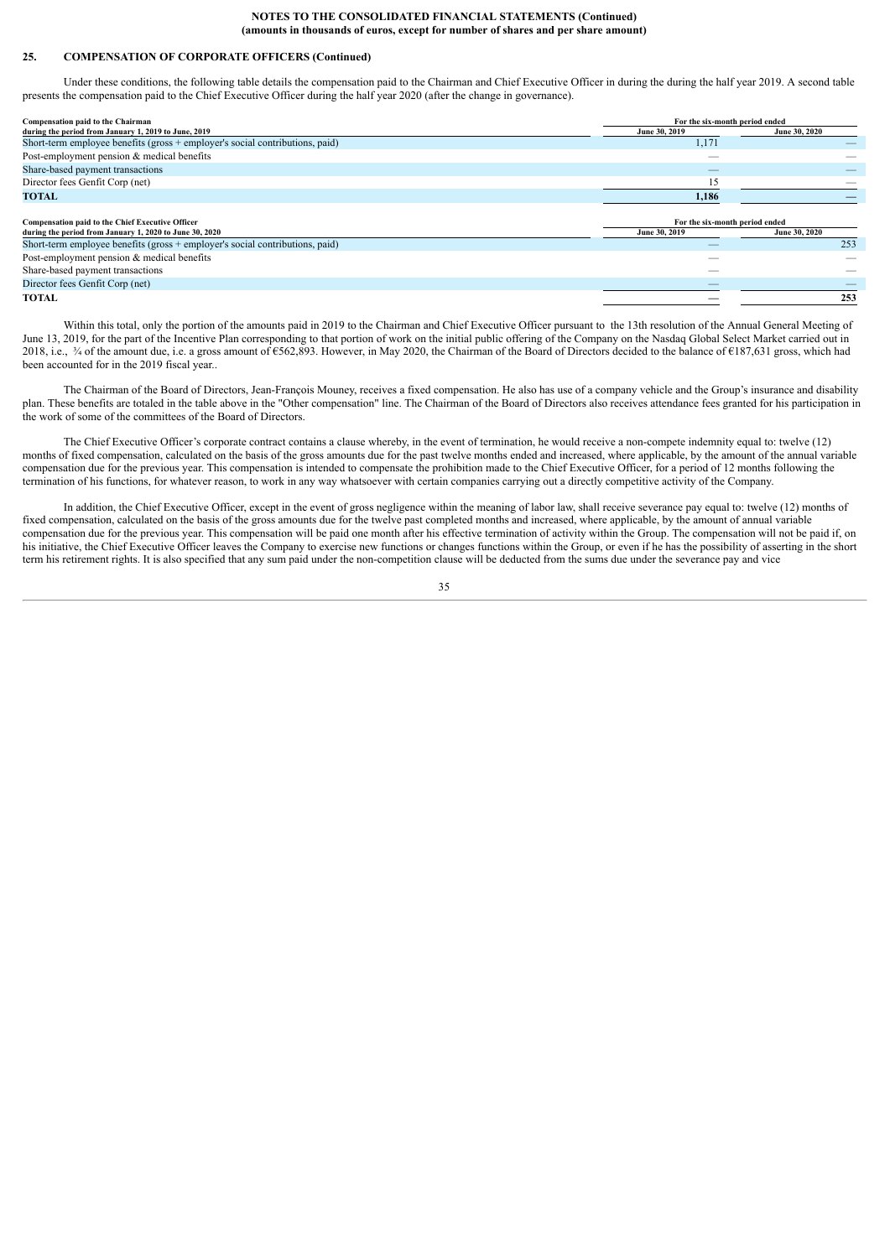# **25. COMPENSATION OF CORPORATE OFFICERS (Continued)**

Under these conditions, the following table details the compensation paid to the Chairman and Chief Executive Officer in during the during the half year 2019. A second table presents the compensation paid to the Chief Executive Officer during the half year 2020 (after the change in governance).

| Compensation paid to the Chairman                                            | For the six-month period ended |               |  |
|------------------------------------------------------------------------------|--------------------------------|---------------|--|
| during the period from January 1, 2019 to June, 2019                         | June 30, 2019                  | June 30, 2020 |  |
| Short-term employee benefits (gross + employer's social contributions, paid) | 1,171                          |               |  |
| Post-employment pension & medical benefits                                   |                                |               |  |
| Share-based payment transactions                                             |                                |               |  |
| Director fees Genfit Corp (net)                                              |                                |               |  |
| <b>TOTAL</b>                                                                 | 1,186                          |               |  |
|                                                                              |                                |               |  |
| <b>Compensation paid to the Chief Executive Officer</b>                      | For the six-month period ended |               |  |
| during the period from January 1, 2020 to June 30, 2020                      | June 30, 2019                  | June 30, 2020 |  |
| Short-term employee benefits (gross + employer's social contributions, paid) |                                | 253           |  |
| Post-employment pension & medical benefits                                   |                                |               |  |
| Share-based payment transactions                                             |                                |               |  |
| Director fees Genfit Corp (net)                                              | __                             |               |  |
| <b>TOTAL</b>                                                                 |                                | 253           |  |

Within this total, only the portion of the amounts paid in 2019 to the Chairman and Chief Executive Officer pursuant to the 13th resolution of the Annual General Meeting of June 13, 2019, for the part of the Incentive Plan corresponding to that portion of work on the initial public offering of the Company on the Nasdaq Global Select Market carried out in 2018, i.e.,  $\frac{3}{4}$  of the amount due, i.e. a gross amount of  $6562,893$ . However, in May 2020, the Chairman of the Board of Directors decided to the balance of  $6187,631$  gross, which had been accounted for in the 2019 fiscal year..

The Chairman of the Board of Directors, Jean-François Mouney, receives a fixed compensation. He also has use of a company vehicle and the Group's insurance and disability plan. These benefits are totaled in the table above in the "Other compensation" line. The Chairman of the Board of Directors also receives attendance fees granted for his participation in the work of some of the committees of the Board of Directors.

The Chief Executive Officer's corporate contract contains a clause whereby, in the event of termination, he would receive a non-compete indemnity equal to: twelve (12) months of fixed compensation, calculated on the basis of the gross amounts due for the past twelve months ended and increased, where applicable, by the amount of the annual variable compensation due for the previous year. This compensation is intended to compensate the prohibition made to the Chief Executive Officer, for a period of 12 months following the termination of his functions, for whatever reason, to work in any way whatsoever with certain companies carrying out a directly competitive activity of the Company.

In addition, the Chief Executive Officer, except in the event of gross negligence within the meaning of labor law, shall receive severance pay equal to: twelve (12) months of fixed compensation, calculated on the basis of the gross amounts due for the twelve past completed months and increased, where applicable, by the amount of annual variable compensation due for the previous year. This compensation will be paid one month after his effective termination of activity within the Group. The compensation will not be paid if, on his initiative, the Chief Executive Officer leaves the Company to exercise new functions or changes functions within the Group, or even if he has the possibility of asserting in the short term his retirement rights. It is also specified that any sum paid under the non-competition clause will be deducted from the sums due under the severance pay and vice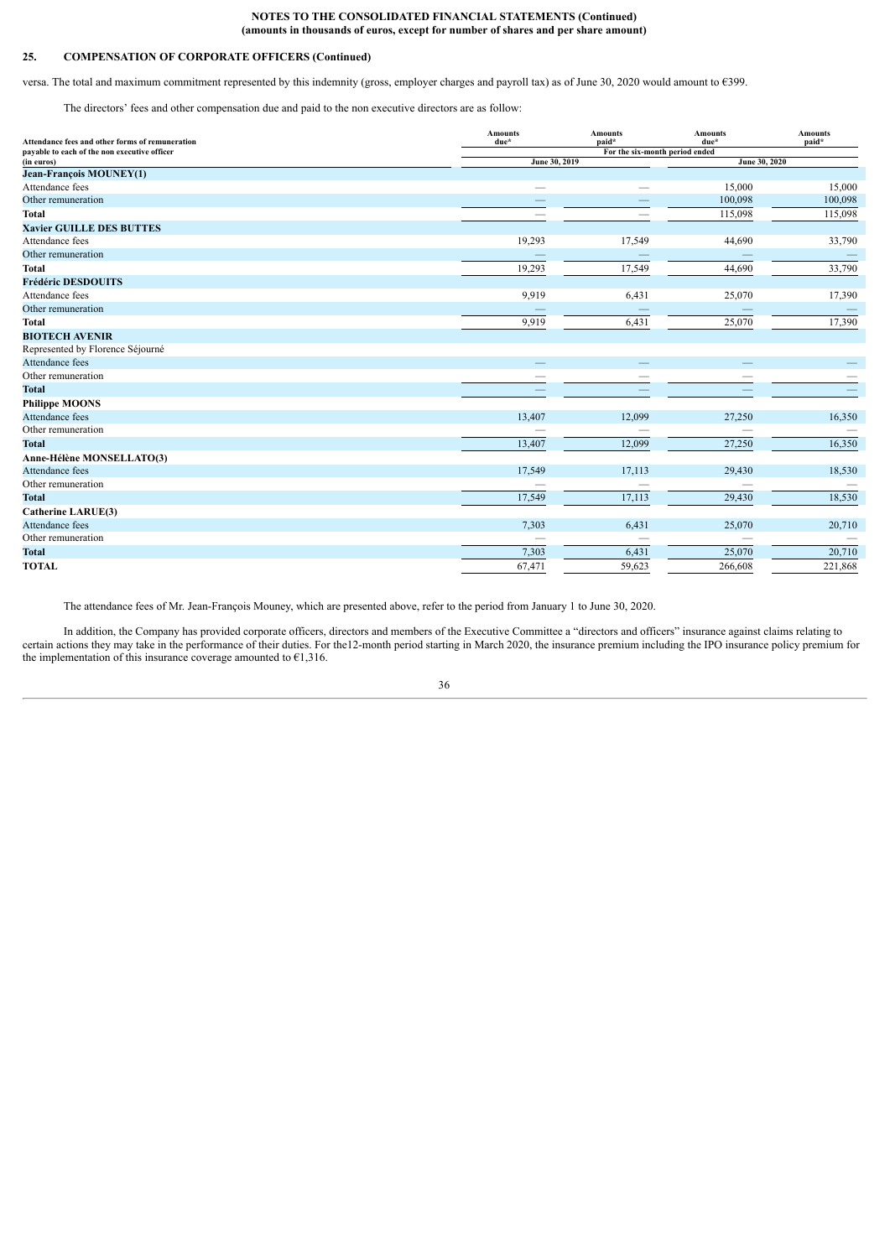# **25. COMPENSATION OF CORPORATE OFFICERS (Continued)**

versa. The total and maximum commitment represented by this indemnity (gross, employer charges and payroll tax) as of June 30, 2020 would amount to €399.

The directors' fees and other compensation due and paid to the non executive directors are as follow:

| Attendance fees and other forms of remuneration | <b>Amounts</b><br>due* | <b>Amounts</b><br>paid*        | <b>Amounts</b><br>due* | <b>Amounts</b><br>paid* |
|-------------------------------------------------|------------------------|--------------------------------|------------------------|-------------------------|
| payable to each of the non executive officer    |                        | For the six-month period ended |                        |                         |
| (in euros)                                      | June 30, 2019          |                                | June 30, 2020          |                         |
| <b>Jean-François MOUNEY(1)</b>                  |                        |                                |                        |                         |
| Attendance fees                                 |                        |                                | 15,000                 | 15,000                  |
| Other remuneration                              |                        |                                | 100,098                | 100,098                 |
| <b>Total</b>                                    |                        |                                | 115,098                | 115,098                 |
| <b>Xavier GUILLE DES BUTTES</b>                 |                        |                                |                        |                         |
| Attendance fees                                 | 19,293                 | 17,549                         | 44,690                 | 33,790                  |
| Other remuneration                              |                        |                                |                        |                         |
| <b>Total</b>                                    | 19,293                 | 17,549                         | 44,690                 | 33,790                  |
| <b>Frédéric DESDOUITS</b>                       |                        |                                |                        |                         |
| Attendance fees                                 | 9,919                  | 6,431                          | 25,070                 | 17,390                  |
| Other remuneration                              |                        |                                |                        |                         |
| <b>Total</b>                                    | 9,919                  | 6,431                          | 25,070                 | 17,390                  |
| <b>BIOTECH AVENIR</b>                           |                        |                                |                        |                         |
| Represented by Florence Séjourné                |                        |                                |                        |                         |
| Attendance fees                                 |                        |                                |                        |                         |
| Other remuneration                              |                        |                                |                        |                         |
| <b>Total</b>                                    |                        |                                |                        |                         |
| <b>Philippe MOONS</b>                           |                        |                                |                        |                         |
| Attendance fees                                 | 13,407                 | 12,099                         | 27,250                 | 16,350                  |
| Other remuneration                              |                        |                                |                        |                         |
| <b>Total</b>                                    | 13,407                 | 12,099                         | 27,250                 | 16,350                  |
| Anne-Hélène MONSELLATO(3)                       |                        |                                |                        |                         |
| Attendance fees                                 | 17,549                 | 17,113                         | 29,430                 | 18,530                  |
| Other remuneration                              |                        |                                |                        |                         |
| <b>Total</b>                                    | 17,549                 | 17,113                         | 29,430                 | 18,530                  |
| <b>Catherine LARUE(3)</b>                       |                        |                                |                        |                         |
| Attendance fees                                 | 7,303                  | 6,431                          | 25,070                 | 20,710                  |
| Other remuneration                              |                        |                                |                        |                         |
| <b>Total</b>                                    | 7,303                  | 6,431                          | 25,070                 | 20,710                  |
| <b>TOTAL</b>                                    | 67,471                 | 59,623                         | 266,608                | 221,868                 |

The attendance fees of Mr. Jean-François Mouney, which are presented above, refer to the period from January 1 to June 30, 2020.

In addition, the Company has provided corporate officers, directors and members of the Executive Committee a "directors and officers" insurance against claims relating to certain actions they may take in the performance of their duties. For the12-month period starting in March 2020, the insurance premium including the IPO insurance policy premium for the implementation of this insurance coverage amounted to  $E1,316$ .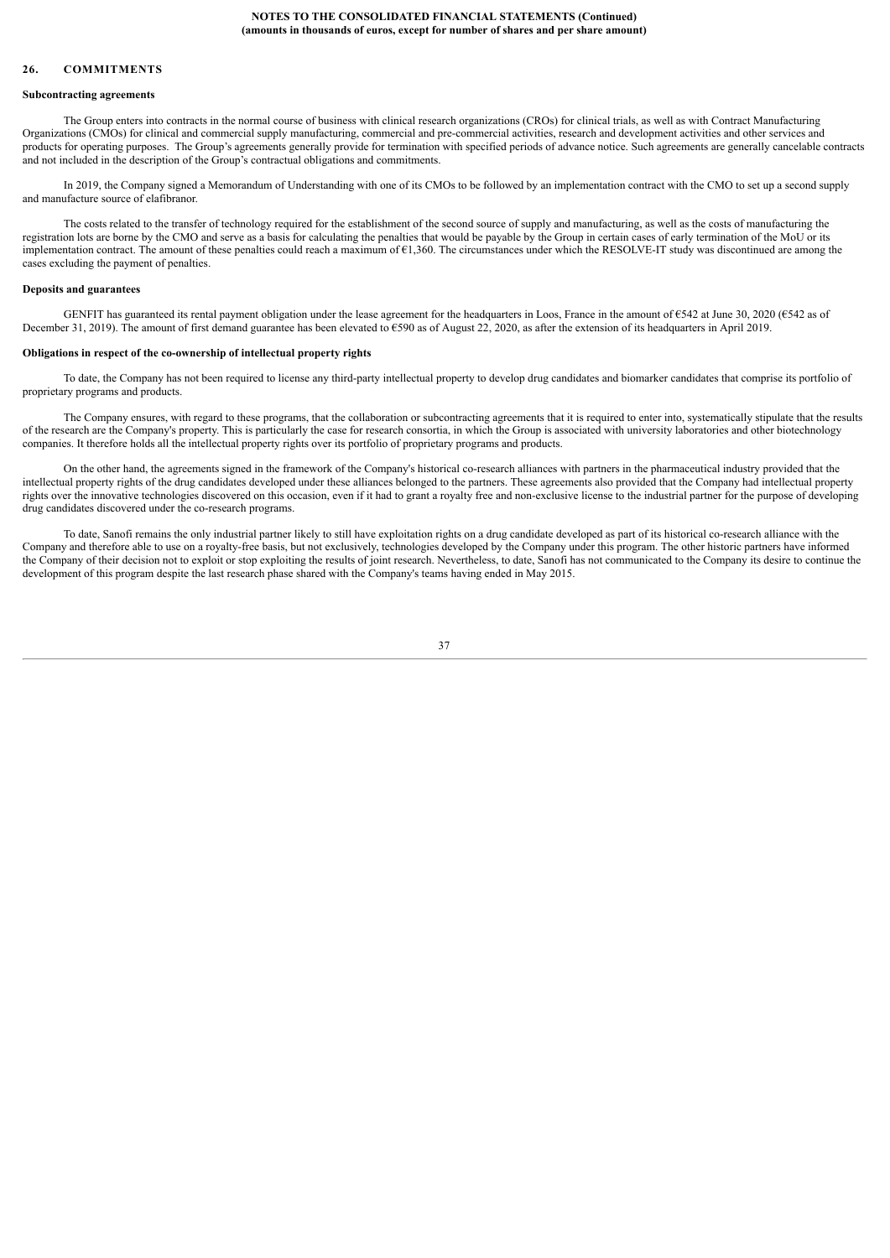# <span id="page-36-0"></span>**26. COMMITMENTS**

#### **Subcontracting agreements**

The Group enters into contracts in the normal course of business with clinical research organizations (CROs) for clinical trials, as well as with Contract Manufacturing Organizations (CMOs) for clinical and commercial supply manufacturing, commercial and pre-commercial activities, research and development activities and other services and products for operating purposes. The Group's agreements generally provide for termination with specified periods of advance notice. Such agreements are generally cancelable contracts and not included in the description of the Group's contractual obligations and commitments.

In 2019, the Company signed a Memorandum of Understanding with one of its CMOs to be followed by an implementation contract with the CMO to set up a second supply and manufacture source of elafibranor.

The costs related to the transfer of technology required for the establishment of the second source of supply and manufacturing, as well as the costs of manufacturing the registration lots are borne by the CMO and serve as a basis for calculating the penalties that would be payable by the Group in certain cases of early termination of the MoU or its implementation contract. The amount of these penalties could reach a maximum of  $\epsilon$ 1,360. The circumstances under which the RESOLVE-IT study was discontinued are among the cases excluding the payment of penalties.

#### **Deposits and guarantees**

GENFIT has guaranteed its rental payment obligation under the lease agreement for the headquarters in Loos, France in the amount of €542 at June 30, 2020 (€542 as of December 31, 2019). The amount of first demand guarantee has been elevated to €590 as of August 22, 2020, as after the extension of its headquarters in April 2019.

#### **Obligations in respect of the co-ownership of intellectual property rights**

To date, the Company has not been required to license any third-party intellectual property to develop drug candidates and biomarker candidates that comprise its portfolio of proprietary programs and products.

The Company ensures, with regard to these programs, that the collaboration or subcontracting agreements that it is required to enter into, systematically stipulate that the results of the research are the Company's property. This is particularly the case for research consortia, in which the Group is associated with university laboratories and other biotechnology companies. It therefore holds all the intellectual property rights over its portfolio of proprietary programs and products.

On the other hand, the agreements signed in the framework of the Company's historical co-research alliances with partners in the pharmaceutical industry provided that the intellectual property rights of the drug candidates developed under these alliances belonged to the partners. These agreements also provided that the Company had intellectual property rights over the innovative technologies discovered on this occasion, even if it had to grant a royalty free and non-exclusive license to the industrial partner for the purpose of developing drug candidates discovered under the co-research programs.

To date, Sanofi remains the only industrial partner likely to still have exploitation rights on a drug candidate developed as part of its historical co-research alliance with the Company and therefore able to use on a royalty-free basis, but not exclusively, technologies developed by the Company under this program. The other historic partners have informed the Company of their decision not to exploit or stop exploiting the results of joint research. Nevertheless, to date, Sanofi has not communicated to the Company its desire to continue the development of this program despite the last research phase shared with the Company's teams having ended in May 2015.